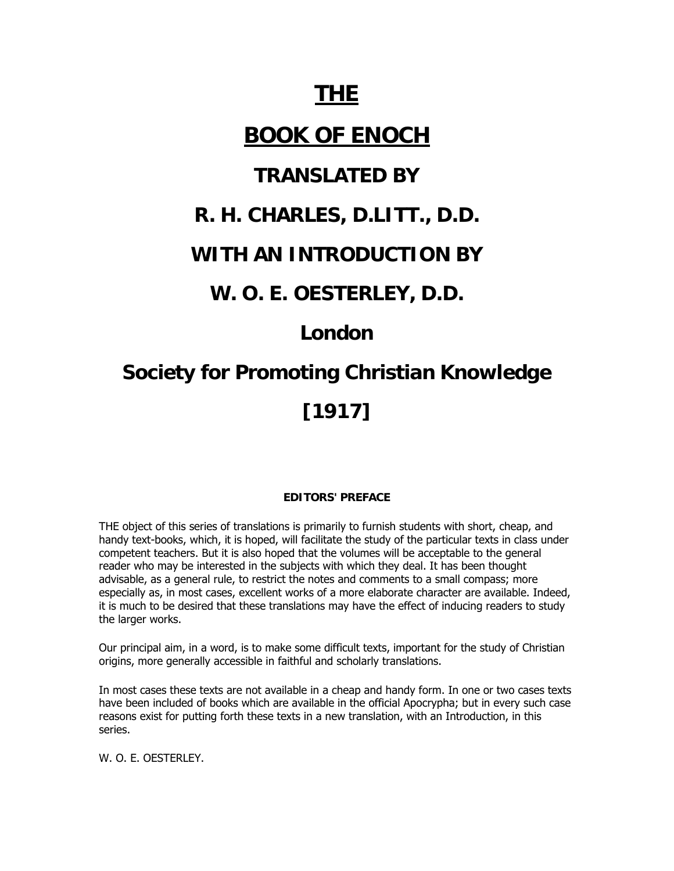# **THE**

# **BOOK OF ENOCH**

### **TRANSLATED BY**

### **R. H. CHARLES, D.LITT., D.D.**

### **WITH AN INTRODUCTION BY**

### **W. O. E. OESTERLEY, D.D.**

## **London**

# **Society for Promoting Christian Knowledge [1917]**

#### **EDITORS' PREFACE**

THE object of this series of translations is primarily to furnish students with short, cheap, and handy text-books, which, it is hoped, will facilitate the study of the particular texts in class under competent teachers. But it is also hoped that the volumes will be acceptable to the general reader who may be interested in the subjects with which they deal. It has been thought advisable, as a general rule, to restrict the notes and comments to a small compass; more especially as, in most cases, excellent works of a more elaborate character are available. Indeed, it is much to be desired that these translations may have the effect of inducing readers to study the larger works.

Our principal aim, in a word, is to make some difficult texts, important for the study of Christian origins, more generally accessible in faithful and scholarly translations.

In most cases these texts are not available in a cheap and handy form. In one or two cases texts have been included of books which are available in the official Apocrypha; but in every such case reasons exist for putting forth these texts in a new translation, with an Introduction, in this series.

W. O. E. OESTERLEY.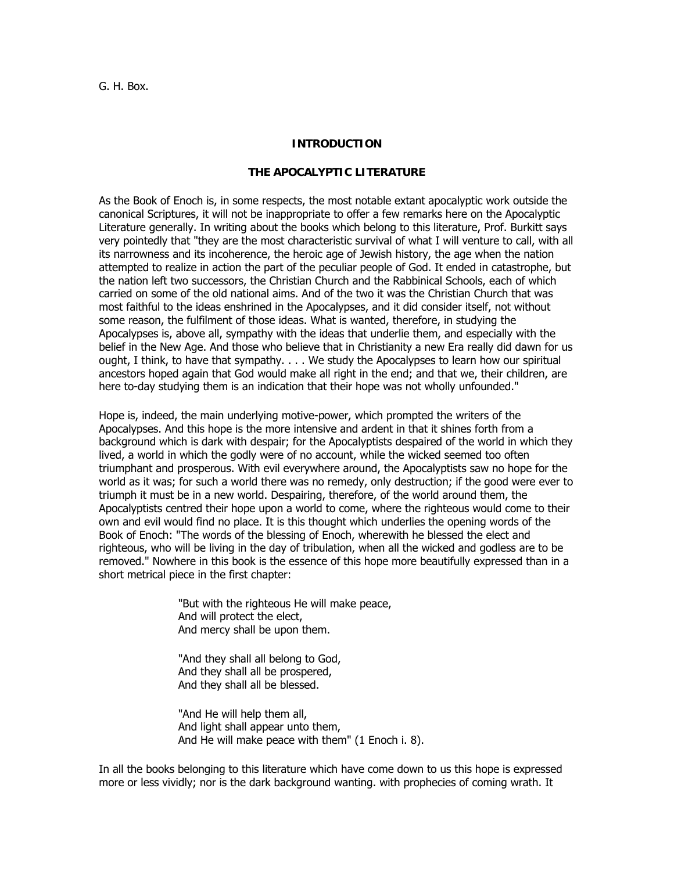G. H. Box.

#### **INTRODUCTION**

#### **THE APOCALYPTIC LITERATURE**

As the Book of Enoch is, in some respects, the most notable extant apocalyptic work outside the canonical Scriptures, it will not be inappropriate to offer a few remarks here on the Apocalyptic Literature generally. In writing about the books which belong to this literature, Prof. Burkitt says very pointedly that "they are the most characteristic survival of what I will venture to call, with all its narrowness and its incoherence, the heroic age of Jewish history, the age when the nation attempted to realize in action the part of the peculiar people of God. It ended in catastrophe, but the nation left two successors, the Christian Church and the Rabbinical Schools, each of which carried on some of the old national aims. And of the two it was the Christian Church that was most faithful to the ideas enshrined in the Apocalypses, and it did consider itself, not without some reason, the fulfilment of those ideas. What is wanted, therefore, in studying the Apocalypses is, above all, sympathy with the ideas that underlie them, and especially with the belief in the New Age. And those who believe that in Christianity a new Era really did dawn for us ought, I think, to have that sympathy. . . . We study the Apocalypses to learn how our spiritual ancestors hoped again that God would make all right in the end; and that we, their children, are here to-day studying them is an indication that their hope was not wholly unfounded."

Hope is, indeed, the main underlying motive-power, which prompted the writers of the Apocalypses. And this hope is the more intensive and ardent in that it shines forth from a background which is dark with despair; for the Apocalyptists despaired of the world in which they lived, a world in which the godly were of no account, while the wicked seemed too often triumphant and prosperous. With evil everywhere around, the Apocalyptists saw no hope for the world as it was; for such a world there was no remedy, only destruction; if the good were ever to triumph it must be in a new world. Despairing, therefore, of the world around them, the Apocalyptists centred their hope upon a world to come, where the righteous would come to their own and evil would find no place. It is this thought which underlies the opening words of the Book of Enoch: "The words of the blessing of Enoch, wherewith he blessed the elect and righteous, who will be living in the day of tribulation, when all the wicked and godless are to be removed." Nowhere in this book is the essence of this hope more beautifully expressed than in a short metrical piece in the first chapter:

> "But with the righteous He will make peace, And will protect the elect, And mercy shall be upon them.

"And they shall all belong to God, And they shall all be prospered, And they shall all be blessed.

"And He will help them all, And light shall appear unto them, And He will make peace with them" (1 Enoch i. 8).

In all the books belonging to this literature which have come down to us this hope is expressed more or less vividly; nor is the dark background wanting. with prophecies of coming wrath. It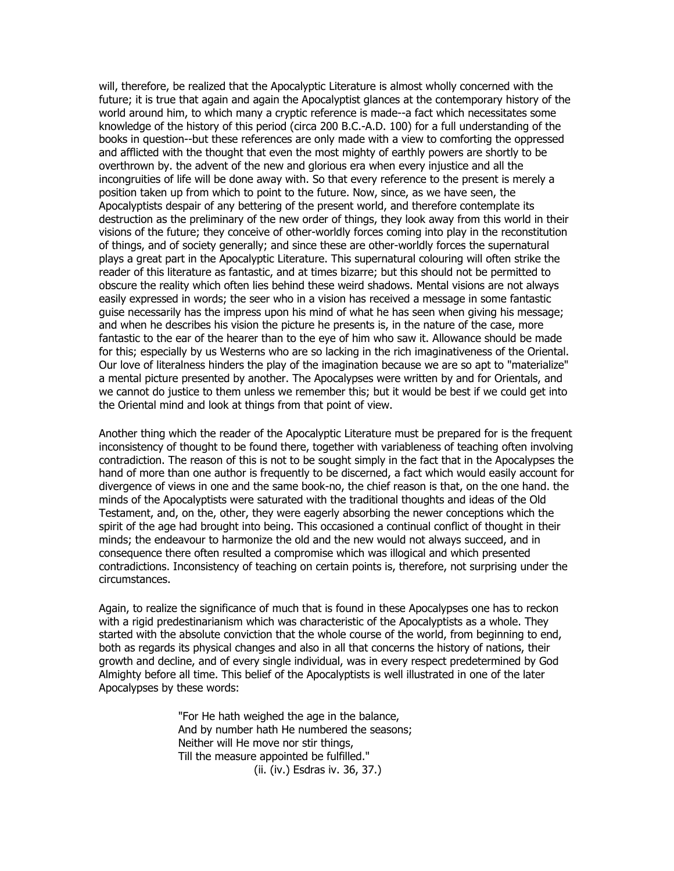will, therefore, be realized that the Apocalyptic Literature is almost wholly concerned with the future; it is true that again and again the Apocalyptist glances at the contemporary history of the world around him, to which many a cryptic reference is made--a fact which necessitates some knowledge of the history of this period (circa 200 B.C.-A.D. 100) for a full understanding of the books in question--but these references are only made with a view to comforting the oppressed and afflicted with the thought that even the most mighty of earthly powers are shortly to be overthrown by. the advent of the new and glorious era when every injustice and all the incongruities of life will be done away with. So that every reference to the present is merely a position taken up from which to point to the future. Now, since, as we have seen, the Apocalyptists despair of any bettering of the present world, and therefore contemplate its destruction as the preliminary of the new order of things, they look away from this world in their visions of the future; they conceive of other-worldly forces coming into play in the reconstitution of things, and of society generally; and since these are other-worldly forces the supernatural plays a great part in the Apocalyptic Literature. This supernatural colouring will often strike the reader of this literature as fantastic, and at times bizarre; but this should not be permitted to obscure the reality which often lies behind these weird shadows. Mental visions are not always easily expressed in words; the seer who in a vision has received a message in some fantastic guise necessarily has the impress upon his mind of what he has seen when giving his message; and when he describes his vision the picture he presents is, in the nature of the case, more fantastic to the ear of the hearer than to the eye of him who saw it. Allowance should be made for this; especially by us Westerns who are so lacking in the rich imaginativeness of the Oriental. Our love of literalness hinders the play of the imagination because we are so apt to "materialize" a mental picture presented by another. The Apocalypses were written by and for Orientals, and we cannot do justice to them unless we remember this; but it would be best if we could get into the Oriental mind and look at things from that point of view.

Another thing which the reader of the Apocalyptic Literature must be prepared for is the frequent inconsistency of thought to be found there, together with variableness of teaching often involving contradiction. The reason of this is not to be sought simply in the fact that in the Apocalypses the hand of more than one author is frequently to be discerned, a fact which would easily account for divergence of views in one and the same book-no, the chief reason is that, on the one hand. the minds of the Apocalyptists were saturated with the traditional thoughts and ideas of the Old Testament, and, on the, other, they were eagerly absorbing the newer conceptions which the spirit of the age had brought into being. This occasioned a continual conflict of thought in their minds; the endeavour to harmonize the old and the new would not always succeed, and in consequence there often resulted a compromise which was illogical and which presented contradictions. Inconsistency of teaching on certain points is, therefore, not surprising under the circumstances.

Again, to realize the significance of much that is found in these Apocalypses one has to reckon with a rigid predestinarianism which was characteristic of the Apocalyptists as a whole. They started with the absolute conviction that the whole course of the world, from beginning to end, both as regards its physical changes and also in all that concerns the history of nations, their growth and decline, and of every single individual, was in every respect predetermined by God Almighty before all time. This belief of the Apocalyptists is well illustrated in one of the later Apocalypses by these words:

> "For He hath weighed the age in the balance, And by number hath He numbered the seasons; Neither will He move nor stir things, Till the measure appointed be fulfilled." (ii. (iv.) Esdras iv. 36, 37.)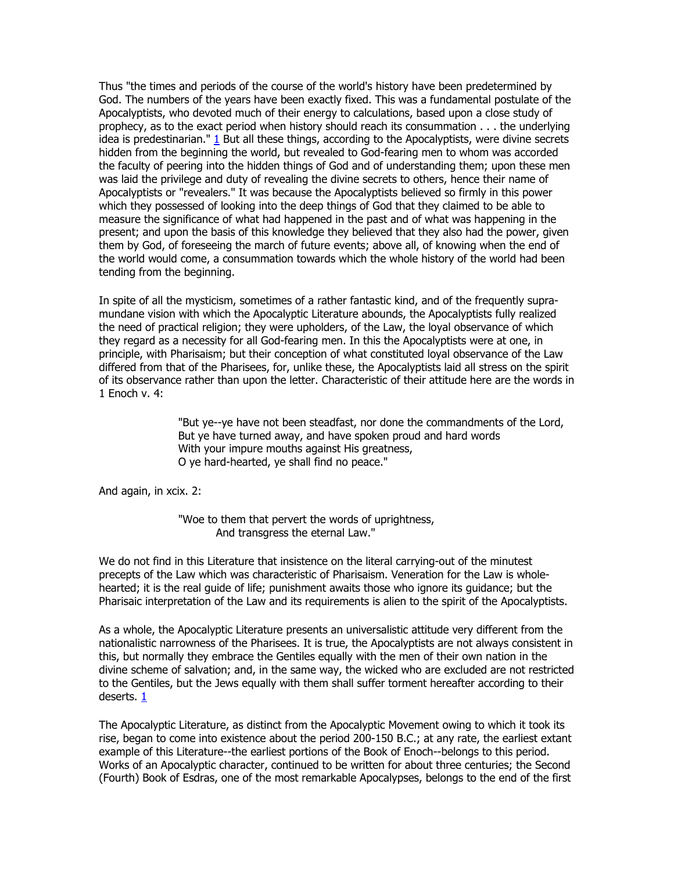Thus "the times and periods of the course of the world's history have been predetermined by God. The numbers of the years have been exactly fixed. This was a fundamental postulate of the Apocalyptists, who devoted much of their energy to calculations, based upon a close study of prophecy, as to the exact period when history should reach its consummation . . . the underlying idea is predestinarian."  $1$  But all these things, according to the Apocalyptists, were divine secrets hidden from the beginning the world, but revealed to God-fearing men to whom was accorded the faculty of peering into the hidden things of God and of understanding them; upon these men was laid the privilege and duty of revealing the divine secrets to others, hence their name of Apocalyptists or "revealers." It was because the Apocalyptists believed so firmly in this power which they possessed of looking into the deep things of God that they claimed to be able to measure the significance of what had happened in the past and of what was happening in the present; and upon the basis of this knowledge they believed that they also had the power, given them by God, of foreseeing the march of future events; above all, of knowing when the end of the world would come, a consummation towards which the whole history of the world had been tending from the beginning.

In spite of all the mysticism, sometimes of a rather fantastic kind, and of the frequently supramundane vision with which the Apocalyptic Literature abounds, the Apocalyptists fully realized the need of practical religion; they were upholders, of the Law, the loyal observance of which they regard as a necessity for all God-fearing men. In this the Apocalyptists were at one, in principle, with Pharisaism; but their conception of what constituted loyal observance of the Law differed from that of the Pharisees, for, unlike these, the Apocalyptists laid all stress on the spirit of its observance rather than upon the letter. Characteristic of their attitude here are the words in 1 Enoch v. 4:

> "But ye--ye have not been steadfast, nor done the commandments of the Lord, But ye have turned away, and have spoken proud and hard words With your impure mouths against His greatness, O ye hard-hearted, ye shall find no peace."

And again, in xcix. 2:

"Woe to them that pervert the words of uprightness, And transgress the eternal Law."

We do not find in this Literature that insistence on the literal carrying-out of the minutest precepts of the Law which was characteristic of Pharisaism. Veneration for the Law is wholehearted; it is the real guide of life; punishment awaits those who ignore its guidance; but the Pharisaic interpretation of the Law and its requirements is alien to the spirit of the Apocalyptists.

As a whole, the Apocalyptic Literature presents an universalistic attitude very different from the nationalistic narrowness of the Pharisees. It is true, the Apocalyptists are not always consistent in this, but normally they embrace the Gentiles equally with the men of their own nation in the divine scheme of salvation; and, in the same way, the wicked who are excluded are not restricted to the Gentiles, but the Jews equally with them shall suffer torment hereafter according to their deserts. [1](http://www.sacred-texts.com/bib/boe/boe002.htm#fn_2#fn_2)

The Apocalyptic Literature, as distinct from the Apocalyptic Movement owing to which it took its rise, began to come into existence about the period 200-150 B.C.; at any rate, the earliest extant example of this Literature--the earliest portions of the Book of Enoch--belongs to this period. Works of an Apocalyptic character, continued to be written for about three centuries; the Second (Fourth) Book of Esdras, one of the most remarkable Apocalypses, belongs to the end of the first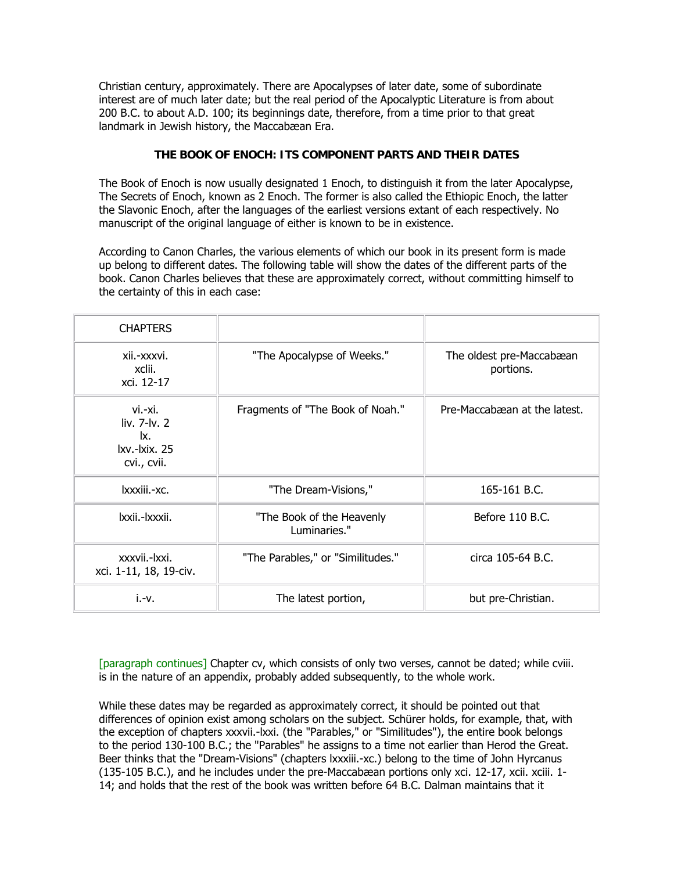Christian century, approximately. There are Apocalypses of later date, some of subordinate interest are of much later date; but the real period of the Apocalyptic Literature is from about 200 B.C. to about A.D. 100; its beginnings date, therefore, from a time prior to that great landmark in Jewish history, the Maccabæan Era.

#### **THE BOOK OF ENOCH: ITS COMPONENT PARTS AND THEIR DATES**

The Book of Enoch is now usually designated 1 Enoch, to distinguish it from the later Apocalypse, The Secrets of Enoch, known as 2 Enoch. The former is also called the Ethiopic Enoch, the latter the Slavonic Enoch, after the languages of the earliest versions extant of each respectively. No manuscript of the original language of either is known to be in existence.

According to Canon Charles, the various elements of which our book in its present form is made up belong to different dates. The following table will show the dates of the different parts of the book. Canon Charles believes that these are approximately correct, without committing himself to the certainty of this in each case:

| <b>CHAPTERS</b>                                                |                                           |                                       |
|----------------------------------------------------------------|-------------------------------------------|---------------------------------------|
| xii.-xxxvi.<br>xclii.<br>xci. 12-17                            | "The Apocalypse of Weeks."                | The oldest pre-Maccabæan<br>portions. |
| vi.-xi.<br>liv. 7-lv. 2<br>lx.<br>lxv.-lxix. 25<br>cvi., cvii. | Fragments of "The Book of Noah."          | Pre-Maccabæan at the latest.          |
| lxxxiii.-xc.                                                   | "The Dream-Visions,"                      | 165-161 B.C.                          |
| Ixxii.-Ixxxii.                                                 | "The Book of the Heavenly<br>Luminaries." | Before 110 B.C.                       |
| xxxvii.-lxxi.<br>xci. 1-11, 18, 19-civ.                        | "The Parables," or "Similitudes."         | circa 105-64 B.C.                     |
| $i.-v.$                                                        | The latest portion,                       | but pre-Christian.                    |

[paragraph continues] Chapter cv, which consists of only two verses, cannot be dated; while cviii. is in the nature of an appendix, probably added subsequently, to the whole work.

While these dates may be regarded as approximately correct, it should be pointed out that differences of opinion exist among scholars on the subject. Schürer holds, for example, that, with the exception of chapters xxxvii.-lxxi. (the "Parables," or "Similitudes"), the entire book belongs to the period 130-100 B.C.; the "Parables" he assigns to a time not earlier than Herod the Great. Beer thinks that the "Dream-Visions" (chapters lxxxiii.-xc.) belong to the time of John Hyrcanus (135-105 B.C.), and he includes under the pre-Maccabæan portions only xci. 12-17, xcii. xciii. 1- 14; and holds that the rest of the book was written before 64 B.C. Dalman maintains that it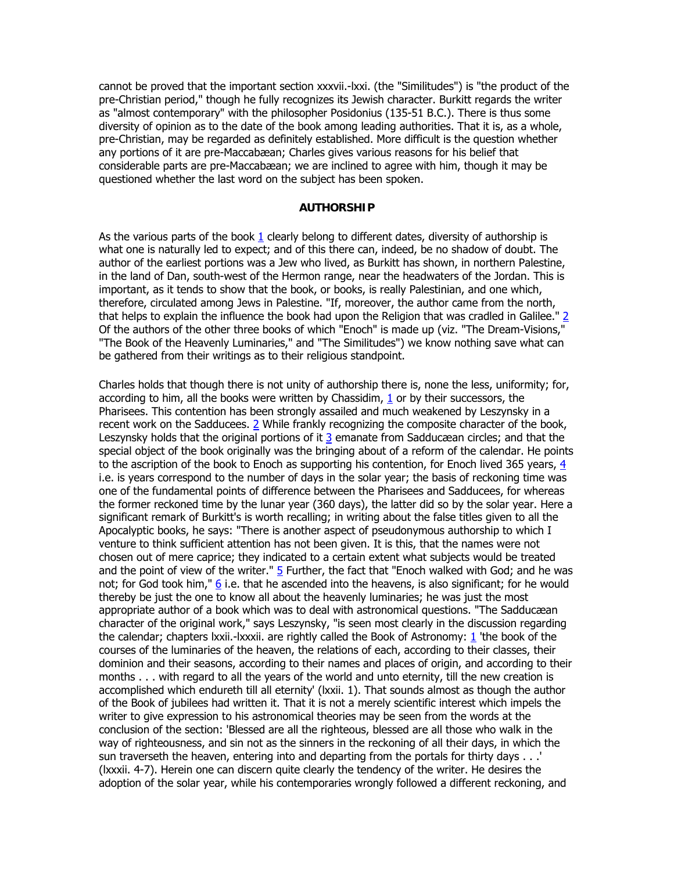cannot be proved that the important section xxxvii.-lxxi. (the "Similitudes") is "the product of the pre-Christian period," though he fully recognizes its Jewish character. Burkitt regards the writer as "almost contemporary" with the philosopher Posidonius (135-51 B.C.). There is thus some diversity of opinion as to the date of the book among leading authorities. That it is, as a whole, pre-Christian, may be regarded as definitely established. More difficult is the question whether any portions of it are pre-Maccabæan; Charles gives various reasons for his belief that considerable parts are pre-Maccabæan; we are inclined to agree with him, though it may be questioned whether the last word on the subject has been spoken.

#### **AUTHORSHIP**

As the various parts of the book  $1$  clearly belong to different dates, diversity of authorship is what one is naturally led to expect; and of this there can, indeed, be no shadow of doubt. The author of the earliest portions was a Jew who lived, as Burkitt has shown, in northern Palestine, in the land of Dan, south-west of the Hermon range, near the headwaters of the Jordan. This is important, as it tends to show that the book, or books, is really Palestinian, and one which, therefore, circulated among Jews in Palestine. "If, moreover, the author came from the north, that helps to explain the influence the book had upon the Religion that was cradled in Galilee." [2](http://www.sacred-texts.com/bib/boe/boe002.htm#fn_4#fn_4) Of the authors of the other three books of which "Enoch" is made up (viz. "The Dream-Visions," "The Book of the Heavenly Luminaries," and "The Similitudes") we know nothing save what can be gathered from their writings as to their religious standpoint.

Charles holds that though there is not unity of authorship there is, none the less, uniformity; for, according to him, all the books were written by Chassidim, [1](http://www.sacred-texts.com/bib/boe/boe002.htm#fn_5#fn_5) or by their successors, the Pharisees. This contention has been strongly assailed and much weakened by Leszynsky in a recent work on the Sadducees. [2](http://www.sacred-texts.com/bib/boe/boe002.htm#fn_6#fn_6) While frankly recognizing the composite character of the book, Leszynsky holds that the original portions of it [3](http://www.sacred-texts.com/bib/boe/boe002.htm#fn_7#fn_7) emanate from Sadducæan circles; and that the special object of the book originally was the bringing about of a reform of the calendar. He points to the ascription of the book to Enoch as supporting his contention, for Enoch lived 365 years, [4](http://www.sacred-texts.com/bib/boe/boe002.htm#fn_8#fn_8) i.e. is years correspond to the number of days in the solar year; the basis of reckoning time was one of the fundamental points of difference between the Pharisees and Sadducees, for whereas the former reckoned time by the lunar year (360 days), the latter did so by the solar year. Here a significant remark of Burkitt's is worth recalling; in writing about the false titles given to all the Apocalyptic books, he says: "There is another aspect of pseudonymous authorship to which I venture to think sufficient attention has not been given. It is this, that the names were not chosen out of mere caprice; they indicated to a certain extent what subjects would be treated and the point of view of the writer."  $\frac{5}{2}$  $\frac{5}{2}$  $\frac{5}{2}$  Further, the fact that "Enoch walked with God; and he was not; for God took him," [6](http://www.sacred-texts.com/bib/boe/boe002.htm#fn_10#fn_10) i.e. that he ascended into the heavens, is also significant; for he would thereby be just the one to know all about the heavenly luminaries; he was just the most appropriate author of a book which was to deal with astronomical questions. "The Sadducæan character of the original work," says Leszynsky, "is seen most clearly in the discussion regarding the calendar; chapters lxxii.-lxxxii. are rightly called the Book of Astronomy: [1](http://www.sacred-texts.com/bib/boe/boe002.htm#fn_11#fn_11) 'the book of the courses of the luminaries of the heaven, the relations of each, according to their classes, their dominion and their seasons, according to their names and places of origin, and according to their months . . . with regard to all the years of the world and unto eternity, till the new creation is accomplished which endureth till all eternity' (lxxii. 1). That sounds almost as though the author of the Book of jubilees had written it. That it is not a merely scientific interest which impels the writer to give expression to his astronomical theories may be seen from the words at the conclusion of the section: 'Blessed are all the righteous, blessed are all those who walk in the way of righteousness, and sin not as the sinners in the reckoning of all their days, in which the sun traverseth the heaven, entering into and departing from the portals for thirty days . . .' (lxxxii. 4-7). Herein one can discern quite clearly the tendency of the writer. He desires the adoption of the solar year, while his contemporaries wrongly followed a different reckoning, and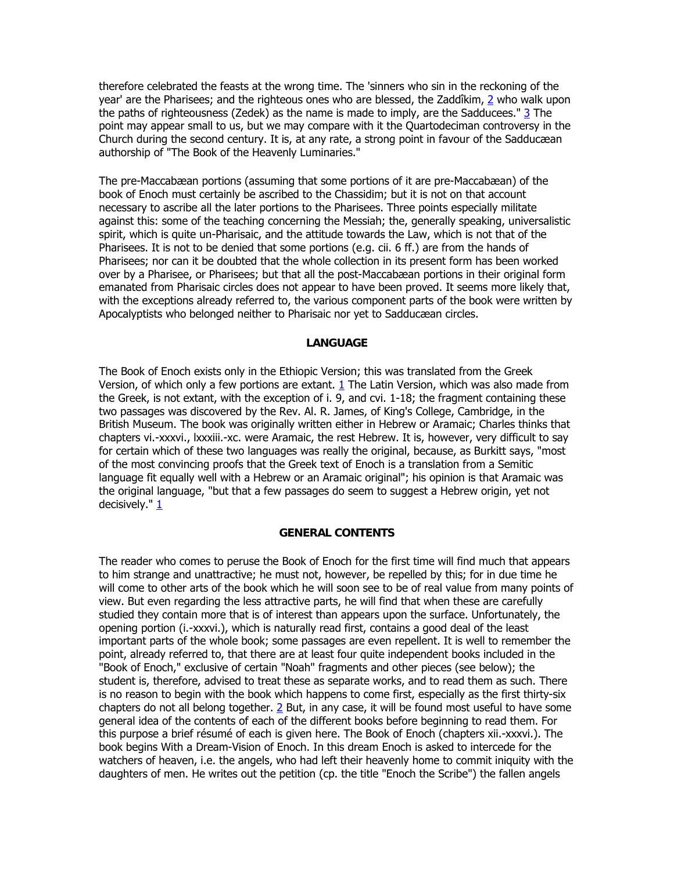therefore celebrated the feasts at the wrong time. The 'sinners who sin in the reckoning of the year' are the Pharisees; and the righteous ones who are blessed, the Zaddîkim, [2](http://www.sacred-texts.com/bib/boe/boe002.htm#fn_12#fn_12) who walk upon the paths of righteousness (Zedek) as the name is made to imply, are the Sadducees." [3](http://www.sacred-texts.com/bib/boe/boe002.htm#fn_13#fn_13) The point may appear small to us, but we may compare with it the Quartodeciman controversy in the Church during the second century. It is, at any rate, a strong point in favour of the Sadducæan authorship of "The Book of the Heavenly Luminaries."

The pre-Maccabæan portions (assuming that some portions of it are pre-Maccabæan) of the book of Enoch must certainly be ascribed to the Chassidim; but it is not on that account necessary to ascribe all the later portions to the Pharisees. Three points especially militate against this: some of the teaching concerning the Messiah; the, generally speaking, universalistic spirit, which is quite un-Pharisaic, and the attitude towards the Law, which is not that of the Pharisees. It is not to be denied that some portions (e.g. cii. 6 ff.) are from the hands of Pharisees; nor can it be doubted that the whole collection in its present form has been worked over by a Pharisee, or Pharisees; but that all the post-Maccabæan portions in their original form emanated from Pharisaic circles does not appear to have been proved. It seems more likely that, with the exceptions already referred to, the various component parts of the book were written by Apocalyptists who belonged neither to Pharisaic nor yet to Sadducæan circles.

#### **LANGUAGE**

The Book of Enoch exists only in the Ethiopic Version; this was translated from the Greek Version, of which only a few portions are extant. [1](http://www.sacred-texts.com/bib/boe/boe002.htm#fn_14#fn_14) The Latin Version, which was also made from the Greek, is not extant, with the exception of i. 9, and cvi. 1-18; the fragment containing these two passages was discovered by the Rev. Al. R. James, of King's College, Cambridge, in the British Museum. The book was originally written either in Hebrew or Aramaic; Charles thinks that chapters vi.-xxxvi., lxxxiii.-xc. were Aramaic, the rest Hebrew. It is, however, very difficult to say for certain which of these two languages was really the original, because, as Burkitt says, "most of the most convincing proofs that the Greek text of Enoch is a translation from a Semitic language fit equally well with a Hebrew or an Aramaic original"; his opinion is that Aramaic was the original language, "but that a few passages do seem to suggest a Hebrew origin, yet not decisively." [1](http://www.sacred-texts.com/bib/boe/boe002.htm#fn_15#fn_15)

#### **GENERAL CONTENTS**

The reader who comes to peruse the Book of Enoch for the first time will find much that appears to him strange and unattractive; he must not, however, be repelled by this; for in due time he will come to other arts of the book which he will soon see to be of real value from many points of view. But even regarding the less attractive parts, he will find that when these are carefully studied they contain more that is of interest than appears upon the surface. Unfortunately, the opening portion (i.-xxxvi.), which is naturally read first, contains a good deal of the least important parts of the whole book; some passages are even repellent. It is well to remember the point, already referred to, that there are at least four quite independent books included in the "Book of Enoch," exclusive of certain "Noah" fragments and other pieces (see below); the student is, therefore, advised to treat these as separate works, and to read them as such. There is no reason to begin with the book which happens to come first, especially as the first thirty-six chapters do not all belong together.  $2$  But, in any case, it will be found most useful to have some general idea of the contents of each of the different books before beginning to read them. For this purpose a brief résumé of each is given here. The Book of Enoch (chapters xii.-xxxvi.). The book begins With a Dream-Vision of Enoch. In this dream Enoch is asked to intercede for the watchers of heaven, i.e. the angels, who had left their heavenly home to commit iniquity with the daughters of men. He writes out the petition (cp. the title "Enoch the Scribe") the fallen angels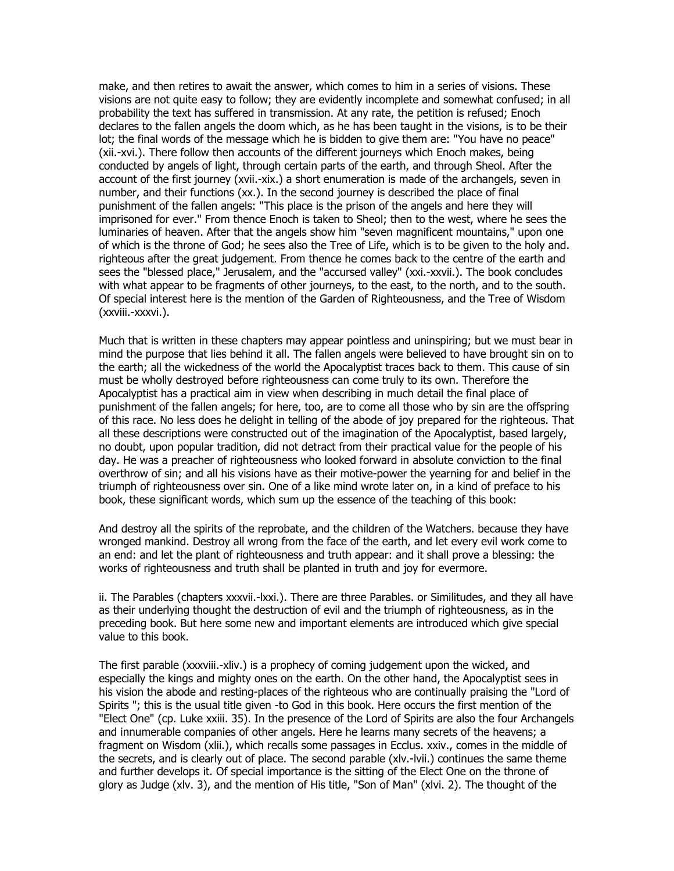make, and then retires to await the answer, which comes to him in a series of visions. These visions are not quite easy to follow; they are evidently incomplete and somewhat confused; in all probability the text has suffered in transmission. At any rate, the petition is refused; Enoch declares to the fallen angels the doom which, as he has been taught in the visions, is to be their lot; the final words of the message which he is bidden to give them are: "You have no peace" (xii.-xvi.). There follow then accounts of the different journeys which Enoch makes, being conducted by angels of light, through certain parts of the earth, and through Sheol. After the account of the first journey (xvii.-xix.) a short enumeration is made of the archangels, seven in number, and their functions (xx.). In the second journey is described the place of final punishment of the fallen angels: "This place is the prison of the angels and here they will imprisoned for ever." From thence Enoch is taken to Sheol; then to the west, where he sees the luminaries of heaven. After that the angels show him "seven magnificent mountains," upon one of which is the throne of God; he sees also the Tree of Life, which is to be given to the holy and. righteous after the great judgement. From thence he comes back to the centre of the earth and sees the "blessed place," Jerusalem, and the "accursed valley" (xxi.-xxvii.). The book concludes with what appear to be fragments of other journeys, to the east, to the north, and to the south. Of special interest here is the mention of the Garden of Righteousness, and the Tree of Wisdom (xxviii.-xxxvi.).

Much that is written in these chapters may appear pointless and uninspiring; but we must bear in mind the purpose that lies behind it all. The fallen angels were believed to have brought sin on to the earth; all the wickedness of the world the Apocalyptist traces back to them. This cause of sin must be wholly destroyed before righteousness can come truly to its own. Therefore the Apocalyptist has a practical aim in view when describing in much detail the final place of punishment of the fallen angels; for here, too, are to come all those who by sin are the offspring of this race. No less does he delight in telling of the abode of joy prepared for the righteous. That all these descriptions were constructed out of the imagination of the Apocalyptist, based largely, no doubt, upon popular tradition, did not detract from their practical value for the people of his day. He was a preacher of righteousness who looked forward in absolute conviction to the final overthrow of sin; and all his visions have as their motive-power the yearning for and belief in the triumph of righteousness over sin. One of a like mind wrote later on, in a kind of preface to his book, these significant words, which sum up the essence of the teaching of this book:

And destroy all the spirits of the reprobate, and the children of the Watchers. because they have wronged mankind. Destroy all wrong from the face of the earth, and let every evil work come to an end: and let the plant of righteousness and truth appear: and it shall prove a blessing: the works of righteousness and truth shall be planted in truth and joy for evermore.

ii. The Parables (chapters xxxvii.-lxxi.). There are three Parables. or Similitudes, and they all have as their underlying thought the destruction of evil and the triumph of righteousness, as in the preceding book. But here some new and important elements are introduced which give special value to this book.

The first parable (xxxviii.-xliv.) is a prophecy of coming judgement upon the wicked, and especially the kings and mighty ones on the earth. On the other hand, the Apocalyptist sees in his vision the abode and resting-places of the righteous who are continually praising the "Lord of Spirits "; this is the usual title given -to God in this book. Here occurs the first mention of the "Elect One" (cp. Luke xxiii. 35). In the presence of the Lord of Spirits are also the four Archangels and innumerable companies of other angels. Here he learns many secrets of the heavens; a fragment on Wisdom (xlii.), which recalls some passages in Ecclus. xxiv., comes in the middle of the secrets, and is clearly out of place. The second parable (xlv.-lvii.) continues the same theme and further develops it. Of special importance is the sitting of the Elect One on the throne of glory as Judge (xlv. 3), and the mention of His title, "Son of Man" (xlvi. 2). The thought of the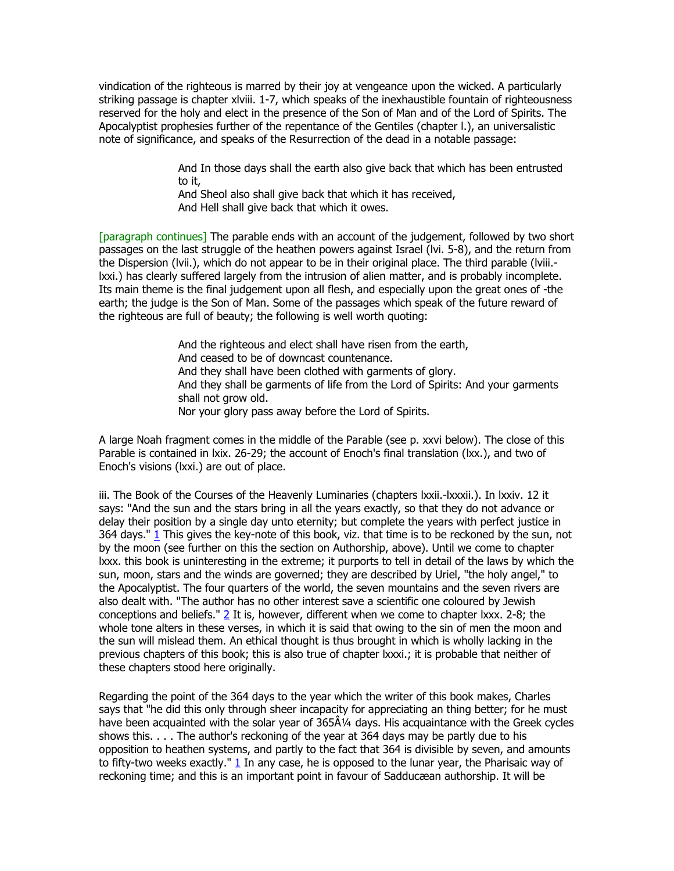vindication of the righteous is marred by their joy at vengeance upon the wicked. A particularly striking passage is chapter xlviii. 1-7, which speaks of the inexhaustible fountain of righteousness reserved for the holy and elect in the presence of the Son of Man and of the Lord of Spirits. The Apocalyptist prophesies further of the repentance of the Gentiles (chapter l.), an universalistic note of significance, and speaks of the Resurrection of the dead in a notable passage:

> And In those days shall the earth also give back that which has been entrusted to it,

And Sheol also shall give back that which it has received, And Hell shall give back that which it owes.

[paragraph continues] The parable ends with an account of the judgement, followed by two short passages on the last struggle of the heathen powers against Israel (lvi. 5-8), and the return from the Dispersion (lvii.), which do not appear to be in their original place. The third parable (lviii. lxxi.) has clearly suffered largely from the intrusion of alien matter, and is probably incomplete. Its main theme is the final judgement upon all flesh, and especially upon the great ones of -the earth; the judge is the Son of Man. Some of the passages which speak of the future reward of the righteous are full of beauty; the following is well worth quoting:

> And the righteous and elect shall have risen from the earth, And ceased to be of downcast countenance. And they shall have been clothed with garments of glory. And they shall be garments of life from the Lord of Spirits: And your garments shall not grow old. Nor your glory pass away before the Lord of Spirits.

A large Noah fragment comes in the middle of the Parable (see p. xxvi below). The close of this Parable is contained in lxix. 26-29; the account of Enoch's final translation (lxx.), and two of Enoch's visions (lxxi.) are out of place.

iii. The Book of the Courses of the Heavenly Luminaries (chapters lxxii.-lxxxii.). In lxxiv. 12 it says: "And the sun and the stars bring in all the years exactly, so that they do not advance or delay their position by a single day unto eternity; but complete the years with perfect justice in 364 days." [1](http://www.sacred-texts.com/bib/boe/boe002.htm#fn_17#fn_17) This gives the key-note of this book, viz. that time is to be reckoned by the sun, not by the moon (see further on this the section on Authorship, above). Until we come to chapter lxxx. this book is uninteresting in the extreme; it purports to tell in detail of the laws by which the sun, moon, stars and the winds are governed; they are described by Uriel, "the holy angel," to the Apocalyptist. The four quarters of the world, the seven mountains and the seven rivers are also dealt with. "The author has no other interest save a scientific one coloured by Jewish conceptions and beliefs." [2](http://www.sacred-texts.com/bib/boe/boe002.htm#fn_18#fn_18) It is, however, different when we come to chapter lxxx. 2-8; the whole tone alters in these verses, in which it is said that owing to the sin of men the moon and the sun will mislead them. An ethical thought is thus brought in which is wholly lacking in the previous chapters of this book; this is also true of chapter lxxxi.; it is probable that neither of these chapters stood here originally.

Regarding the point of the 364 days to the year which the writer of this book makes, Charles says that "he did this only through sheer incapacity for appreciating an thing better; for he must have been acquainted with the solar year of  $365\AA/4$  days. His acquaintance with the Greek cycles shows this. . . . The author's reckoning of the year at 364 days may be partly due to his opposition to heathen systems, and partly to the fact that 364 is divisible by seven, and amounts to fifty-two weeks exactly."  $1$  In any case, he is opposed to the lunar year, the Pharisaic way of reckoning time; and this is an important point in favour of Sadducæan authorship. It will be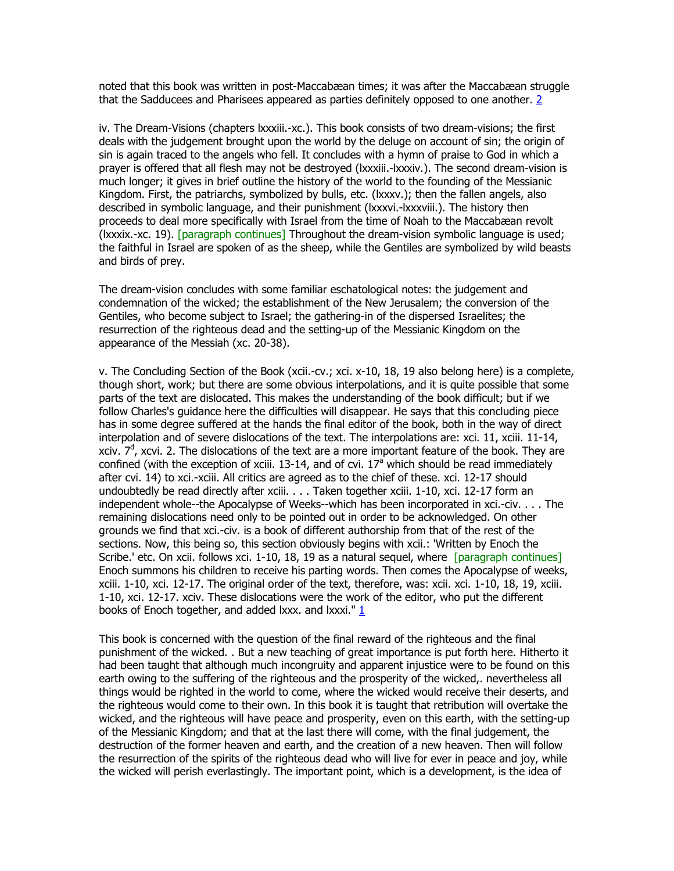noted that this book was written in post-Maccabæan times; it was after the Maccabæan struggle that the Sadducees and Pharisees appeared as parties definitely opposed to one another. [2](http://www.sacred-texts.com/bib/boe/boe002.htm#fn_20#fn_20)

iv. The Dream-Visions (chapters lxxxiii.-xc.). This book consists of two dream-visions; the first deals with the judgement brought upon the world by the deluge on account of sin; the origin of sin is again traced to the angels who fell. It concludes with a hymn of praise to God in which a prayer is offered that all flesh may not be destroyed (lxxxiii.-lxxxiv.). The second dream-vision is much longer; it gives in brief outline the history of the world to the founding of the Messianic Kingdom. First, the patriarchs, symbolized by bulls, etc. (lxxxv.); then the fallen angels, also described in symbolic language, and their punishment (lxxxvi.-lxxxviii.). The history then proceeds to deal more specifically with Israel from the time of Noah to the Maccabæan revolt (lxxxix.-xc. 19). [paragraph continues] Throughout the dream-vision symbolic language is used; the faithful in Israel are spoken of as the sheep, while the Gentiles are symbolized by wild beasts and birds of prey.

The dream-vision concludes with some familiar eschatological notes: the judgement and condemnation of the wicked; the establishment of the New Jerusalem; the conversion of the Gentiles, who become subject to Israel; the gathering-in of the dispersed Israelites; the resurrection of the righteous dead and the setting-up of the Messianic Kingdom on the appearance of the Messiah (xc. 20-38).

v. The Concluding Section of the Book (xcii.-cv.; xci. x-10, 18, 19 also belong here) is a complete, though short, work; but there are some obvious interpolations, and it is quite possible that some parts of the text are dislocated. This makes the understanding of the book difficult; but if we follow Charles's guidance here the difficulties will disappear. He says that this concluding piece has in some degree suffered at the hands the final editor of the book, both in the way of direct interpolation and of severe dislocations of the text. The interpolations are: xci. 11, xciii. 11-14, xciv.  $7<sup>d</sup>$ , xcvi. 2. The dislocations of the text are a more important feature of the book. They are confined (with the exception of xciii.  $13-14$ , and of cvi.  $17<sup>a</sup>$  which should be read immediately after cvi. 14) to xci.-xciii. All critics are agreed as to the chief of these. xci. 12-17 should undoubtedly be read directly after xciii. . . . Taken together xciii. 1-10, xci. 12-17 form an independent whole--the Apocalypse of Weeks--which has been incorporated in xci.-civ. . . . The remaining dislocations need only to be pointed out in order to be acknowledged. On other grounds we find that xci.-civ. is a book of different authorship from that of the rest of the sections. Now, this being so, this section obviously begins with xcii.: 'Written by Enoch the Scribe.' etc. On xcii. follows xci. 1-10, 18, 19 as a natural sequel, where [paragraph continues] Enoch summons his children to receive his parting words. Then comes the Apocalypse of weeks, xciii. 1-10, xci. 12-17. The original order of the text, therefore, was: xcii. xci. 1-10, 18, 19, xciii. 1-10, xci. 12-17. xciv. These dislocations were the work of the editor, who put the different books of Enoch together, and added lxxx. and lxxxi." [1](http://www.sacred-texts.com/bib/boe/boe002.htm#fn_21#fn_21)

This book is concerned with the question of the final reward of the righteous and the final punishment of the wicked. . But a new teaching of great importance is put forth here. Hitherto it had been taught that although much incongruity and apparent injustice were to be found on this earth owing to the suffering of the righteous and the prosperity of the wicked,, nevertheless all things would be righted in the world to come, where the wicked would receive their deserts, and the righteous would come to their own. In this book it is taught that retribution will overtake the wicked, and the righteous will have peace and prosperity, even on this earth, with the setting-up of the Messianic Kingdom; and that at the last there will come, with the final judgement, the destruction of the former heaven and earth, and the creation of a new heaven. Then will follow the resurrection of the spirits of the righteous dead who will live for ever in peace and joy, while the wicked will perish everlastingly. The important point, which is a development, is the idea of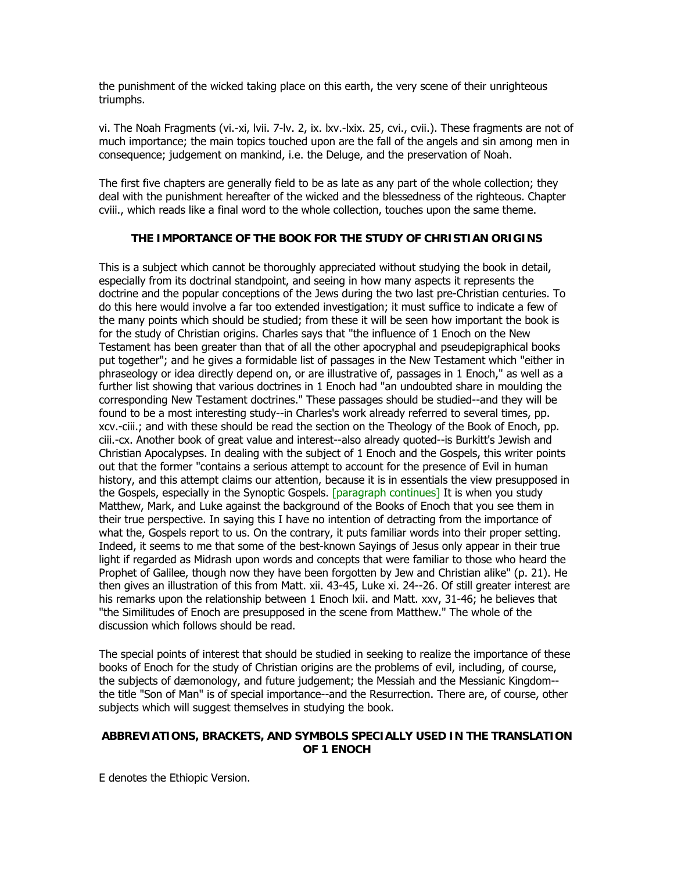the punishment of the wicked taking place on this earth, the very scene of their unrighteous triumphs.

vi. The Noah Fragments (vi.-xi, lvii. 7-lv. 2, ix. lxv.-lxix. 25, cvi., cvii.). These fragments are not of much importance; the main topics touched upon are the fall of the angels and sin among men in consequence; judgement on mankind, i.e. the Deluge, and the preservation of Noah.

The first five chapters are generally field to be as late as any part of the whole collection; they deal with the punishment hereafter of the wicked and the blessedness of the righteous. Chapter cviii., which reads like a final word to the whole collection, touches upon the same theme.

#### **THE IMPORTANCE OF THE BOOK FOR THE STUDY OF CHRISTIAN ORIGINS**

This is a subject which cannot be thoroughly appreciated without studying the book in detail, especially from its doctrinal standpoint, and seeing in how many aspects it represents the doctrine and the popular conceptions of the Jews during the two last pre-Christian centuries. To do this here would involve a far too extended investigation; it must suffice to indicate a few of the many points which should be studied; from these it will be seen how important the book is for the study of Christian origins. Charles says that "the influence of 1 Enoch on the New Testament has been greater than that of all the other apocryphal and pseudepigraphical books put together"; and he gives a formidable list of passages in the New Testament which "either in phraseology or idea directly depend on, or are illustrative of, passages in 1 Enoch," as well as a further list showing that various doctrines in 1 Enoch had "an undoubted share in moulding the corresponding New Testament doctrines." These passages should be studied--and they will be found to be a most interesting study--in Charles's work already referred to several times, pp. xcv.-ciii.; and with these should be read the section on the Theology of the Book of Enoch, pp. ciii.-cx. Another book of great value and interest--also already quoted--is Burkitt's Jewish and Christian Apocalypses. In dealing with the subject of 1 Enoch and the Gospels, this writer points out that the former "contains a serious attempt to account for the presence of Evil in human history, and this attempt claims our attention, because it is in essentials the view presupposed in the Gospels, especially in the Synoptic Gospels. [paragraph continues] It is when you study Matthew, Mark, and Luke against the background of the Books of Enoch that you see them in their true perspective. In saying this I have no intention of detracting from the importance of what the, Gospels report to us. On the contrary, it puts familiar words into their proper setting. Indeed, it seems to me that some of the best-known Sayings of Jesus only appear in their true light if regarded as Midrash upon words and concepts that were familiar to those who heard the Prophet of Galilee, though now they have been forgotten by Jew and Christian alike" (p. 21). He then gives an illustration of this from Matt. xii. 43-45, Luke xi. 24--26. Of still greater interest are his remarks upon the relationship between 1 Enoch lxii. and Matt. xxv, 31-46; he believes that "the Similitudes of Enoch are presupposed in the scene from Matthew." The whole of the discussion which follows should be read.

The special points of interest that should be studied in seeking to realize the importance of these books of Enoch for the study of Christian origins are the problems of evil, including, of course, the subjects of dæmonology, and future judgement; the Messiah and the Messianic Kingdom- the title "Son of Man" is of special importance--and the Resurrection. There are, of course, other subjects which will suggest themselves in studying the book.

#### **ABBREVIATIONS, BRACKETS, AND SYMBOLS SPECIALLY USED IN THE TRANSLATION OF 1 ENOCH**

E denotes the Ethiopic Version.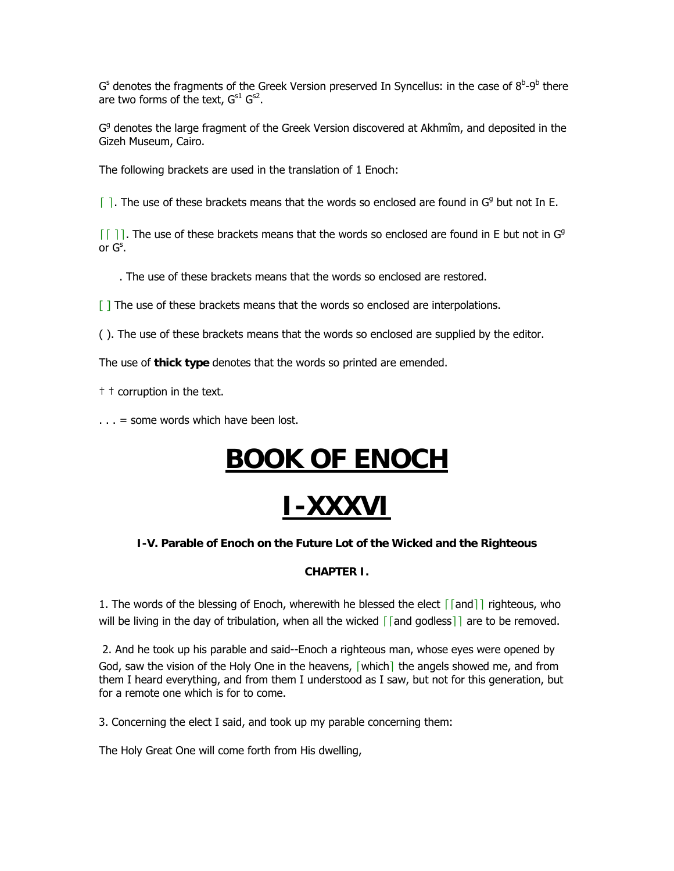G<sup>s</sup> denotes the fragments of the Greek Version preserved In Syncellus: in the case of  $8^{\text{b}}$ -9<sup>b</sup> there are two forms of the text,  $G^{s1}$   $G^{s2}$ .

G<sup>g</sup> denotes the large fragment of the Greek Version discovered at Akhmîm, and deposited in the Gizeh Museum, Cairo.

The following brackets are used in the translation of 1 Enoch:

 $\lceil$  ]. The use of these brackets means that the words so enclosed are found in G<sup>g</sup> but not In E.

 $\lceil \lceil \cdot \rceil \rceil$ . The use of these brackets means that the words so enclosed are found in E but not in G<sup>g</sup> or  $\mathsf{G}^{\mathsf{s}}$ .

. The use of these brackets means that the words so enclosed are restored.

 $\lceil \cdot \rceil$  The use of these brackets means that the words so enclosed are interpolations.

( ). The use of these brackets means that the words so enclosed are supplied by the editor.

The use of **thick type** denotes that the words so printed are emended.

† † corruption in the text.

 $\ldots$  = some words which have been lost.

# **BOOK OF ENOCH**

# **I-XXXVI**

### **I-V. Parable of Enoch on the Future Lot of the Wicked and the Righteous**

### **CHAPTER I.**

1. The words of the blessing of Enoch, wherewith he blessed the elect  $\lceil \lceil \text{and} \rceil \rceil$  righteous, who will be living in the day of tribulation, when all the wicked  $\lceil$  and godless $\rceil$  are to be removed.

 2. And he took up his parable and said--Enoch a righteous man, whose eyes were opened by God, saw the vision of the Holy One in the heavens, [which] the angels showed me, and from them I heard everything, and from them I understood as I saw, but not for this generation, but for a remote one which is for to come.

3. Concerning the elect I said, and took up my parable concerning them:

The Holy Great One will come forth from His dwelling,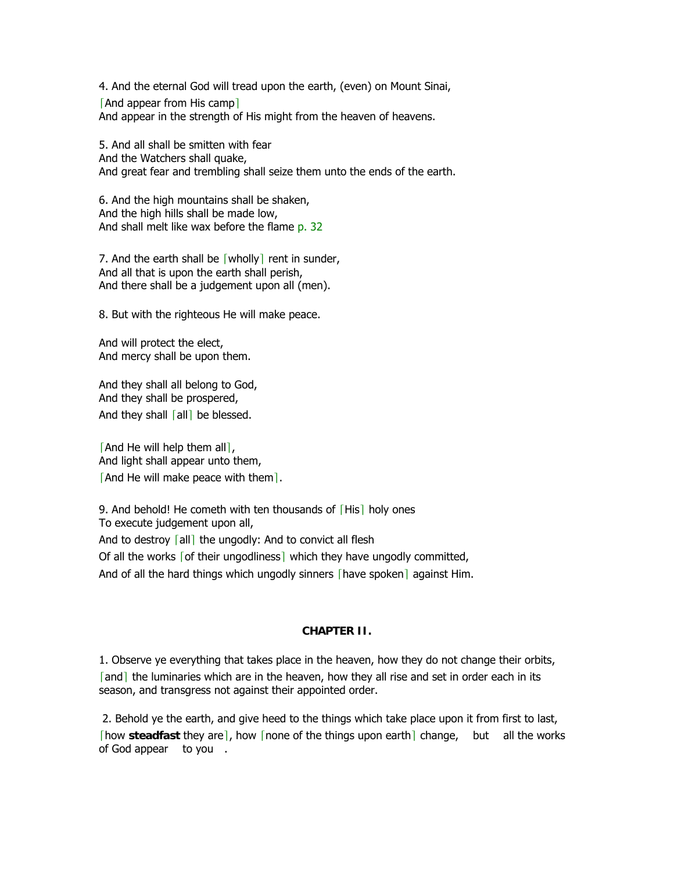4. And the eternal God will tread upon the earth, (even) on Mount Sinai,

[And appear from His camp] And appear in the strength of His might from the heaven of heavens.

5. And all shall be smitten with fear And the Watchers shall quake, And great fear and trembling shall seize them unto the ends of the earth.

6. And the high mountains shall be shaken, And the high hills shall be made low, And shall melt like wax before the flame p. 32

7. And the earth shall be  $\lceil$  wholly $\rceil$  rent in sunder, And all that is upon the earth shall perish, And there shall be a judgement upon all (men).

8. But with the righteous He will make peace.

And will protect the elect, And mercy shall be upon them.

And they shall all belong to God, And they shall be prospered, And they shall  $\lceil$ all $\rceil$  be blessed.

[And He will help them all], And light shall appear unto them, [And He will make peace with them].

9. And behold! He cometh with ten thousands of [His] holy ones To execute judgement upon all,

And to destroy  $\lceil$  all $\rceil$  the ungodly: And to convict all flesh

Of all the works [of their ungodliness] which they have ungodly committed,

And of all the hard things which ungodly sinners [have spoken] against Him.

#### **CHAPTER II.**

1. Observe ye everything that takes place in the heaven, how they do not change their orbits, [and] the luminaries which are in the heaven, how they all rise and set in order each in its season, and transgress not against their appointed order.

 2. Behold ye the earth, and give heed to the things which take place upon it from first to last, **[bow steadfast they are], how [none of the things upon earth**] change, but all the works of God appear to you.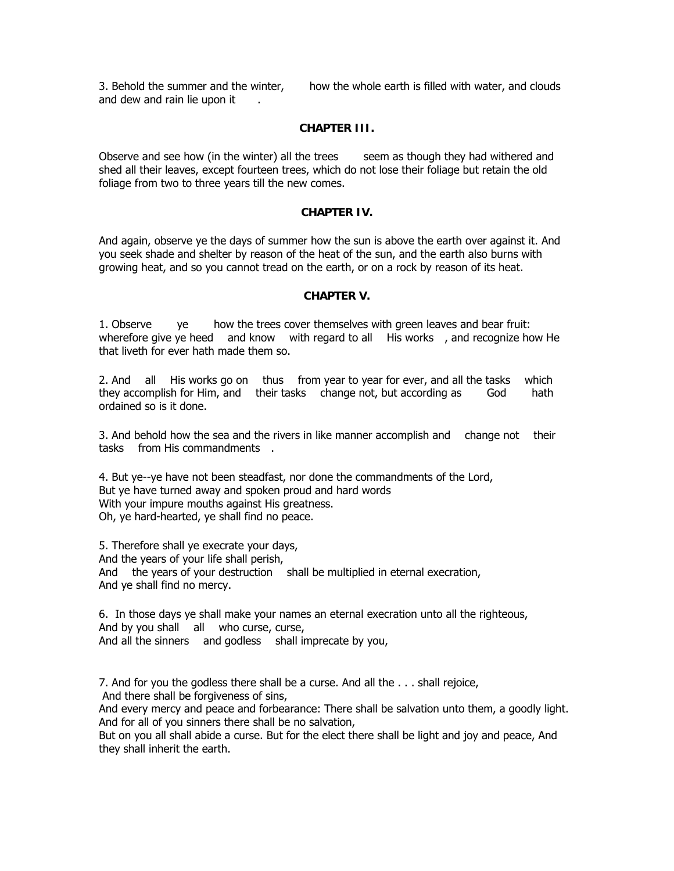3. Behold the summer and the winter, how the whole earth is filled with water, and clouds and dew and rain lie upon it.

#### **CHAPTER III.**

Observe and see how (in the winter) all the trees seem as though they had withered and shed all their leaves, except fourteen trees, which do not lose their foliage but retain the old foliage from two to three years till the new comes.

#### **CHAPTER IV.**

And again, observe ye the days of summer how the sun is above the earth over against it. And you seek shade and shelter by reason of the heat of the sun, and the earth also burns with growing heat, and so you cannot tread on the earth, or on a rock by reason of its heat.

#### **CHAPTER V.**

1. Observe ye how the trees cover themselves with green leaves and bear fruit: wherefore give ye heed and know with regard to all His works, and recognize how He that liveth for ever hath made them so.

2. And all His works go on thus from year to year for ever, and all the tasks which they accomplish for Him, and their tasks change not, but according as God hath ordained so is it done.

3. And behold how the sea and the rivers in like manner accomplish and change not their tasks from His commandments.

4. But ye--ye have not been steadfast, nor done the commandments of the Lord, But ye have turned away and spoken proud and hard words With your impure mouths against His greatness. Oh, ye hard-hearted, ye shall find no peace.

5. Therefore shall ye execrate your days, And the years of your life shall perish, And the years of your destruction shall be multiplied in eternal execration, And ye shall find no mercy.

6. In those days ye shall make your names an eternal execration unto all the righteous, And by you shall all who curse, curse, And all the sinners and godless shall imprecate by you,

7. And for you the godless there shall be a curse. And all the . . . shall rejoice, And there shall be forgiveness of sins,

And every mercy and peace and forbearance: There shall be salvation unto them, a goodly light. And for all of you sinners there shall be no salvation,

But on you all shall abide a curse. But for the elect there shall be light and joy and peace, And they shall inherit the earth.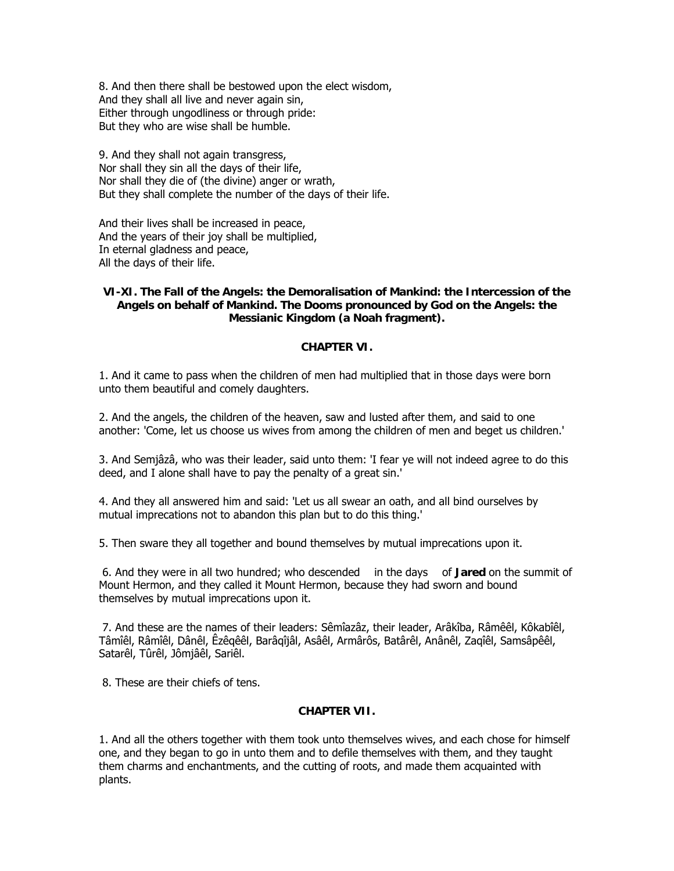8. And then there shall be bestowed upon the elect wisdom, And they shall all live and never again sin, Either through ungodliness or through pride: But they who are wise shall be humble.

9. And they shall not again transgress, Nor shall they sin all the days of their life, Nor shall they die of (the divine) anger or wrath, But they shall complete the number of the days of their life.

And their lives shall be increased in peace, And the years of their joy shall be multiplied, In eternal gladness and peace, All the days of their life.

#### **VI-XI. The Fall of the Angels: the Demoralisation of Mankind: the Intercession of the Angels on behalf of Mankind. The Dooms pronounced by God on the Angels: the Messianic Kingdom (a Noah fragment).**

#### **CHAPTER VI.**

1. And it came to pass when the children of men had multiplied that in those days were born unto them beautiful and comely daughters.

2. And the angels, the children of the heaven, saw and lusted after them, and said to one another: 'Come, let us choose us wives from among the children of men and beget us children.'

3. And Semjâzâ, who was their leader, said unto them: 'I fear ye will not indeed agree to do this deed, and I alone shall have to pay the penalty of a great sin.'

4. And they all answered him and said: 'Let us all swear an oath, and all bind ourselves by mutual imprecations not to abandon this plan but to do this thing.'

5. Then sware they all together and bound themselves by mutual imprecations upon it.

 6. And they were in all two hundred; who descended in the days of **Jared** on the summit of Mount Hermon, and they called it Mount Hermon, because they had sworn and bound themselves by mutual imprecations upon it.

 7. And these are the names of their leaders: Sêmîazâz, their leader, Arâkîba, Râmêêl, Kôkabîêl, Tâmîêl, Râmîêl, Dânêl, Êzêqêêl, Barâqîjâl, Asâêl, Armârôs, Batârêl, Anânêl, Zaqîêl, Samsâpêêl, Satarêl, Tûrêl, Jômjâêl, Sariêl.

8. These are their chiefs of tens.

#### **CHAPTER VII.**

1. And all the others together with them took unto themselves wives, and each chose for himself one, and they began to go in unto them and to defile themselves with them, and they taught them charms and enchantments, and the cutting of roots, and made them acquainted with plants.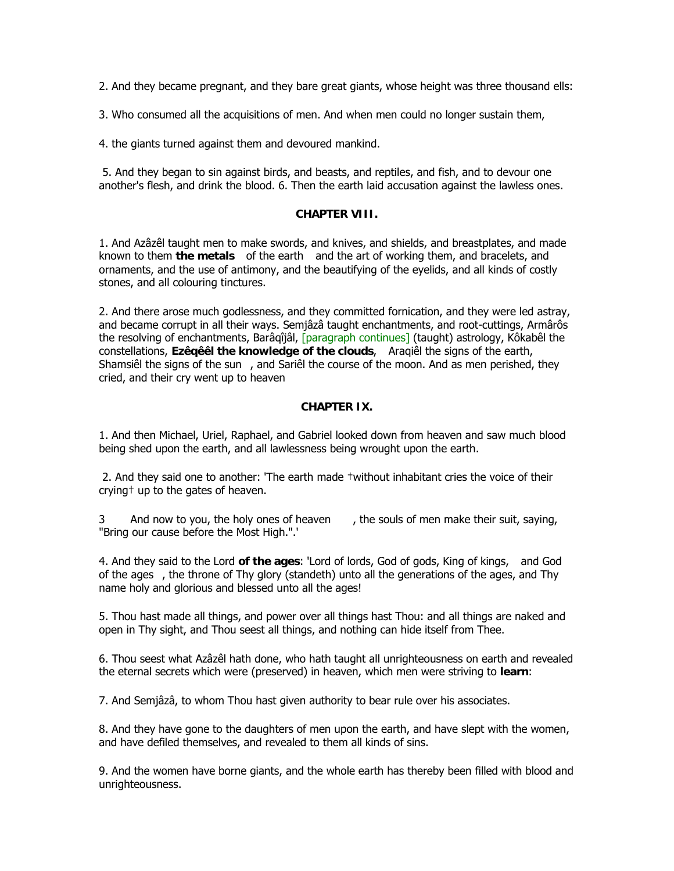2. And they became pregnant, and they bare great giants, whose height was three thousand ells:

3. Who consumed all the acquisitions of men. And when men could no longer sustain them,

4. the giants turned against them and devoured mankind.

 5. And they began to sin against birds, and beasts, and reptiles, and fish, and to devour one another's flesh, and drink the blood. 6. Then the earth laid accusation against the lawless ones.

#### **CHAPTER VIII.**

1. And Azâzêl taught men to make swords, and knives, and shields, and breastplates, and made known to them **the metals** of the earth and the art of working them, and bracelets, and ornaments, and the use of antimony, and the beautifying of the eyelids, and all kinds of costly stones, and all colouring tinctures.

2. And there arose much godlessness, and they committed fornication, and they were led astray, and became corrupt in all their ways. Semjâzâ taught enchantments, and root-cuttings, Armârôs the resolving of enchantments, Barâqîjâl, [paragraph continues] (taught) astrology, Kôkabêl the constellations, **Ezêqêêl the knowledge of the clouds**, Araqiêl the signs of the earth, Shamsiêl the signs of the sun , and Sariêl the course of the moon. And as men perished, they cried, and their cry went up to heaven

#### **CHAPTER IX.**

1. And then Michael, Uriel, Raphael, and Gabriel looked down from heaven and saw much blood being shed upon the earth, and all lawlessness being wrought upon the earth.

 2. And they said one to another: 'The earth made †without inhabitant cries the voice of their crying† up to the gates of heaven.

3 And now to you, the holy ones of heaven, the souls of men make their suit, saying, "Bring our cause before the Most High.".'

4. And they said to the Lord **of the ages**: 'Lord of lords, God of gods, King of kings, and God of the ages , the throne of Thy glory (standeth) unto all the generations of the ages, and Thy name holy and glorious and blessed unto all the ages!

5. Thou hast made all things, and power over all things hast Thou: and all things are naked and open in Thy sight, and Thou seest all things, and nothing can hide itself from Thee.

6. Thou seest what Azâzêl hath done, who hath taught all unrighteousness on earth and revealed the eternal secrets which were (preserved) in heaven, which men were striving to **learn**:

7. And Semjâzâ, to whom Thou hast given authority to bear rule over his associates.

8. And they have gone to the daughters of men upon the earth, and have slept with the women, and have defiled themselves, and revealed to them all kinds of sins.

9. And the women have borne giants, and the whole earth has thereby been filled with blood and unrighteousness.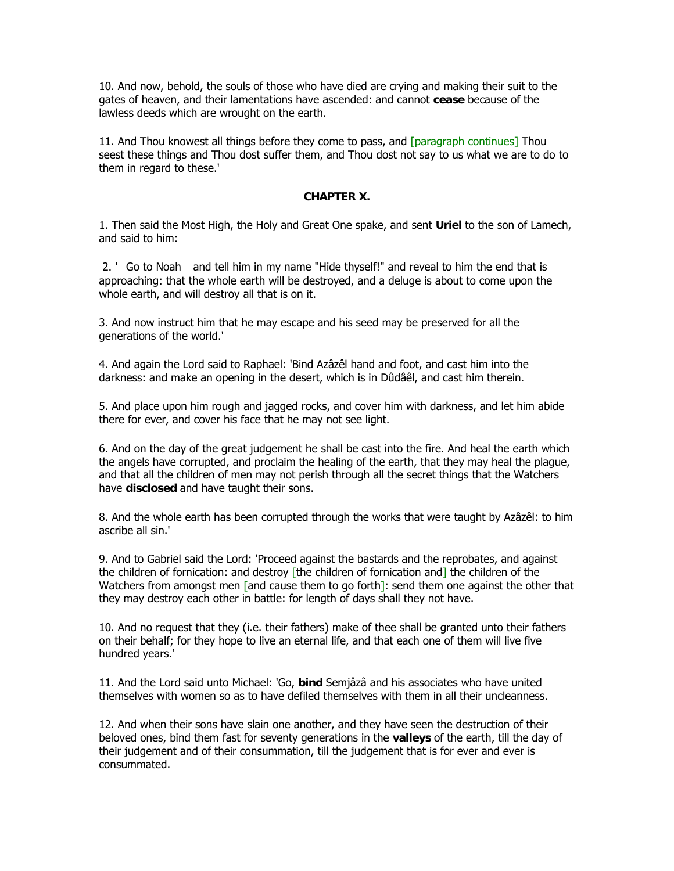10. And now, behold, the souls of those who have died are crying and making their suit to the gates of heaven, and their lamentations have ascended: and cannot **cease** because of the lawless deeds which are wrought on the earth.

11. And Thou knowest all things before they come to pass, and [paragraph continues] Thou seest these things and Thou dost suffer them, and Thou dost not say to us what we are to do to them in regard to these.'

#### **CHAPTER X.**

1. Then said the Most High, the Holy and Great One spake, and sent **Uriel** to the son of Lamech, and said to him:

 2. ' Go to Noah and tell him in my name "Hide thyself!" and reveal to him the end that is approaching: that the whole earth will be destroyed, and a deluge is about to come upon the whole earth, and will destroy all that is on it.

3. And now instruct him that he may escape and his seed may be preserved for all the generations of the world.'

4. And again the Lord said to Raphael: 'Bind Azâzêl hand and foot, and cast him into the darkness: and make an opening in the desert, which is in Dûdâêl, and cast him therein.

5. And place upon him rough and jagged rocks, and cover him with darkness, and let him abide there for ever, and cover his face that he may not see light.

6. And on the day of the great judgement he shall be cast into the fire. And heal the earth which the angels have corrupted, and proclaim the healing of the earth, that they may heal the plague, and that all the children of men may not perish through all the secret things that the Watchers have **disclosed** and have taught their sons.

8. And the whole earth has been corrupted through the works that were taught by Azâzêl: to him ascribe all sin.'

9. And to Gabriel said the Lord: 'Proceed against the bastards and the reprobates, and against the children of fornication: and destroy [the children of fornication and] the children of the Watchers from amongst men [and cause them to go forth]: send them one against the other that they may destroy each other in battle: for length of days shall they not have.

10. And no request that they (i.e. their fathers) make of thee shall be granted unto their fathers on their behalf; for they hope to live an eternal life, and that each one of them will live five hundred years.'

11. And the Lord said unto Michael: 'Go, **bind** Semjâzâ and his associates who have united themselves with women so as to have defiled themselves with them in all their uncleanness.

12. And when their sons have slain one another, and they have seen the destruction of their beloved ones, bind them fast for seventy generations in the **valleys** of the earth, till the day of their judgement and of their consummation, till the judgement that is for ever and ever is consummated.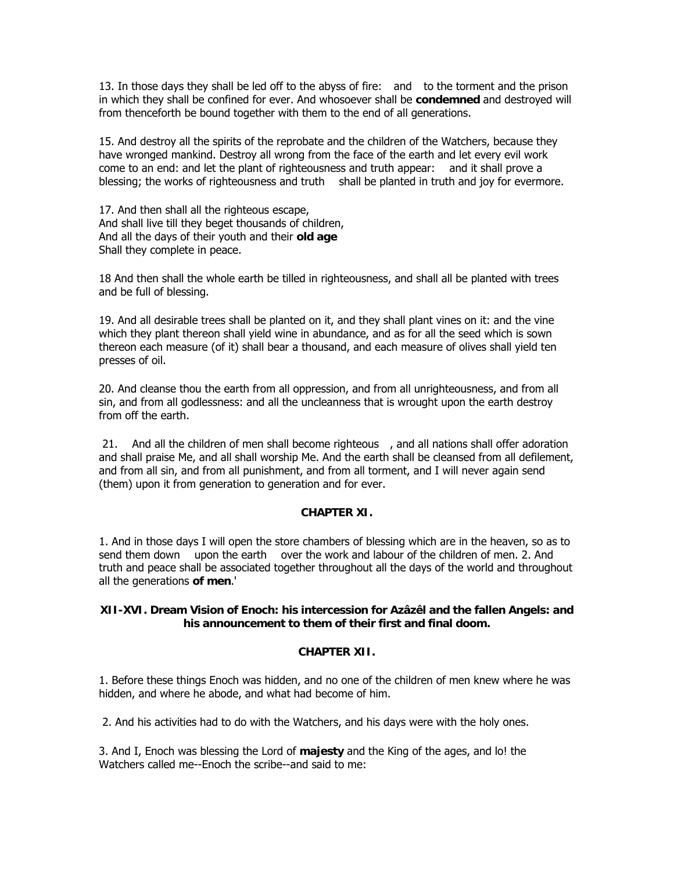13. In those days they shall be led off to the abyss of fire: and to the torment and the prison in which they shall be confined for ever. And whosoever shall be **condemned** and destroyed will from thenceforth be bound together with them to the end of all generations.

15. And destroy all the spirits of the reprobate and the children of the Watchers, because they have wronged mankind. Destroy all wrong from the face of the earth and let every evil work come to an end: and let the plant of righteousness and truth appear: and it shall prove a blessing; the works of righteousness and truth shall be planted in truth and joy for evermore.

17. And then shall all the righteous escape, And shall live till they beget thousands of children, And all the days of their youth and their **old age** Shall they complete in peace.

18 And then shall the whole earth be tilled in righteousness, and shall all be planted with trees and be full of blessing.

19. And all desirable trees shall be planted on it, and they shall plant vines on it: and the vine which they plant thereon shall yield wine in abundance, and as for all the seed which is sown thereon each measure (of it) shall bear a thousand, and each measure of olives shall yield ten presses of oil.

20. And cleanse thou the earth from all oppression, and from all unrighteousness, and from all sin, and from all godlessness: and all the uncleanness that is wrought upon the earth destroy from off the earth.

21. And all the children of men shall become righteous, and all nations shall offer adoration and shall praise Me, and all shall worship Me. And the earth shall be cleansed from all defilement, and from all sin, and from all punishment, and from all torment, and I will never again send (them) upon it from generation to generation and for ever.

#### **CHAPTER XI.**

1. And in those days I will open the store chambers of blessing which are in the heaven, so as to send them down upon the earth over the work and labour of the children of men. 2. And truth and peace shall be associated together throughout all the days of the world and throughout all the generations **of men**.'

#### **XII-XVI. Dream Vision of Enoch: his intercession for Azâzêl and the fallen Angels: and his announcement to them of their first and final doom.**

#### **CHAPTER XII.**

1. Before these things Enoch was hidden, and no one of the children of men knew where he was hidden, and where he abode, and what had become of him.

2. And his activities had to do with the Watchers, and his days were with the holy ones.

3. And I, Enoch was blessing the Lord of **majesty** and the King of the ages, and lo! the Watchers called me--Enoch the scribe--and said to me: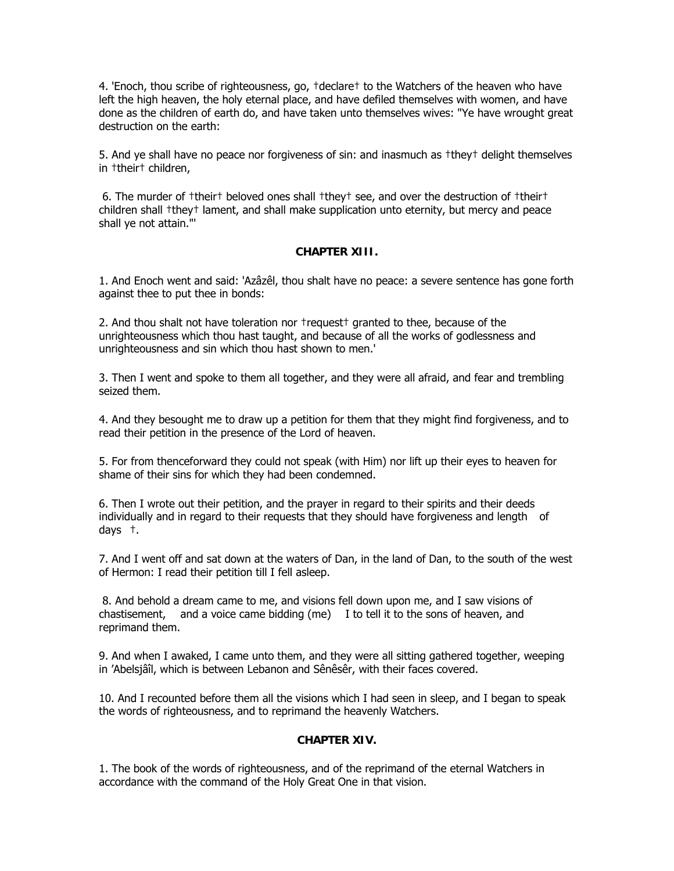4. 'Enoch, thou scribe of righteousness, go, †declare† to the Watchers of the heaven who have left the high heaven, the holy eternal place, and have defiled themselves with women, and have done as the children of earth do, and have taken unto themselves wives: "Ye have wrought great destruction on the earth:

5. And ye shall have no peace nor forgiveness of sin: and inasmuch as †they† delight themselves in †their† children,

 6. The murder of †their† beloved ones shall †they† see, and over the destruction of †their† children shall †they† lament, and shall make supplication unto eternity, but mercy and peace shall ye not attain."'

#### **CHAPTER XIII.**

1. And Enoch went and said: 'Azâzêl, thou shalt have no peace: a severe sentence has gone forth against thee to put thee in bonds:

2. And thou shalt not have toleration nor †request† granted to thee, because of the unrighteousness which thou hast taught, and because of all the works of godlessness and unrighteousness and sin which thou hast shown to men.'

3. Then I went and spoke to them all together, and they were all afraid, and fear and trembling seized them.

4. And they besought me to draw up a petition for them that they might find forgiveness, and to read their petition in the presence of the Lord of heaven.

5. For from thenceforward they could not speak (with Him) nor lift up their eyes to heaven for shame of their sins for which they had been condemned.

6. Then I wrote out their petition, and the prayer in regard to their spirits and their deeds individually and in regard to their requests that they should have forgiveness and length of days †.

7. And I went off and sat down at the waters of Dan, in the land of Dan, to the south of the west of Hermon: I read their petition till I fell asleep.

 8. And behold a dream came to me, and visions fell down upon me, and I saw visions of chastisement, and a voice came bidding (me) I to tell it to the sons of heaven, and reprimand them.

9. And when I awaked, I came unto them, and they were all sitting gathered together, weeping in 'Abelsjâîl, which is between Lebanon and Sênêsêr, with their faces covered.

10. And I recounted before them all the visions which I had seen in sleep, and I began to speak the words of righteousness, and to reprimand the heavenly Watchers.

#### **CHAPTER XIV.**

1. The book of the words of righteousness, and of the reprimand of the eternal Watchers in accordance with the command of the Holy Great One in that vision.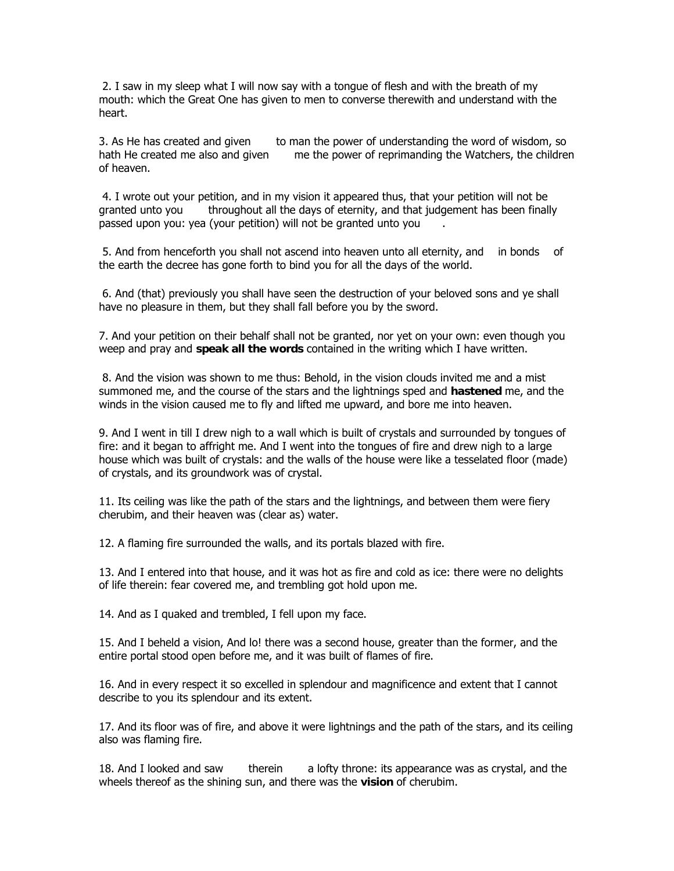2. I saw in my sleep what I will now say with a tongue of flesh and with the breath of my mouth: which the Great One has given to men to converse therewith and understand with the heart.

3. As He has created and given to man the power of understanding the word of wisdom, so hath He created me also and given me the power of reprimanding the Watchers, the children of heaven.

 4. I wrote out your petition, and in my vision it appeared thus, that your petition will not be granted unto you throughout all the days of eternity, and that judgement has been finally passed upon you: yea (your petition) will not be granted unto you.

 5. And from henceforth you shall not ascend into heaven unto all eternity, and in bonds of the earth the decree has gone forth to bind you for all the days of the world.

 6. And (that) previously you shall have seen the destruction of your beloved sons and ye shall have no pleasure in them, but they shall fall before you by the sword.

7. And your petition on their behalf shall not be granted, nor yet on your own: even though you weep and pray and **speak all the words** contained in the writing which I have written.

 8. And the vision was shown to me thus: Behold, in the vision clouds invited me and a mist summoned me, and the course of the stars and the lightnings sped and **hastened** me, and the winds in the vision caused me to fly and lifted me upward, and bore me into heaven.

9. And I went in till I drew nigh to a wall which is built of crystals and surrounded by tongues of fire: and it began to affright me. And I went into the tongues of fire and drew nigh to a large house which was built of crystals: and the walls of the house were like a tesselated floor (made) of crystals, and its groundwork was of crystal.

11. Its ceiling was like the path of the stars and the lightnings, and between them were fiery cherubim, and their heaven was (clear as) water.

12. A flaming fire surrounded the walls, and its portals blazed with fire.

13. And I entered into that house, and it was hot as fire and cold as ice: there were no delights of life therein: fear covered me, and trembling got hold upon me.

14. And as I quaked and trembled, I fell upon my face.

15. And I beheld a vision, And lo! there was a second house, greater than the former, and the entire portal stood open before me, and it was built of flames of fire.

16. And in every respect it so excelled in splendour and magnificence and extent that I cannot describe to you its splendour and its extent.

17. And its floor was of fire, and above it were lightnings and the path of the stars, and its ceiling also was flaming fire.

18. And I looked and saw therein a lofty throne: its appearance was as crystal, and the wheels thereof as the shining sun, and there was the **vision** of cherubim.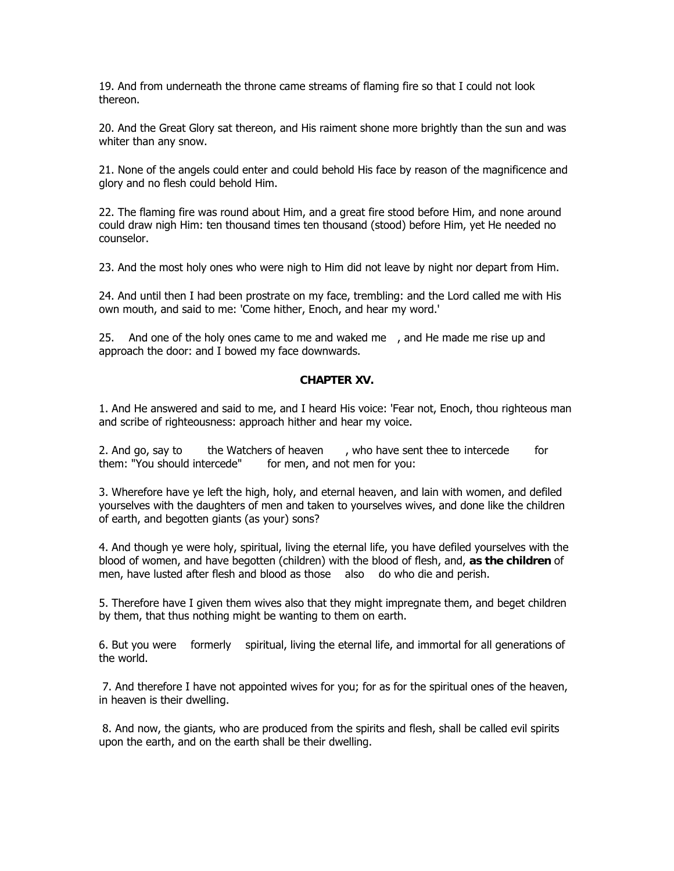19. And from underneath the throne came streams of flaming fire so that I could not look thereon.

20. And the Great Glory sat thereon, and His raiment shone more brightly than the sun and was whiter than any snow.

21. None of the angels could enter and could behold His face by reason of the magnificence and glory and no flesh could behold Him.

22. The flaming fire was round about Him, and a great fire stood before Him, and none around could draw nigh Him: ten thousand times ten thousand (stood) before Him, yet He needed no counselor.

23. And the most holy ones who were nigh to Him did not leave by night nor depart from Him.

24. And until then I had been prostrate on my face, trembling: and the Lord called me with His own mouth, and said to me: 'Come hither, Enoch, and hear my word.'

25. And one of the holy ones came to me and waked me, and He made me rise up and approach the door: and I bowed my face downwards.

#### **CHAPTER XV.**

1. And He answered and said to me, and I heard His voice: 'Fear not, Enoch, thou righteous man and scribe of righteousness: approach hither and hear my voice.

2. And go, say to the Watchers of heaven, who have sent thee to intercede for them: "You should intercede" for men, and not men for you:

3. Wherefore have ye left the high, holy, and eternal heaven, and lain with women, and defiled yourselves with the daughters of men and taken to yourselves wives, and done like the children of earth, and begotten giants (as your) sons?

4. And though ye were holy, spiritual, living the eternal life, you have defiled yourselves with the blood of women, and have begotten (children) with the blood of flesh, and, **as the children** of men, have lusted after flesh and blood as those also do who die and perish.

5. Therefore have I given them wives also that they might impregnate them, and beget children by them, that thus nothing might be wanting to them on earth.

6. But you were formerly spiritual, living the eternal life, and immortal for all generations of the world.

 7. And therefore I have not appointed wives for you; for as for the spiritual ones of the heaven, in heaven is their dwelling.

 8. And now, the giants, who are produced from the spirits and flesh, shall be called evil spirits upon the earth, and on the earth shall be their dwelling.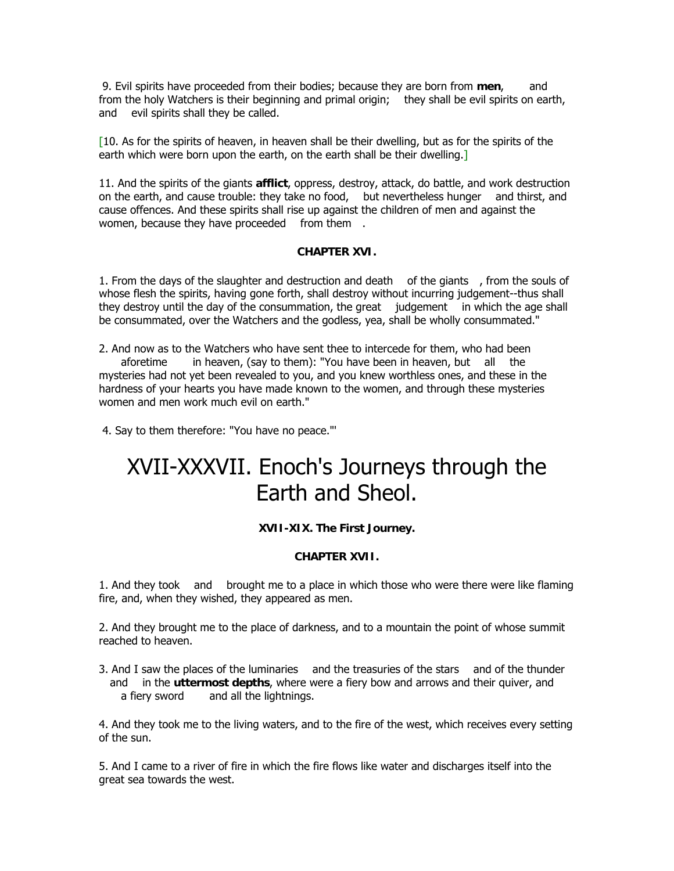9. Evil spirits have proceeded from their bodies; because they are born from **men**, and from the holy Watchers is their beginning and primal origin; they shall be evil spirits on earth, and evil spirits shall they be called.

[10. As for the spirits of heaven, in heaven shall be their dwelling, but as for the spirits of the earth which were born upon the earth, on the earth shall be their dwelling.

11. And the spirits of the giants **afflict**, oppress, destroy, attack, do battle, and work destruction on the earth, and cause trouble: they take no food, but nevertheless hunger and thirst, and cause offences. And these spirits shall rise up against the children of men and against the women, because they have proceeded from them.

#### **CHAPTER XVI.**

1. From the days of the slaughter and destruction and death of the giants, from the souls of whose flesh the spirits, having gone forth, shall destroy without incurring judgement--thus shall they destroy until the day of the consummation, the great judgement in which the age shall be consummated, over the Watchers and the godless, yea, shall be wholly consummated."

2. And now as to the Watchers who have sent thee to intercede for them, who had been aforetime in heaven, (say to them): "You have been in heaven, but all the mysteries had not yet been revealed to you, and you knew worthless ones, and these in the hardness of your hearts you have made known to the women, and through these mysteries women and men work much evil on earth."

4. Say to them therefore: "You have no peace."'

# XVII-XXXVII. Enoch's Journeys through the Earth and Sheol.

#### **XVII-XIX. The First Journey.**

#### **CHAPTER XVII.**

1. And they took and brought me to a place in which those who were there were like flaming fire, and, when they wished, they appeared as men.

2. And they brought me to the place of darkness, and to a mountain the point of whose summit reached to heaven.

3. And I saw the places of the luminaries and the treasuries of the stars and of the thunder and in the **uttermost depths**, where were a fiery bow and arrows and their quiver, and a fiery sword and all the lightnings.

4. And they took me to the living waters, and to the fire of the west, which receives every setting of the sun.

5. And I came to a river of fire in which the fire flows like water and discharges itself into the great sea towards the west.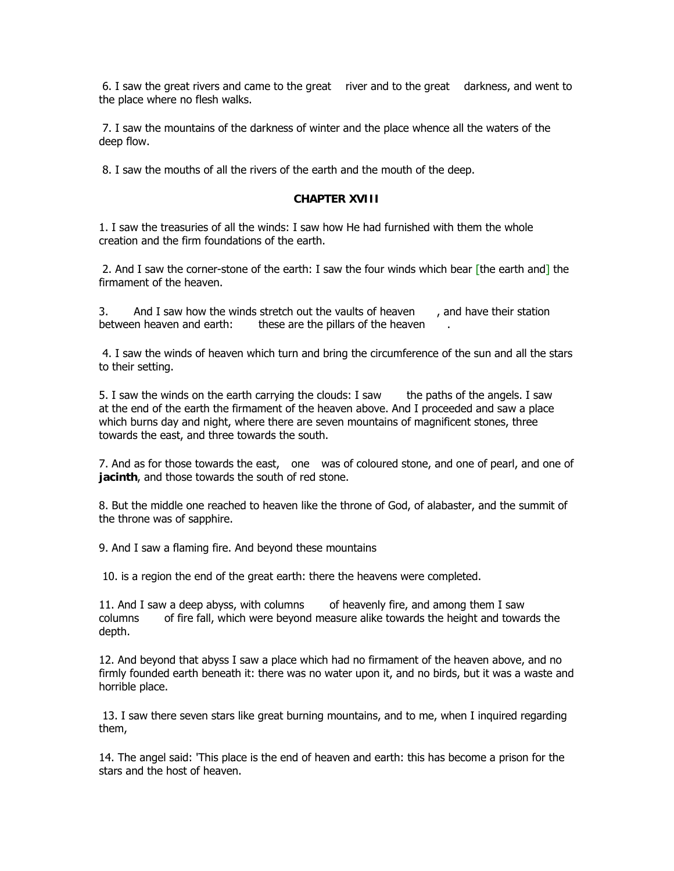6. I saw the great rivers and came to the great river and to the great darkness, and went to the place where no flesh walks.

 7. I saw the mountains of the darkness of winter and the place whence all the waters of the deep flow.

8. I saw the mouths of all the rivers of the earth and the mouth of the deep.

#### **CHAPTER XVIII**

1. I saw the treasuries of all the winds: I saw how He had furnished with them the whole creation and the firm foundations of the earth.

2. And I saw the corner-stone of the earth: I saw the four winds which bear [the earth and] the firmament of the heaven.

3. And I saw how the winds stretch out the vaults of heaven, and have their station between heaven and earth: these are the pillars of the heaven

 4. I saw the winds of heaven which turn and bring the circumference of the sun and all the stars to their setting.

5. I saw the winds on the earth carrying the clouds: I saw the paths of the angels. I saw at the end of the earth the firmament of the heaven above. And I proceeded and saw a place which burns day and night, where there are seven mountains of magnificent stones, three towards the east, and three towards the south.

7. And as for those towards the east, one was of coloured stone, and one of pearl, and one of **jacinth**, and those towards the south of red stone.

8. But the middle one reached to heaven like the throne of God, of alabaster, and the summit of the throne was of sapphire.

9. And I saw a flaming fire. And beyond these mountains

10. is a region the end of the great earth: there the heavens were completed.

11. And I saw a deep abyss, with columns of heavenly fire, and among them I saw columns of fire fall, which were beyond measure alike towards the height and towards the depth.

12. And beyond that abyss I saw a place which had no firmament of the heaven above, and no firmly founded earth beneath it: there was no water upon it, and no birds, but it was a waste and horrible place.

 13. I saw there seven stars like great burning mountains, and to me, when I inquired regarding them,

14. The angel said: 'This place is the end of heaven and earth: this has become a prison for the stars and the host of heaven.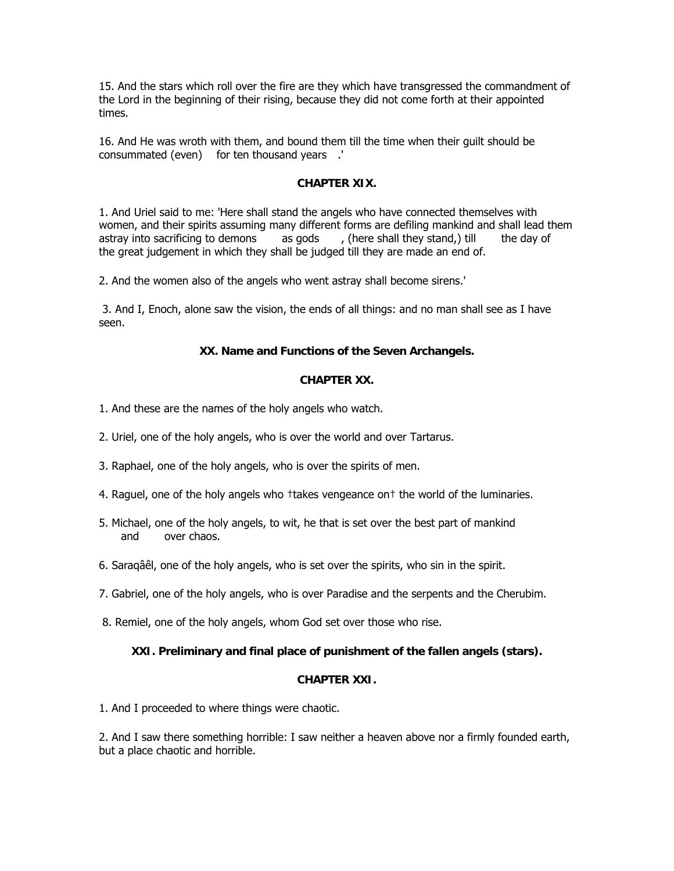15. And the stars which roll over the fire are they which have transgressed the commandment of the Lord in the beginning of their rising, because they did not come forth at their appointed times.

16. And He was wroth with them, and bound them till the time when their guilt should be consummated (even) for ten thousand years.'

#### **CHAPTER XIX.**

1. And Uriel said to me: 'Here shall stand the angels who have connected themselves with women, and their spirits assuming many different forms are defiling mankind and shall lead them astray into sacrificing to demons as gods, (here shall they stand,) till the day of the great judgement in which they shall be judged till they are made an end of.

2. And the women also of the angels who went astray shall become sirens.'

 3. And I, Enoch, alone saw the vision, the ends of all things: and no man shall see as I have seen.

#### **XX. Name and Functions of the Seven Archangels.**

#### **CHAPTER XX.**

- 1. And these are the names of the holy angels who watch.
- 2. Uriel, one of the holy angels, who is over the world and over Tartarus.
- 3. Raphael, one of the holy angels, who is over the spirits of men.
- 4. Raguel, one of the holy angels who †takes vengeance on† the world of the luminaries.
- 5. Michael, one of the holy angels, to wit, he that is set over the best part of mankind and over chaos.
- 6. Saraqâêl, one of the holy angels, who is set over the spirits, who sin in the spirit.
- 7. Gabriel, one of the holy angels, who is over Paradise and the serpents and the Cherubim.
- 8. Remiel, one of the holy angels, whom God set over those who rise.

#### **XXI. Preliminary and final place of punishment of the fallen angels (stars).**

#### **CHAPTER XXI.**

1. And I proceeded to where things were chaotic.

2. And I saw there something horrible: I saw neither a heaven above nor a firmly founded earth, but a place chaotic and horrible.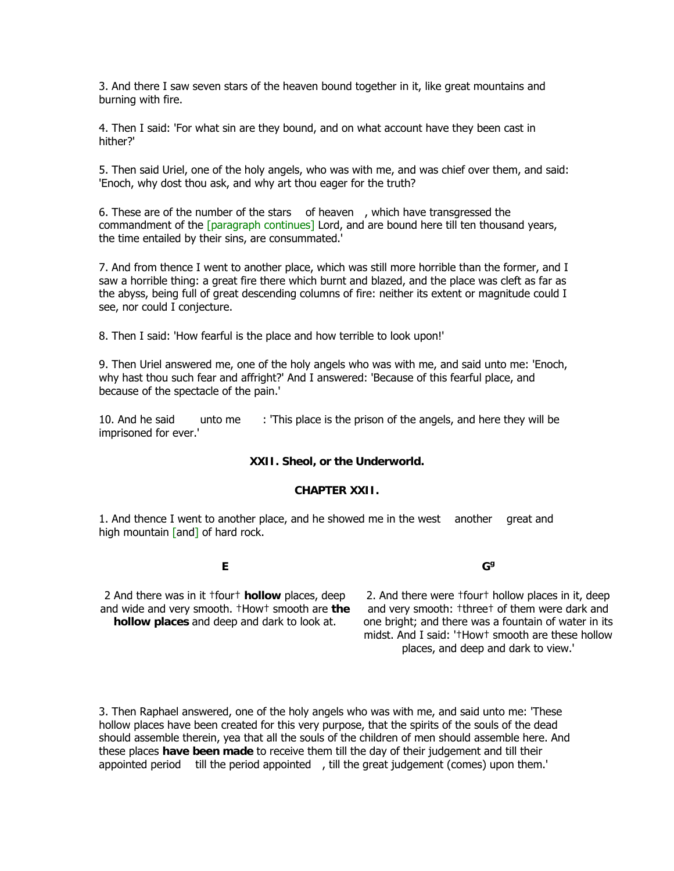3. And there I saw seven stars of the heaven bound together in it, like great mountains and burning with fire.

4. Then I said: 'For what sin are they bound, and on what account have they been cast in hither?'

5. Then said Uriel, one of the holy angels, who was with me, and was chief over them, and said: 'Enoch, why dost thou ask, and why art thou eager for the truth?

6. These are of the number of the stars of heaven, which have transgressed the commandment of the [paragraph continues] Lord, and are bound here till ten thousand years, the time entailed by their sins, are consummated.'

7. And from thence I went to another place, which was still more horrible than the former, and I saw a horrible thing: a great fire there which burnt and blazed, and the place was cleft as far as the abyss, being full of great descending columns of fire: neither its extent or magnitude could I see, nor could I conjecture.

8. Then I said: 'How fearful is the place and how terrible to look upon!'

9. Then Uriel answered me, one of the holy angels who was with me, and said unto me: 'Enoch, why hast thou such fear and affright?' And I answered: 'Because of this fearful place, and because of the spectacle of the pain.'

10. And he said unto me: 'This place is the prison of the angels, and here they will be imprisoned for ever.'

#### **XXII. Sheol, or the Underworld.**

#### **CHAPTER XXII.**

1. And thence I went to another place, and he showed me in the west another great and high mountain [and] of hard rock.

**E**

**Gg**

2 And there was in it †four† **hollow** places, deep and wide and very smooth. †How† smooth are **the hollow places** and deep and dark to look at.

2. And there were †four† hollow places in it, deep and very smooth: †three† of them were dark and one bright; and there was a fountain of water in its midst. And I said: '†How† smooth are these hollow places, and deep and dark to view.'

3. Then Raphael answered, one of the holy angels who was with me, and said unto me: 'These hollow places have been created for this very purpose, that the spirits of the souls of the dead should assemble therein, yea that all the souls of the children of men should assemble here. And these places **have been made** to receive them till the day of their judgement and till their appointed period till the period appointed, till the great judgement (comes) upon them.'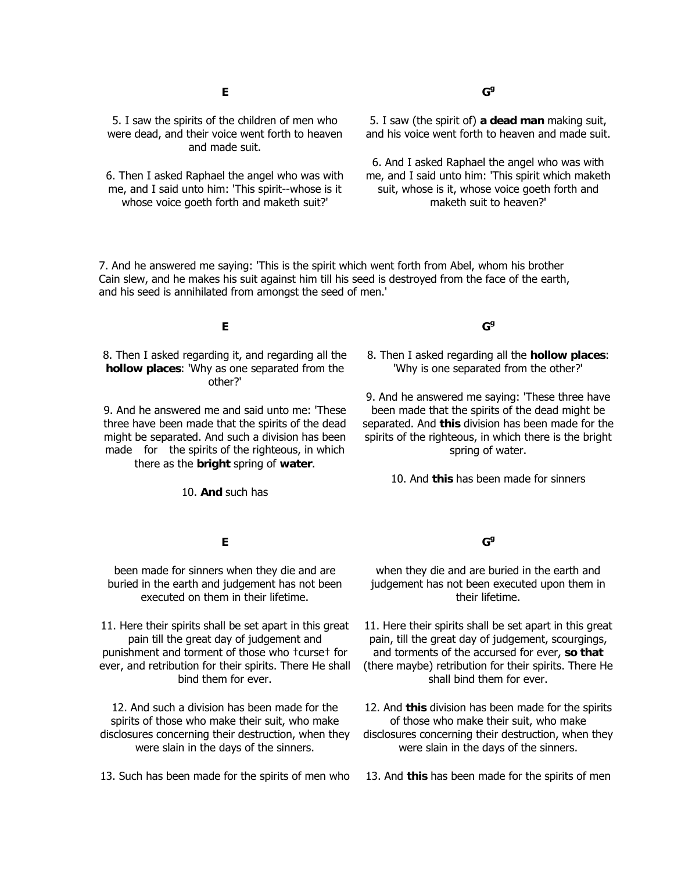5. I saw the spirits of the children of men who were dead, and their voice went forth to heaven and made suit.

6. Then I asked Raphael the angel who was with me, and I said unto him: 'This spirit--whose is it whose voice goeth forth and maketh suit?'

5. I saw (the spirit of) **a dead man** making suit, and his voice went forth to heaven and made suit.

6. And I asked Raphael the angel who was with me, and I said unto him: 'This spirit which maketh suit, whose is it, whose voice goeth forth and maketh suit to heaven?'

7. And he answered me saying: 'This is the spirit which went forth from Abel, whom his brother Cain slew, and he makes his suit against him till his seed is destroyed from the face of the earth, and his seed is annihilated from amongst the seed of men.'

#### **E**

8. Then I asked regarding it, and regarding all the **hollow places**: 'Why as one separated from the other?'

9. And he answered me and said unto me: 'These three have been made that the spirits of the dead might be separated. And such a division has been made for the spirits of the righteous, in which there as the **bright** spring of **water**.

10. **And** such has

**E**

#### **Gg**

8. Then I asked regarding all the **hollow places**: 'Why is one separated from the other?'

9. And he answered me saying: 'These three have been made that the spirits of the dead might be separated. And **this** division has been made for the spirits of the righteous, in which there is the bright spring of water.

10. And **this** has been made for sinners

been made for sinners when they die and are buried in the earth and judgement has not been executed on them in their lifetime.

11. Here their spirits shall be set apart in this great pain till the great day of judgement and punishment and torment of those who †curse† for ever, and retribution for their spirits. There He shall bind them for ever.

12. And such a division has been made for the spirits of those who make their suit, who make disclosures concerning their destruction, when they were slain in the days of the sinners.

13. Such has been made for the spirits of men who

#### **Gg**

when they die and are buried in the earth and judgement has not been executed upon them in their lifetime.

11. Here their spirits shall be set apart in this great pain, till the great day of judgement, scourgings, and torments of the accursed for ever, **so that** (there maybe) retribution for their spirits. There He shall bind them for ever.

12. And **this** division has been made for the spirits of those who make their suit, who make disclosures concerning their destruction, when they were slain in the days of the sinners.

13. And **this** has been made for the spirits of men

**Gg**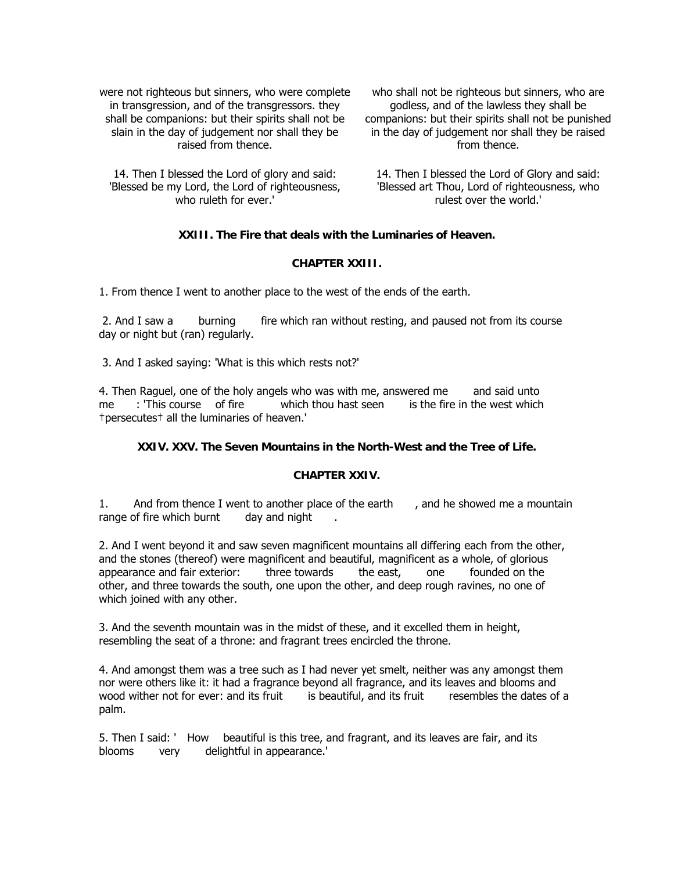were not righteous but sinners, who were complete in transgression, and of the transgressors. they shall be companions: but their spirits shall not be slain in the day of judgement nor shall they be raised from thence.

14. Then I blessed the Lord of glory and said: 'Blessed be my Lord, the Lord of righteousness, who ruleth for ever.'

who shall not be righteous but sinners, who are godless, and of the lawless they shall be companions: but their spirits shall not be punished in the day of judgement nor shall they be raised from thence.

14. Then I blessed the Lord of Glory and said: 'Blessed art Thou, Lord of righteousness, who rulest over the world.'

#### **XXIII. The Fire that deals with the Luminaries of Heaven.**

#### **CHAPTER XXIII.**

1. From thence I went to another place to the west of the ends of the earth.

2. And I saw a burning fire which ran without resting, and paused not from its course day or night but (ran) regularly.

3. And I asked saying: 'What is this which rests not?'

4. Then Raguel, one of the holy angels who was with me, answered me and said unto me: 'This course of fire which thou hast seen is the fire in the west which †persecutes† all the luminaries of heaven.'

#### **XXIV. XXV. The Seven Mountains in the North-West and the Tree of Life.**

#### **CHAPTER XXIV.**

1. And from thence I went to another place of the earth, and he showed me a mountain range of fire which burnt day and night.

2. And I went beyond it and saw seven magnificent mountains all differing each from the other, and the stones (thereof) were magnificent and beautiful, magnificent as a whole, of glorious appearance and fair exterior: three towards the east, one founded on the other, and three towards the south, one upon the other, and deep rough ravines, no one of which joined with any other.

3. And the seventh mountain was in the midst of these, and it excelled them in height, resembling the seat of a throne: and fragrant trees encircled the throne.

4. And amongst them was a tree such as I had never yet smelt, neither was any amongst them nor were others like it: it had a fragrance beyond all fragrance, and its leaves and blooms and wood wither not for ever: and its fruit is beautiful, and its fruit resembles the dates of a palm.

5. Then I said: ' How beautiful is this tree, and fragrant, and its leaves are fair, and its blooms very delightful in appearance.'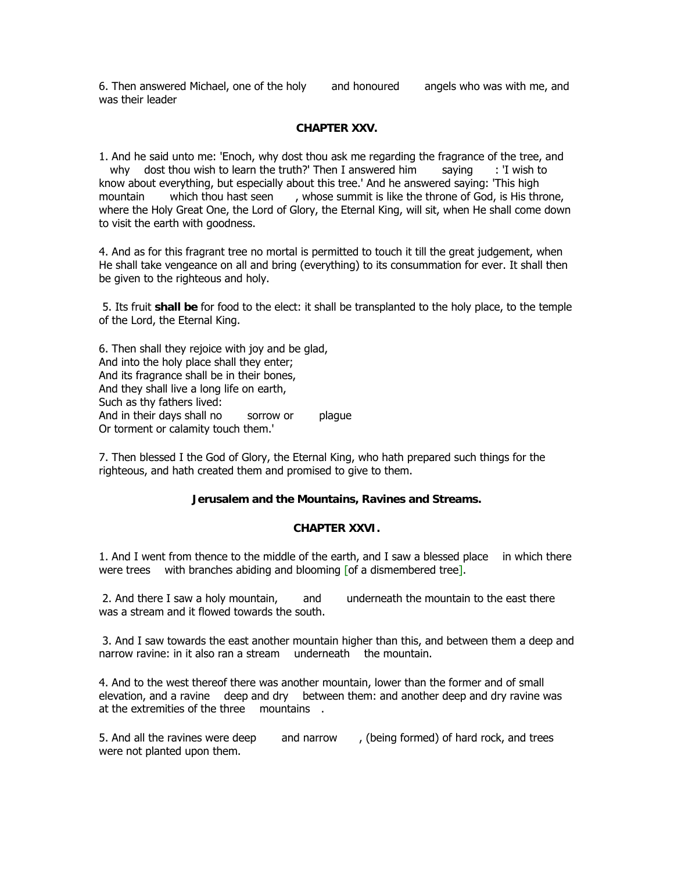6. Then answered Michael, one of the holy and honoured angels who was with me, and was their leader

#### **CHAPTER XXV.**

1. And he said unto me: 'Enoch, why dost thou ask me regarding the fragrance of the tree, and why dost thou wish to learn the truth?' Then I answered him saying : 'I wish to know about everything, but especially about this tree.' And he answered saying: 'This high mountain which thou hast seen, whose summit is like the throne of God, is His throne, where the Holy Great One, the Lord of Glory, the Eternal King, will sit, when He shall come down to visit the earth with goodness.

4. And as for this fragrant tree no mortal is permitted to touch it till the great judgement, when He shall take vengeance on all and bring (everything) to its consummation for ever. It shall then be given to the righteous and holy.

 5. Its fruit **shall be** for food to the elect: it shall be transplanted to the holy place, to the temple of the Lord, the Eternal King.

6. Then shall they rejoice with joy and be glad, And into the holy place shall they enter; And its fragrance shall be in their bones, And they shall live a long life on earth, Such as thy fathers lived: And in their days shall no sorrow or plague Or torment or calamity touch them.'

7. Then blessed I the God of Glory, the Eternal King, who hath prepared such things for the righteous, and hath created them and promised to give to them.

#### **Jerusalem and the Mountains, Ravines and Streams.**

#### **CHAPTER XXVI.**

1. And I went from thence to the middle of the earth, and I saw a blessed place in which there were trees with branches abiding and blooming [of a dismembered tree].

 2. And there I saw a holy mountain, and underneath the mountain to the east there was a stream and it flowed towards the south.

 3. And I saw towards the east another mountain higher than this, and between them a deep and narrow ravine: in it also ran a stream underneath the mountain.

4. And to the west thereof there was another mountain, lower than the former and of small elevation, and a ravine deep and dry between them: and another deep and dry ravine was at the extremities of the three mountains.

5. And all the ravines were deep and narrow, (being formed) of hard rock, and trees were not planted upon them.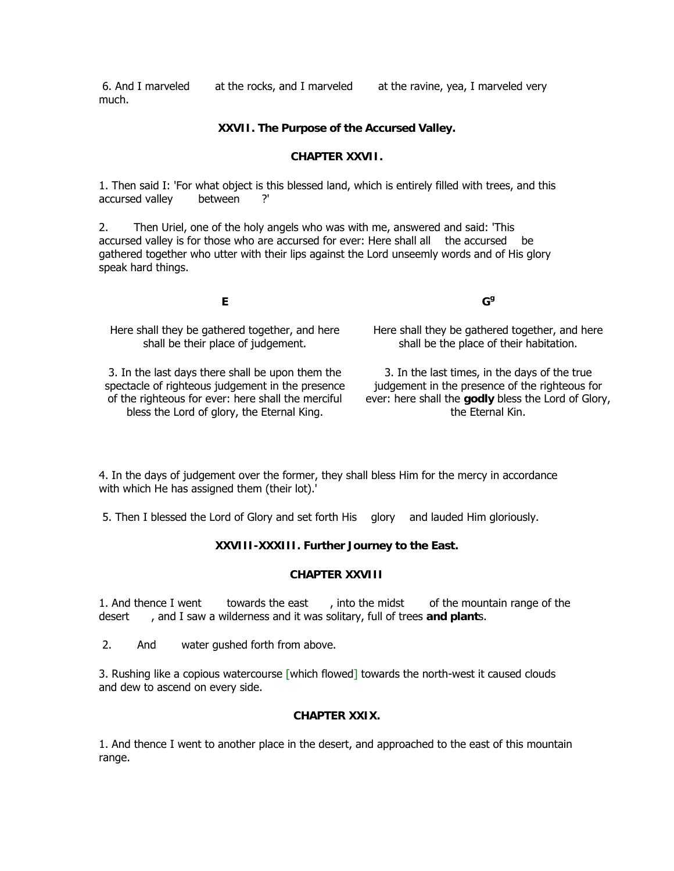6. And I marveled at the rocks, and I marveled at the ravine, yea, I marveled very much.

#### **XXVII. The Purpose of the Accursed Valley.**

#### **CHAPTER XXVII.**

1. Then said I: 'For what object is this blessed land, which is entirely filled with trees, and this accursed valley between ?'

2. Then Uriel, one of the holy angels who was with me, answered and said: 'This accursed valley is for those who are accursed for ever: Here shall all the accursed be gathered together who utter with their lips against the Lord unseemly words and of His glory speak hard things.

**E**

Here shall they be gathered together, and here shall be their place of judgement.

3. In the last days there shall be upon them the spectacle of righteous judgement in the presence of the righteous for ever: here shall the merciful bless the Lord of glory, the Eternal King.

Here shall they be gathered together, and here shall be the place of their habitation.

**Gg**

3. In the last times, in the days of the true judgement in the presence of the righteous for ever: here shall the **godly** bless the Lord of Glory, the Eternal Kin.

4. In the days of judgement over the former, they shall bless Him for the mercy in accordance with which He has assigned them (their lot).'

5. Then I blessed the Lord of Glory and set forth His glory and lauded Him gloriously.

#### **XXVIII-XXXIII. Further Journey to the East.**

#### **CHAPTER XXVIII**

1. And thence I went towards the east, into the midst of the mountain range of the desert, and I saw a wilderness and it was solitary, full of trees and plants.

2. And water gushed forth from above.

3. Rushing like a copious watercourse [which flowed] towards the north-west it caused clouds and dew to ascend on every side.

#### **CHAPTER XXIX.**

1. And thence I went to another place in the desert, and approached to the east of this mountain range.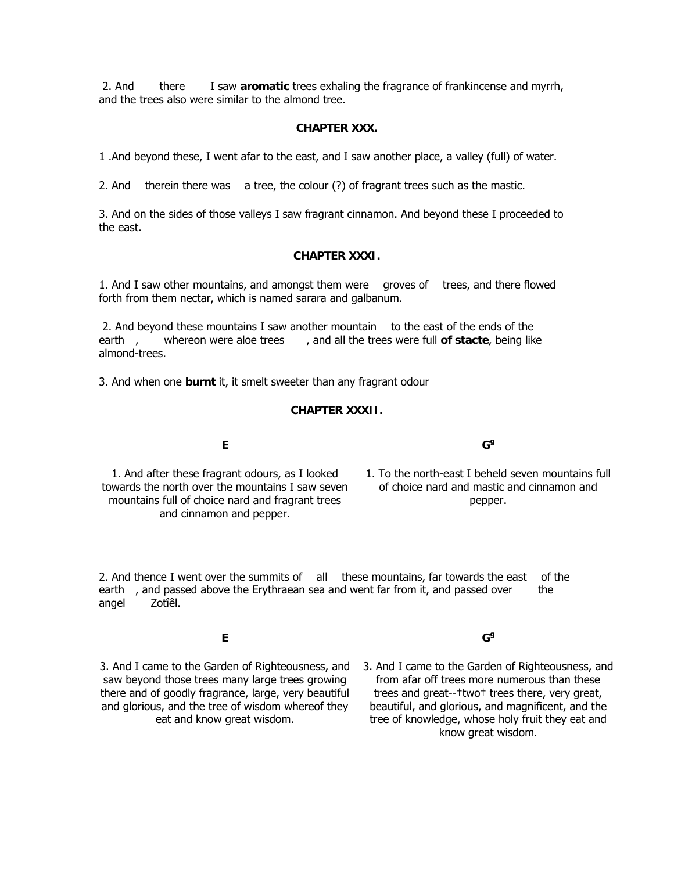2. And there I saw **aromatic** trees exhaling the fragrance of frankincense and myrrh, and the trees also were similar to the almond tree.

#### **CHAPTER XXX.**

1 .And beyond these, I went afar to the east, and I saw another place, a valley (full) of water.

2. And therein there was a tree, the colour (?) of fragrant trees such as the mastic.

3. And on the sides of those valleys I saw fragrant cinnamon. And beyond these I proceeded to the east.

#### **CHAPTER XXXI.**

1. And I saw other mountains, and amongst them were groves of trees, and there flowed forth from them nectar, which is named sarara and galbanum.

 2. And beyond these mountains I saw another mountain to the east of the ends of the earth, whereon were aloe trees, and all the trees were full **of stacte**, being like almond-trees.

3. And when one **burnt** it, it smelt sweeter than any fragrant odour

#### **CHAPTER XXXII.**

1. And after these fragrant odours, as I looked towards the north over the mountains I saw seven mountains full of choice nard and fragrant trees and cinnamon and pepper.

**E**

1. To the north-east I beheld seven mountains full of choice nard and mastic and cinnamon and pepper.

**Gg**

2. And thence I went over the summits of all these mountains, far towards the east of the earth, and passed above the Erythraean sea and went far from it, and passed over the angel Zotîêl.

**E**

3. And I came to the Garden of Righteousness, and saw beyond those trees many large trees growing there and of goodly fragrance, large, very beautiful and glorious, and the tree of wisdom whereof they eat and know great wisdom.

**Gg**

3. And I came to the Garden of Righteousness, and from afar off trees more numerous than these trees and great--†two† trees there, very great, beautiful, and glorious, and magnificent, and the tree of knowledge, whose holy fruit they eat and know great wisdom.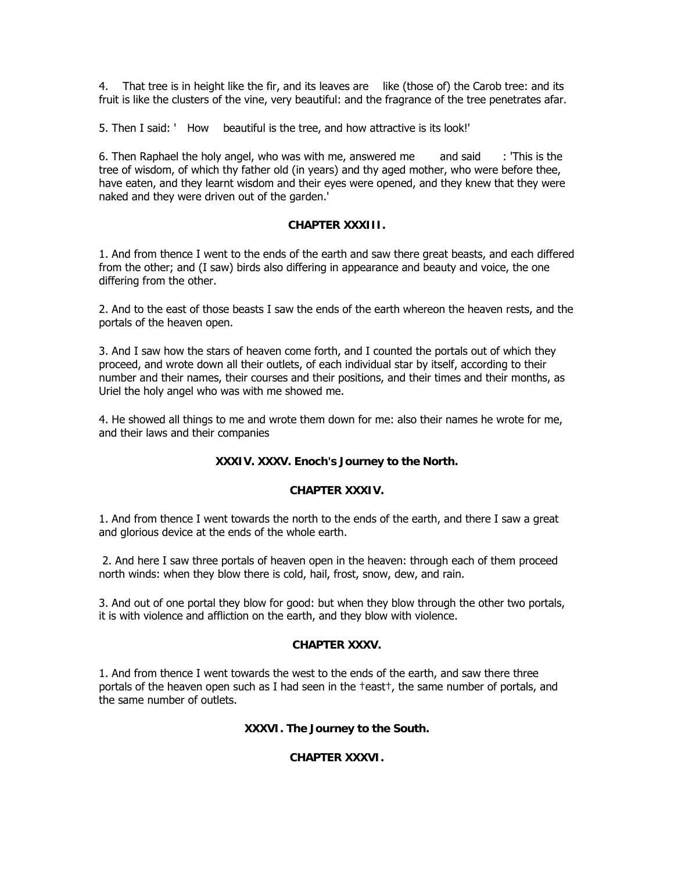4. That tree is in height like the fir, and its leaves are like (those of) the Carob tree: and its fruit is like the clusters of the vine, very beautiful: and the fragrance of the tree penetrates afar.

5. Then I said: ' How beautiful is the tree, and how attractive is its look!'

6. Then Raphael the holy angel, who was with me, answered me and said  $\cdot$ : 'This is the tree of wisdom, of which thy father old (in years) and thy aged mother, who were before thee, have eaten, and they learnt wisdom and their eyes were opened, and they knew that they were naked and they were driven out of the garden.'

#### **CHAPTER XXXIII.**

1. And from thence I went to the ends of the earth and saw there great beasts, and each differed from the other; and (I saw) birds also differing in appearance and beauty and voice, the one differing from the other.

2. And to the east of those beasts I saw the ends of the earth whereon the heaven rests, and the portals of the heaven open.

3. And I saw how the stars of heaven come forth, and I counted the portals out of which they proceed, and wrote down all their outlets, of each individual star by itself, according to their number and their names, their courses and their positions, and their times and their months, as Uriel the holy angel who was with me showed me.

4. He showed all things to me and wrote them down for me: also their names he wrote for me, and their laws and their companies

#### **XXXIV. XXXV. Enoch's Journey to the North.**

#### **CHAPTER XXXIV.**

1. And from thence I went towards the north to the ends of the earth, and there I saw a great and glorious device at the ends of the whole earth.

 2. And here I saw three portals of heaven open in the heaven: through each of them proceed north winds: when they blow there is cold, hail, frost, snow, dew, and rain.

3. And out of one portal they blow for good: but when they blow through the other two portals, it is with violence and affliction on the earth, and they blow with violence.

#### **CHAPTER XXXV.**

1. And from thence I went towards the west to the ends of the earth, and saw there three portals of the heaven open such as I had seen in the †east†, the same number of portals, and the same number of outlets.

#### **XXXVI. The Journey to the South.**

#### **CHAPTER XXXVI.**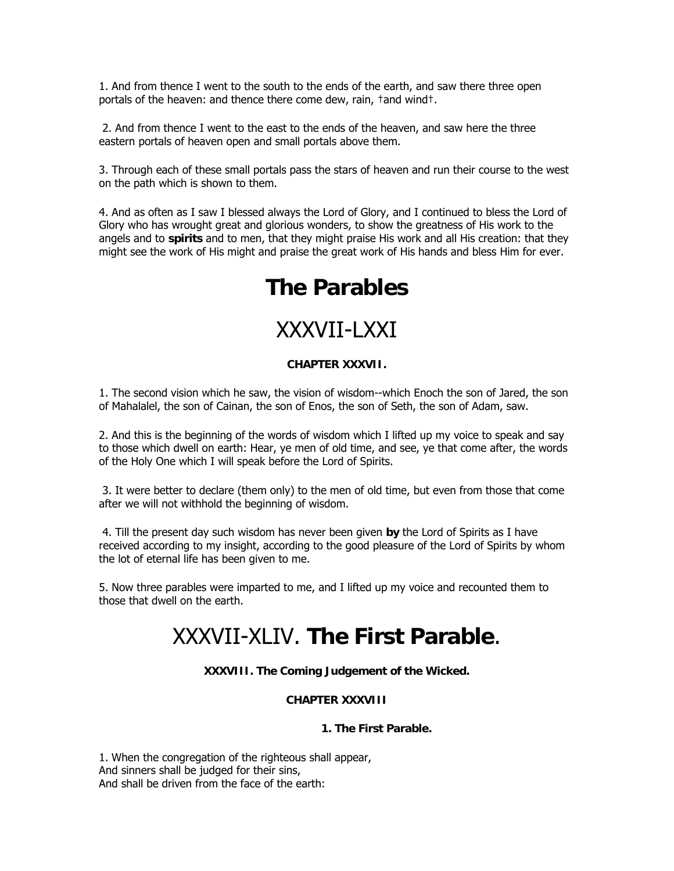1. And from thence I went to the south to the ends of the earth, and saw there three open portals of the heaven: and thence there come dew, rain, †and wind†.

 2. And from thence I went to the east to the ends of the heaven, and saw here the three eastern portals of heaven open and small portals above them.

3. Through each of these small portals pass the stars of heaven and run their course to the west on the path which is shown to them.

4. And as often as I saw I blessed always the Lord of Glory, and I continued to bless the Lord of Glory who has wrought great and glorious wonders, to show the greatness of His work to the angels and to **spirits** and to men, that they might praise His work and all His creation: that they might see the work of His might and praise the great work of His hands and bless Him for ever.

# **The Parables**

# XXXVII-LXXI

#### **CHAPTER XXXVII.**

1. The second vision which he saw, the vision of wisdom--which Enoch the son of Jared, the son of Mahalalel, the son of Cainan, the son of Enos, the son of Seth, the son of Adam, saw.

2. And this is the beginning of the words of wisdom which I lifted up my voice to speak and say to those which dwell on earth: Hear, ye men of old time, and see, ye that come after, the words of the Holy One which I will speak before the Lord of Spirits.

 3. It were better to declare (them only) to the men of old time, but even from those that come after we will not withhold the beginning of wisdom.

 4. Till the present day such wisdom has never been given **by** the Lord of Spirits as I have received according to my insight, according to the good pleasure of the Lord of Spirits by whom the lot of eternal life has been given to me.

5. Now three parables were imparted to me, and I lifted up my voice and recounted them to those that dwell on the earth.

# XXXVII-XLIV. **The First Parable**.

**XXXVIII. The Coming Judgement of the Wicked.** 

#### **CHAPTER XXXVIII**

#### **1. The First Parable.**

1. When the congregation of the righteous shall appear, And sinners shall be judged for their sins, And shall be driven from the face of the earth: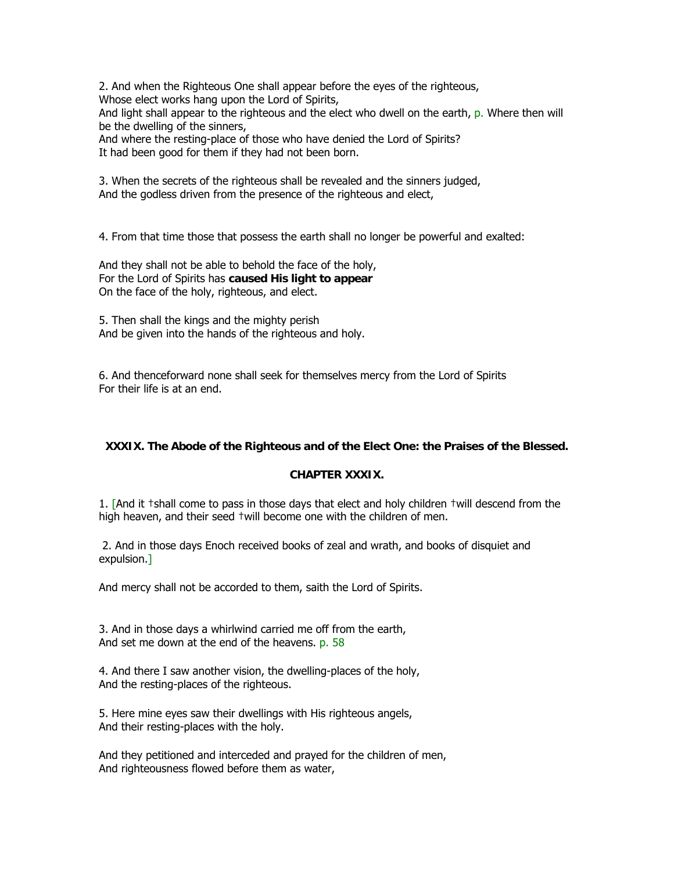2. And when the Righteous One shall appear before the eyes of the righteous, Whose elect works hang upon the Lord of Spirits,

And light shall appear to the righteous and the elect who dwell on the earth, p. Where then will be the dwelling of the sinners,

And where the resting-place of those who have denied the Lord of Spirits? It had been good for them if they had not been born.

3. When the secrets of the righteous shall be revealed and the sinners judged, And the godless driven from the presence of the righteous and elect,

4. From that time those that possess the earth shall no longer be powerful and exalted:

And they shall not be able to behold the face of the holy, For the Lord of Spirits has **caused His light to appear** On the face of the holy, righteous, and elect.

5. Then shall the kings and the mighty perish And be given into the hands of the righteous and holy.

6. And thenceforward none shall seek for themselves mercy from the Lord of Spirits For their life is at an end.

#### **XXXIX. The Abode of the Righteous and of the Elect One: the Praises of the Blessed.**

#### **CHAPTER XXXIX.**

1. [And it †shall come to pass in those days that elect and holy children †will descend from the high heaven, and their seed †will become one with the children of men.

 2. And in those days Enoch received books of zeal and wrath, and books of disquiet and expulsion.]

And mercy shall not be accorded to them, saith the Lord of Spirits.

3. And in those days a whirlwind carried me off from the earth, And set me down at the end of the heavens. p. 58

4. And there I saw another vision, the dwelling-places of the holy, And the resting-places of the righteous.

5. Here mine eyes saw their dwellings with His righteous angels, And their resting-places with the holy.

And they petitioned and interceded and prayed for the children of men, And righteousness flowed before them as water,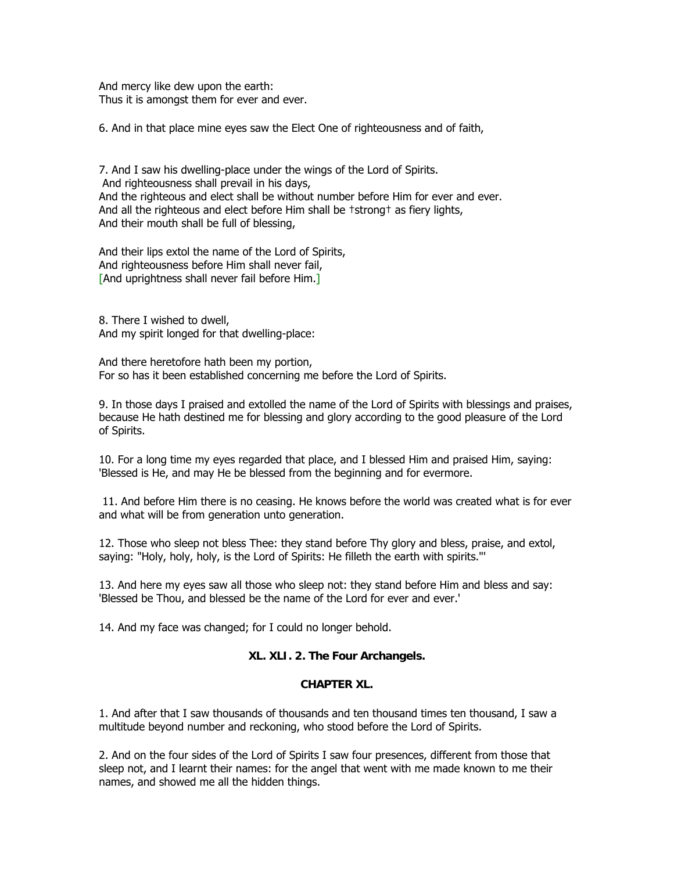And mercy like dew upon the earth: Thus it is amongst them for ever and ever.

6. And in that place mine eyes saw the Elect One of righteousness and of faith,

7. And I saw his dwelling-place under the wings of the Lord of Spirits. And righteousness shall prevail in his days, And the righteous and elect shall be without number before Him for ever and ever. And all the righteous and elect before Him shall be †strong† as fiery lights, And their mouth shall be full of blessing,

And their lips extol the name of the Lord of Spirits, And righteousness before Him shall never fail, [And uprightness shall never fail before Him.]

8. There I wished to dwell, And my spirit longed for that dwelling-place:

And there heretofore hath been my portion, For so has it been established concerning me before the Lord of Spirits.

9. In those days I praised and extolled the name of the Lord of Spirits with blessings and praises, because He hath destined me for blessing and glory according to the good pleasure of the Lord of Spirits.

10. For a long time my eyes regarded that place, and I blessed Him and praised Him, saying: 'Blessed is He, and may He be blessed from the beginning and for evermore.

 11. And before Him there is no ceasing. He knows before the world was created what is for ever and what will be from generation unto generation.

12. Those who sleep not bless Thee: they stand before Thy glory and bless, praise, and extol, saying: "Holy, holy, holy, is the Lord of Spirits: He filleth the earth with spirits."'

13. And here my eyes saw all those who sleep not: they stand before Him and bless and say: 'Blessed be Thou, and blessed be the name of the Lord for ever and ever.'

14. And my face was changed; for I could no longer behold.

#### **XL. XLI. 2. The Four Archangels.**

#### **CHAPTER XL.**

1. And after that I saw thousands of thousands and ten thousand times ten thousand, I saw a multitude beyond number and reckoning, who stood before the Lord of Spirits.

2. And on the four sides of the Lord of Spirits I saw four presences, different from those that sleep not, and I learnt their names: for the angel that went with me made known to me their names, and showed me all the hidden things.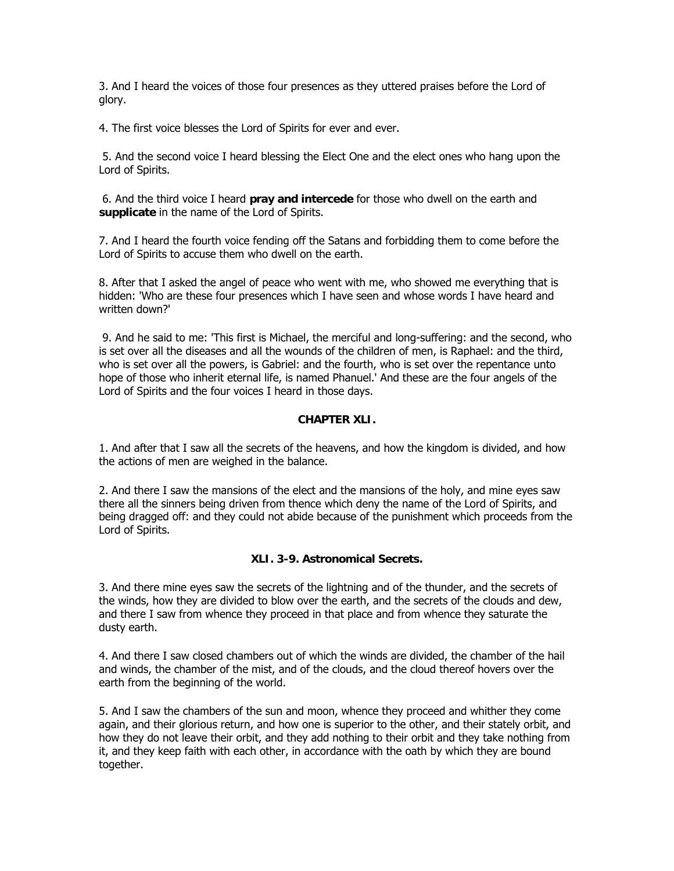3. And I heard the voices of those four presences as they uttered praises before the Lord of glory.

4. The first voice blesses the Lord of Spirits for ever and ever.

 5. And the second voice I heard blessing the Elect One and the elect ones who hang upon the Lord of Spirits.

 6. And the third voice I heard **pray and intercede** for those who dwell on the earth and **supplicate** in the name of the Lord of Spirits.

7. And I heard the fourth voice fending off the Satans and forbidding them to come before the Lord of Spirits to accuse them who dwell on the earth.

8. After that I asked the angel of peace who went with me, who showed me everything that is hidden: 'Who are these four presences which I have seen and whose words I have heard and written down?'

 9. And he said to me: 'This first is Michael, the merciful and long-suffering: and the second, who is set over all the diseases and all the wounds of the children of men, is Raphael: and the third, who is set over all the powers, is Gabriel: and the fourth, who is set over the repentance unto hope of those who inherit eternal life, is named Phanuel.' And these are the four angels of the Lord of Spirits and the four voices I heard in those days.

#### **CHAPTER XLI.**

1. And after that I saw all the secrets of the heavens, and how the kingdom is divided, and how the actions of men are weighed in the balance.

2. And there I saw the mansions of the elect and the mansions of the holy, and mine eyes saw there all the sinners being driven from thence which deny the name of the Lord of Spirits, and being dragged off: and they could not abide because of the punishment which proceeds from the Lord of Spirits.

#### **XLI. 3-9. Astronomical Secrets.**

3. And there mine eyes saw the secrets of the lightning and of the thunder, and the secrets of the winds, how they are divided to blow over the earth, and the secrets of the clouds and dew, and there I saw from whence they proceed in that place and from whence they saturate the dusty earth.

4. And there I saw closed chambers out of which the winds are divided, the chamber of the hail and winds, the chamber of the mist, and of the clouds, and the cloud thereof hovers over the earth from the beginning of the world.

5. And I saw the chambers of the sun and moon, whence they proceed and whither they come again, and their glorious return, and how one is superior to the other, and their stately orbit, and how they do not leave their orbit, and they add nothing to their orbit and they take nothing from it, and they keep faith with each other, in accordance with the oath by which they are bound together.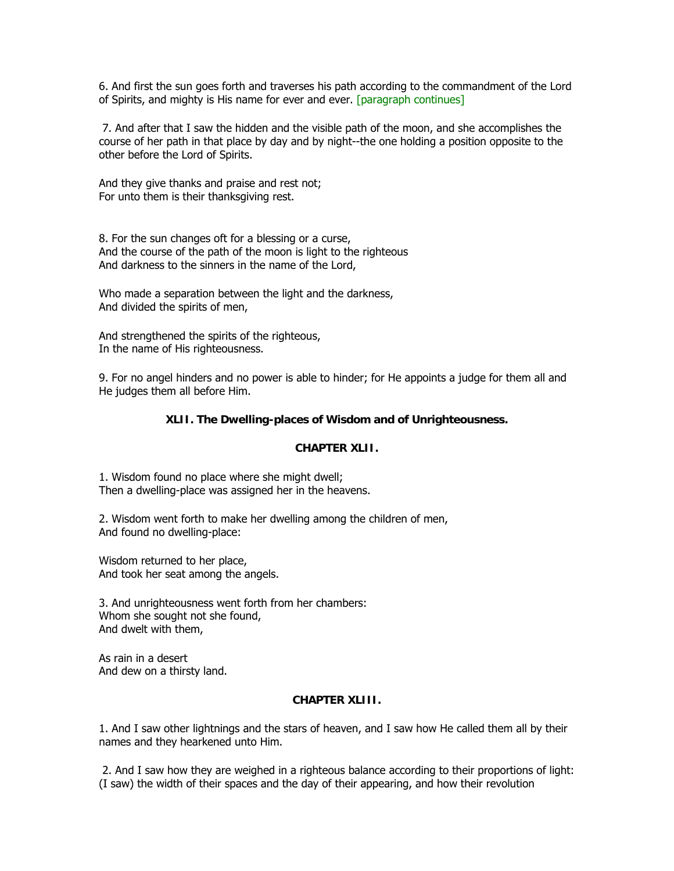6. And first the sun goes forth and traverses his path according to the commandment of the Lord of Spirits, and mighty is His name for ever and ever. [paragraph continues]

 7. And after that I saw the hidden and the visible path of the moon, and she accomplishes the course of her path in that place by day and by night--the one holding a position opposite to the other before the Lord of Spirits.

And they give thanks and praise and rest not; For unto them is their thanksgiving rest.

8. For the sun changes oft for a blessing or a curse, And the course of the path of the moon is light to the righteous And darkness to the sinners in the name of the Lord,

Who made a separation between the light and the darkness, And divided the spirits of men,

And strengthened the spirits of the righteous, In the name of His righteousness.

9. For no angel hinders and no power is able to hinder; for He appoints a judge for them all and He judges them all before Him.

#### **XLII. The Dwelling-places of Wisdom and of Unrighteousness.**

#### **CHAPTER XLII.**

1. Wisdom found no place where she might dwell; Then a dwelling-place was assigned her in the heavens.

2. Wisdom went forth to make her dwelling among the children of men, And found no dwelling-place:

Wisdom returned to her place, And took her seat among the angels.

3. And unrighteousness went forth from her chambers: Whom she sought not she found, And dwelt with them,

As rain in a desert And dew on a thirsty land.

#### **CHAPTER XLIII.**

1. And I saw other lightnings and the stars of heaven, and I saw how He called them all by their names and they hearkened unto Him.

 2. And I saw how they are weighed in a righteous balance according to their proportions of light: (I saw) the width of their spaces and the day of their appearing, and how their revolution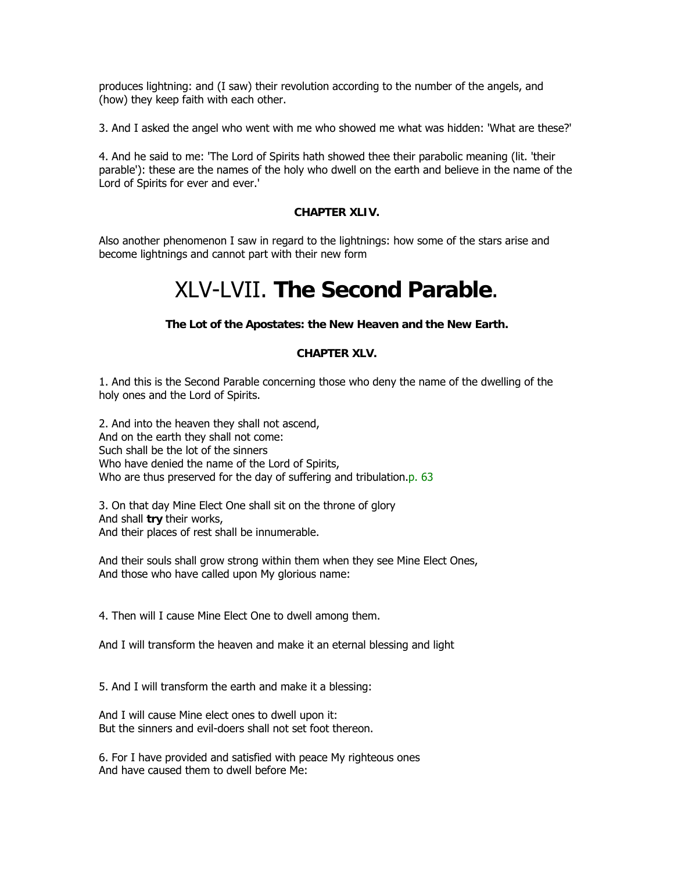produces lightning: and (I saw) their revolution according to the number of the angels, and (how) they keep faith with each other.

3. And I asked the angel who went with me who showed me what was hidden: 'What are these?'

4. And he said to me: 'The Lord of Spirits hath showed thee their parabolic meaning (lit. 'their parable'): these are the names of the holy who dwell on the earth and believe in the name of the Lord of Spirits for ever and ever.'

## **CHAPTER XLIV.**

Also another phenomenon I saw in regard to the lightnings: how some of the stars arise and become lightnings and cannot part with their new form

# XLV-LVII. **The Second Parable**.

**The Lot of the Apostates: the New Heaven and the New Earth.** 

# **CHAPTER XLV.**

1. And this is the Second Parable concerning those who deny the name of the dwelling of the holy ones and the Lord of Spirits.

2. And into the heaven they shall not ascend, And on the earth they shall not come: Such shall be the lot of the sinners Who have denied the name of the Lord of Spirits, Who are thus preserved for the day of suffering and tribulation.p. 63

3. On that day Mine Elect One shall sit on the throne of glory And shall **try** their works, And their places of rest shall be innumerable.

And their souls shall grow strong within them when they see Mine Elect Ones, And those who have called upon My glorious name:

4. Then will I cause Mine Elect One to dwell among them.

And I will transform the heaven and make it an eternal blessing and light

5. And I will transform the earth and make it a blessing:

And I will cause Mine elect ones to dwell upon it: But the sinners and evil-doers shall not set foot thereon.

6. For I have provided and satisfied with peace My righteous ones And have caused them to dwell before Me: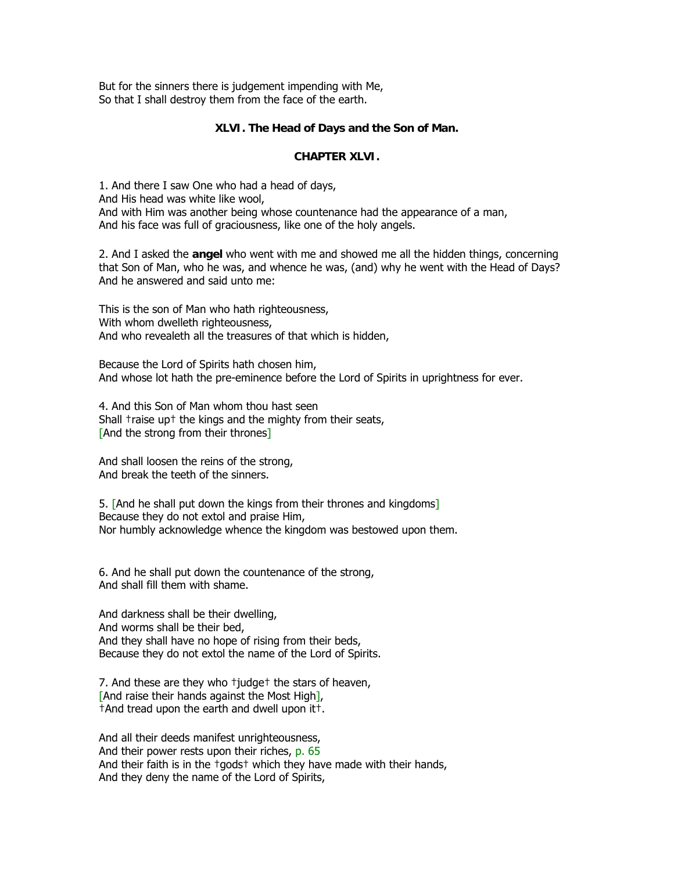But for the sinners there is judgement impending with Me, So that I shall destroy them from the face of the earth.

## **XLVI. The Head of Days and the Son of Man.**

## **CHAPTER XLVI.**

1. And there I saw One who had a head of days, And His head was white like wool, And with Him was another being whose countenance had the appearance of a man, And his face was full of graciousness, like one of the holy angels.

2. And I asked the **angel** who went with me and showed me all the hidden things, concerning that Son of Man, who he was, and whence he was, (and) why he went with the Head of Days? And he answered and said unto me:

This is the son of Man who hath righteousness, With whom dwelleth righteousness, And who revealeth all the treasures of that which is hidden,

Because the Lord of Spirits hath chosen him, And whose lot hath the pre-eminence before the Lord of Spirits in uprightness for ever.

4. And this Son of Man whom thou hast seen Shall †raise up† the kings and the mighty from their seats, [And the strong from their thrones]

And shall loosen the reins of the strong, And break the teeth of the sinners.

5. [And he shall put down the kings from their thrones and kingdoms] Because they do not extol and praise Him, Nor humbly acknowledge whence the kingdom was bestowed upon them.

6. And he shall put down the countenance of the strong, And shall fill them with shame.

And darkness shall be their dwelling, And worms shall be their bed, And they shall have no hope of rising from their beds, Because they do not extol the name of the Lord of Spirits.

7. And these are they who †judge† the stars of heaven, [And raise their hands against the Most High], †And tread upon the earth and dwell upon it†.

And all their deeds manifest unrighteousness, And their power rests upon their riches, p. 65 And their faith is in the †gods† which they have made with their hands, And they deny the name of the Lord of Spirits,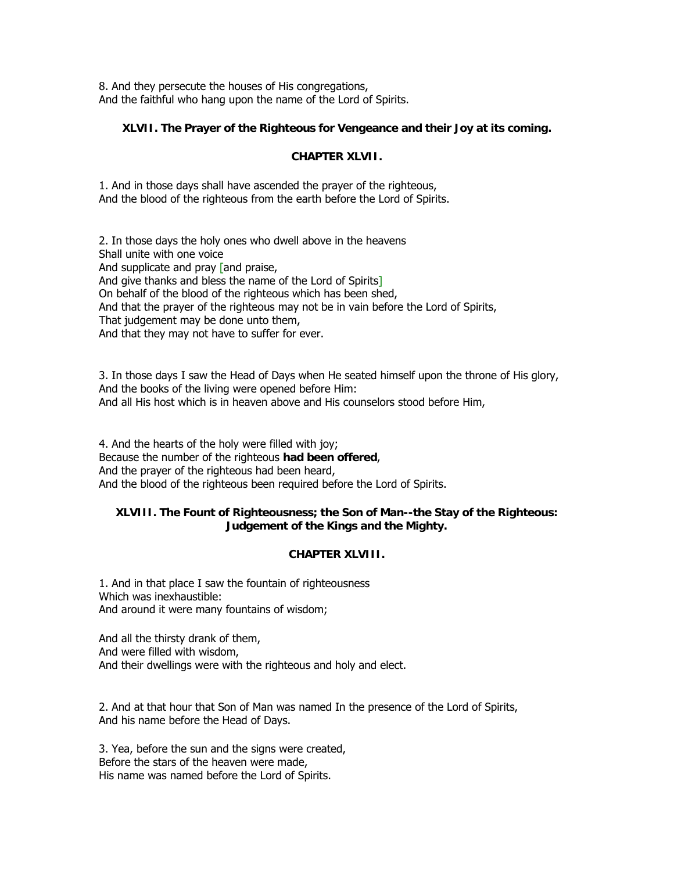8. And they persecute the houses of His congregations, And the faithful who hang upon the name of the Lord of Spirits.

# **XLVII. The Prayer of the Righteous for Vengeance and their Joy at its coming.**

## **CHAPTER XLVII.**

1. And in those days shall have ascended the prayer of the righteous, And the blood of the righteous from the earth before the Lord of Spirits.

2. In those days the holy ones who dwell above in the heavens Shall unite with one voice And supplicate and pray [and praise, And give thanks and bless the name of the Lord of Spirits] On behalf of the blood of the righteous which has been shed, And that the prayer of the righteous may not be in vain before the Lord of Spirits, That judgement may be done unto them, And that they may not have to suffer for ever.

3. In those days I saw the Head of Days when He seated himself upon the throne of His glory, And the books of the living were opened before Him: And all His host which is in heaven above and His counselors stood before Him,

4. And the hearts of the holy were filled with joy; Because the number of the righteous **had been offered**, And the prayer of the righteous had been heard, And the blood of the righteous been required before the Lord of Spirits.

# **XLVIII. The Fount of Righteousness; the Son of Man--the Stay of the Righteous: Judgement of the Kings and the Mighty.**

# **CHAPTER XLVIII.**

1. And in that place I saw the fountain of righteousness Which was inexhaustible: And around it were many fountains of wisdom;

And all the thirsty drank of them, And were filled with wisdom, And their dwellings were with the righteous and holy and elect.

2. And at that hour that Son of Man was named In the presence of the Lord of Spirits, And his name before the Head of Days.

3. Yea, before the sun and the signs were created, Before the stars of the heaven were made, His name was named before the Lord of Spirits.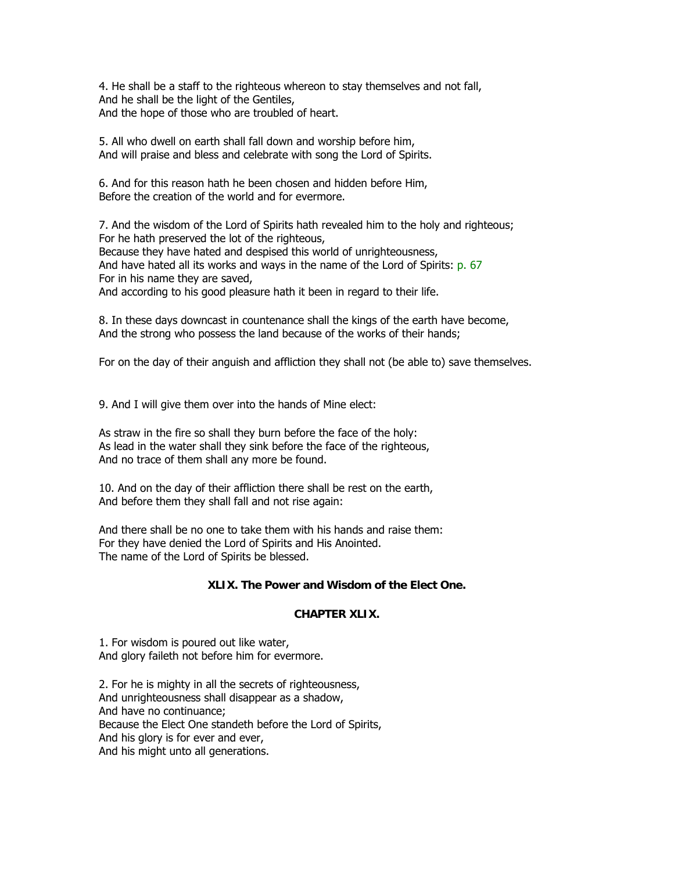4. He shall be a staff to the righteous whereon to stay themselves and not fall, And he shall be the light of the Gentiles, And the hope of those who are troubled of heart.

5. All who dwell on earth shall fall down and worship before him, And will praise and bless and celebrate with song the Lord of Spirits.

6. And for this reason hath he been chosen and hidden before Him, Before the creation of the world and for evermore.

7. And the wisdom of the Lord of Spirits hath revealed him to the holy and righteous; For he hath preserved the lot of the righteous, Because they have hated and despised this world of unrighteousness, And have hated all its works and ways in the name of the Lord of Spirits: p. 67 For in his name they are saved,

And according to his good pleasure hath it been in regard to their life.

8. In these days downcast in countenance shall the kings of the earth have become, And the strong who possess the land because of the works of their hands;

For on the day of their anguish and affliction they shall not (be able to) save themselves.

9. And I will give them over into the hands of Mine elect:

As straw in the fire so shall they burn before the face of the holy: As lead in the water shall they sink before the face of the righteous, And no trace of them shall any more be found.

10. And on the day of their affliction there shall be rest on the earth, And before them they shall fall and not rise again:

And there shall be no one to take them with his hands and raise them: For they have denied the Lord of Spirits and His Anointed. The name of the Lord of Spirits be blessed.

# **XLIX. The Power and Wisdom of the Elect One.**

### **CHAPTER XLIX.**

1. For wisdom is poured out like water, And glory faileth not before him for evermore.

2. For he is mighty in all the secrets of righteousness, And unrighteousness shall disappear as a shadow, And have no continuance; Because the Elect One standeth before the Lord of Spirits, And his glory is for ever and ever, And his might unto all generations.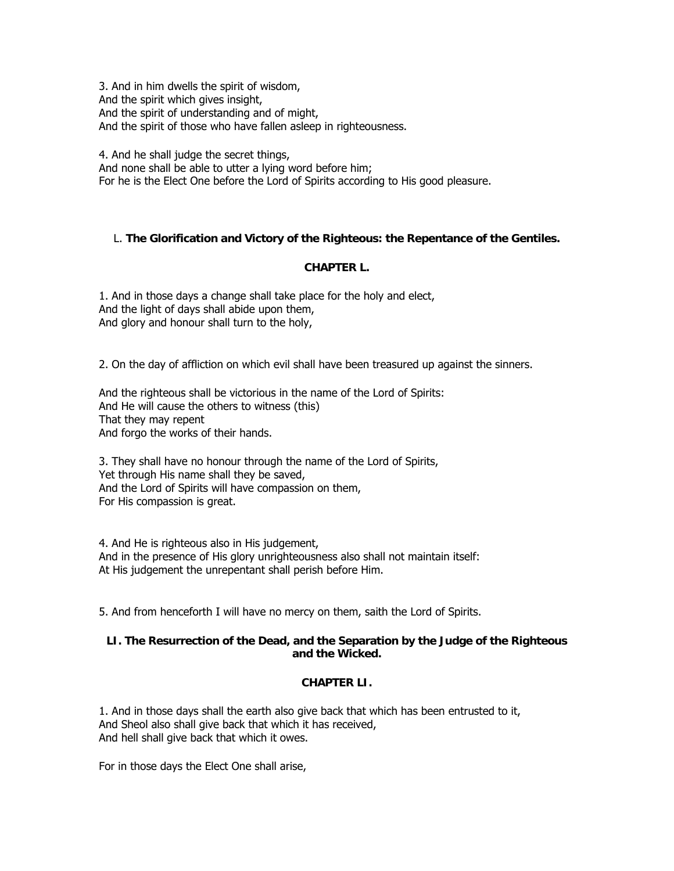3. And in him dwells the spirit of wisdom, And the spirit which gives insight, And the spirit of understanding and of might, And the spirit of those who have fallen asleep in righteousness.

4. And he shall judge the secret things, And none shall be able to utter a lying word before him; For he is the Elect One before the Lord of Spirits according to His good pleasure.

# L. **The Glorification and Victory of the Righteous: the Repentance of the Gentiles.**

# **CHAPTER L.**

1. And in those days a change shall take place for the holy and elect, And the light of days shall abide upon them, And glory and honour shall turn to the holy,

2. On the day of affliction on which evil shall have been treasured up against the sinners.

And the righteous shall be victorious in the name of the Lord of Spirits: And He will cause the others to witness (this) That they may repent And forgo the works of their hands.

3. They shall have no honour through the name of the Lord of Spirits, Yet through His name shall they be saved, And the Lord of Spirits will have compassion on them, For His compassion is great.

4. And He is righteous also in His judgement, And in the presence of His glory unrighteousness also shall not maintain itself: At His judgement the unrepentant shall perish before Him.

5. And from henceforth I will have no mercy on them, saith the Lord of Spirits.

# **LI. The Resurrection of the Dead, and the Separation by the Judge of the Righteous and the Wicked.**

### **CHAPTER LI.**

1. And in those days shall the earth also give back that which has been entrusted to it, And Sheol also shall give back that which it has received, And hell shall give back that which it owes.

For in those days the Elect One shall arise,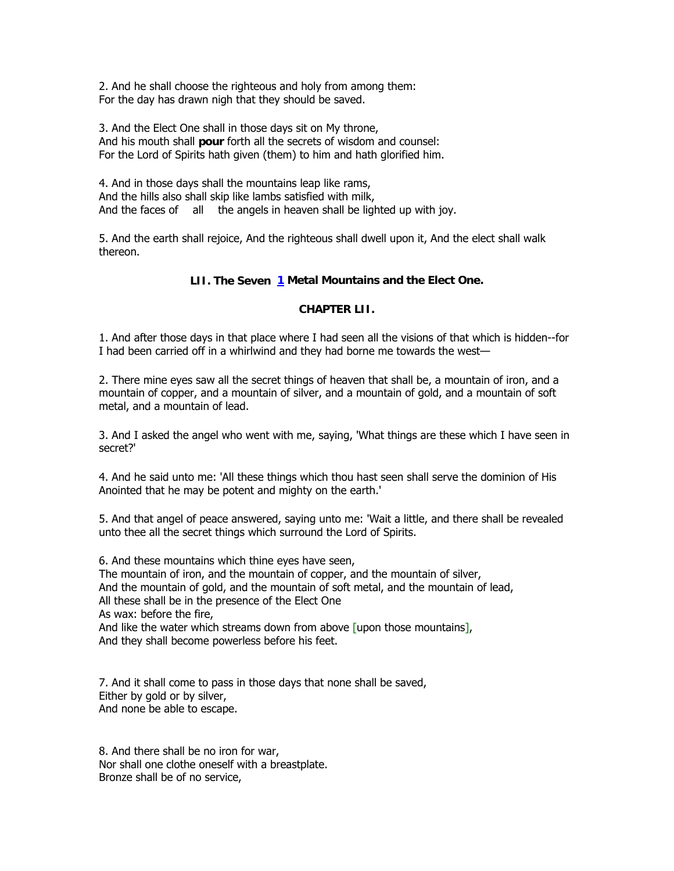2. And he shall choose the righteous and holy from among them: For the day has drawn nigh that they should be saved.

3. And the Elect One shall in those days sit on My throne, And his mouth shall **pour** forth all the secrets of wisdom and counsel: For the Lord of Spirits hath given (them) to him and hath glorified him.

4. And in those days shall the mountains leap like rams, And the hills also shall skip like lambs satisfied with milk, And the faces of all the angels in heaven shall be lighted up with joy.

5. And the earth shall rejoice, And the righteous shall dwell upon it, And the elect shall walk thereon.

# **LII. The Seven [1](http://www.sacred-texts.com/bib/boe/boe055.htm#fn_22#fn_22) Metal Mountains and the Elect One.**

# **CHAPTER LII.**

1. And after those days in that place where I had seen all the visions of that which is hidden--for I had been carried off in a whirlwind and they had borne me towards the west—

2. There mine eyes saw all the secret things of heaven that shall be, a mountain of iron, and a mountain of copper, and a mountain of silver, and a mountain of gold, and a mountain of soft metal, and a mountain of lead.

3. And I asked the angel who went with me, saying, 'What things are these which I have seen in secret?'

4. And he said unto me: 'All these things which thou hast seen shall serve the dominion of His Anointed that he may be potent and mighty on the earth.'

5. And that angel of peace answered, saying unto me: 'Wait a little, and there shall be revealed unto thee all the secret things which surround the Lord of Spirits.

6. And these mountains which thine eyes have seen, The mountain of iron, and the mountain of copper, and the mountain of silver, And the mountain of gold, and the mountain of soft metal, and the mountain of lead, All these shall be in the presence of the Elect One As wax: before the fire, And like the water which streams down from above upon those mountains], And they shall become powerless before his feet.

7. And it shall come to pass in those days that none shall be saved, Either by gold or by silver, And none be able to escape.

8. And there shall be no iron for war, Nor shall one clothe oneself with a breastplate. Bronze shall be of no service,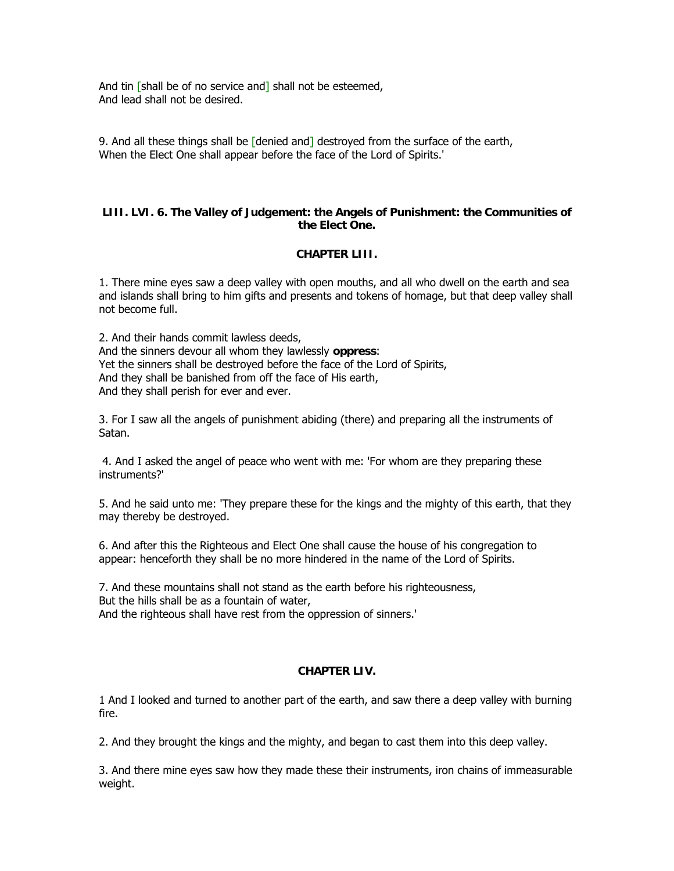And tin [shall be of no service and] shall not be esteemed, And lead shall not be desired.

9. And all these things shall be [denied and] destroyed from the surface of the earth, When the Elect One shall appear before the face of the Lord of Spirits.'

## **LIII. LVI. 6. The Valley of Judgement: the Angels of Punishment: the Communities of the Elect One.**

# **CHAPTER LIII.**

1. There mine eyes saw a deep valley with open mouths, and all who dwell on the earth and sea and islands shall bring to him gifts and presents and tokens of homage, but that deep valley shall not become full.

2. And their hands commit lawless deeds, And the sinners devour all whom they lawlessly **oppress**: Yet the sinners shall be destroyed before the face of the Lord of Spirits, And they shall be banished from off the face of His earth, And they shall perish for ever and ever.

3. For I saw all the angels of punishment abiding (there) and preparing all the instruments of Satan.

 4. And I asked the angel of peace who went with me: 'For whom are they preparing these instruments?'

5. And he said unto me: 'They prepare these for the kings and the mighty of this earth, that they may thereby be destroyed.

6. And after this the Righteous and Elect One shall cause the house of his congregation to appear: henceforth they shall be no more hindered in the name of the Lord of Spirits.

7. And these mountains shall not stand as the earth before his righteousness, But the hills shall be as a fountain of water, And the righteous shall have rest from the oppression of sinners.'

# **CHAPTER LIV.**

1 And I looked and turned to another part of the earth, and saw there a deep valley with burning fire.

2. And they brought the kings and the mighty, and began to cast them into this deep valley.

3. And there mine eyes saw how they made these their instruments, iron chains of immeasurable weight.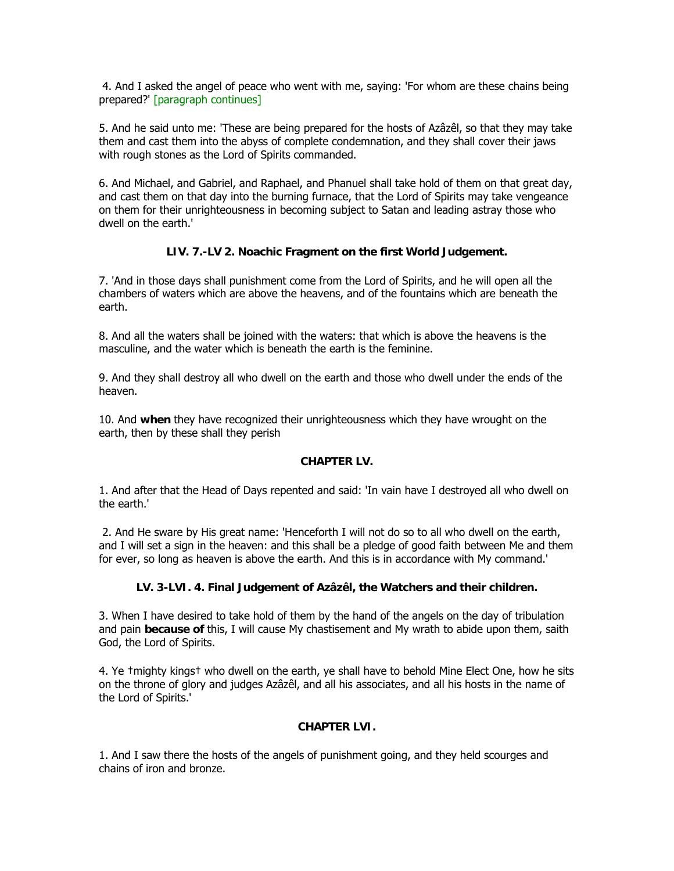4. And I asked the angel of peace who went with me, saying: 'For whom are these chains being prepared?' [paragraph continues]

5. And he said unto me: 'These are being prepared for the hosts of Azâzêl, so that they may take them and cast them into the abyss of complete condemnation, and they shall cover their jaws with rough stones as the Lord of Spirits commanded.

6. And Michael, and Gabriel, and Raphael, and Phanuel shall take hold of them on that great day, and cast them on that day into the burning furnace, that the Lord of Spirits may take vengeance on them for their unrighteousness in becoming subject to Satan and leading astray those who dwell on the earth.'

# **LIV. 7.-LV 2. Noachic Fragment on the first World Judgement.**

7. 'And in those days shall punishment come from the Lord of Spirits, and he will open all the chambers of waters which are above the heavens, and of the fountains which are beneath the earth.

8. And all the waters shall be joined with the waters: that which is above the heavens is the masculine, and the water which is beneath the earth is the feminine.

9. And they shall destroy all who dwell on the earth and those who dwell under the ends of the heaven.

10. And **when** they have recognized their unrighteousness which they have wrought on the earth, then by these shall they perish

# **CHAPTER LV.**

1. And after that the Head of Days repented and said: 'In vain have I destroyed all who dwell on the earth.'

 2. And He sware by His great name: 'Henceforth I will not do so to all who dwell on the earth, and I will set a sign in the heaven: and this shall be a pledge of good faith between Me and them for ever, so long as heaven is above the earth. And this is in accordance with My command.'

# **LV. 3-LVI. 4. Final Judgement of Azâzêl, the Watchers and their children.**

3. When I have desired to take hold of them by the hand of the angels on the day of tribulation and pain **because of** this, I will cause My chastisement and My wrath to abide upon them, saith God, the Lord of Spirits.

4. Ye †mighty kings† who dwell on the earth, ye shall have to behold Mine Elect One, how he sits on the throne of glory and judges Azâzêl, and all his associates, and all his hosts in the name of the Lord of Spirits.'

# **CHAPTER LVI.**

1. And I saw there the hosts of the angels of punishment going, and they held scourges and chains of iron and bronze.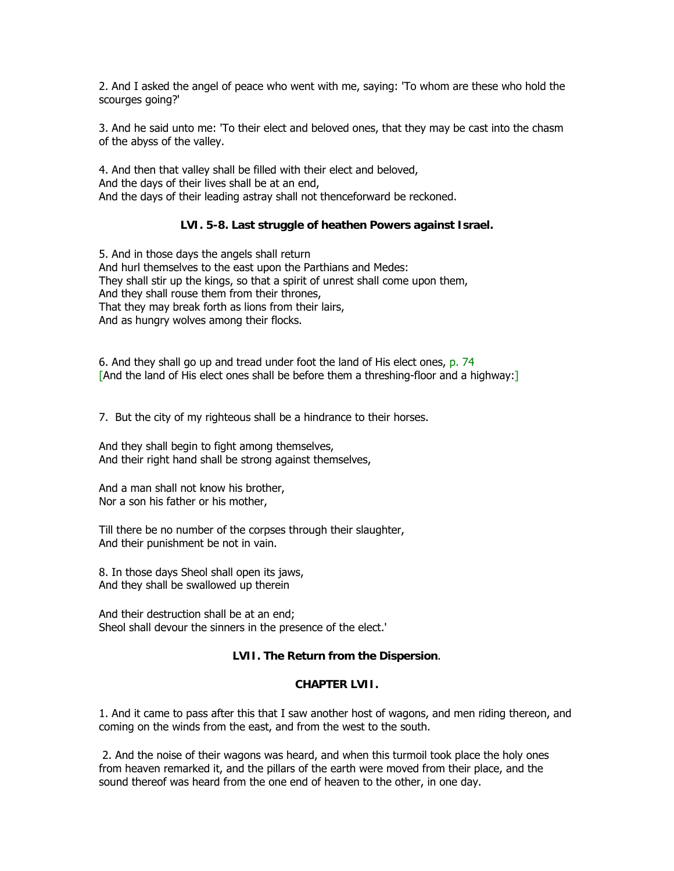2. And I asked the angel of peace who went with me, saying: 'To whom are these who hold the scourges going?'

3. And he said unto me: 'To their elect and beloved ones, that they may be cast into the chasm of the abyss of the valley.

4. And then that valley shall be filled with their elect and beloved, And the days of their lives shall be at an end, And the days of their leading astray shall not thenceforward be reckoned.

# **LVI. 5-8. Last struggle of heathen Powers against Israel.**

5. And in those days the angels shall return And hurl themselves to the east upon the Parthians and Medes: They shall stir up the kings, so that a spirit of unrest shall come upon them, And they shall rouse them from their thrones, That they may break forth as lions from their lairs, And as hungry wolves among their flocks.

6. And they shall go up and tread under foot the land of His elect ones, p. 74 [And the land of His elect ones shall be before them a threshing-floor and a highway:]

7. But the city of my righteous shall be a hindrance to their horses.

And they shall begin to fight among themselves, And their right hand shall be strong against themselves,

And a man shall not know his brother, Nor a son his father or his mother,

Till there be no number of the corpses through their slaughter, And their punishment be not in vain.

8. In those days Sheol shall open its jaws, And they shall be swallowed up therein

And their destruction shall be at an end; Sheol shall devour the sinners in the presence of the elect.'

# **LVII. The Return from the Dispersion**.

### **CHAPTER LVII.**

1. And it came to pass after this that I saw another host of wagons, and men riding thereon, and coming on the winds from the east, and from the west to the south.

 2. And the noise of their wagons was heard, and when this turmoil took place the holy ones from heaven remarked it, and the pillars of the earth were moved from their place, and the sound thereof was heard from the one end of heaven to the other, in one day.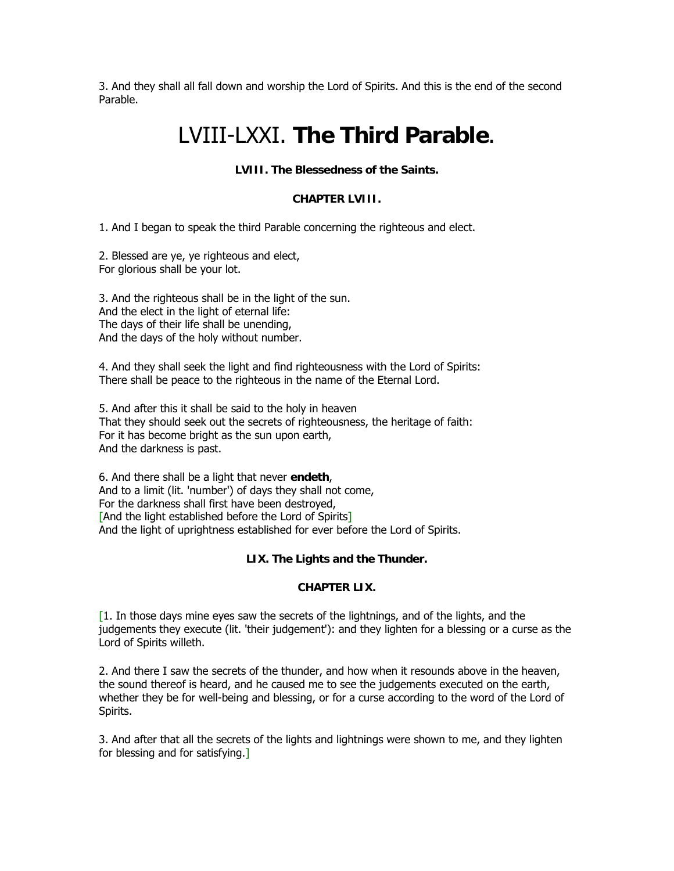3. And they shall all fall down and worship the Lord of Spirits. And this is the end of the second Parable.

# LVIII-LXXI. **The Third Parable**.

# **LVIII. The Blessedness of the Saints.**

## **CHAPTER LVIII.**

1. And I began to speak the third Parable concerning the righteous and elect.

2. Blessed are ye, ye righteous and elect, For glorious shall be your lot.

3. And the righteous shall be in the light of the sun. And the elect in the light of eternal life: The days of their life shall be unending, And the days of the holy without number.

4. And they shall seek the light and find righteousness with the Lord of Spirits: There shall be peace to the righteous in the name of the Eternal Lord.

5. And after this it shall be said to the holy in heaven That they should seek out the secrets of righteousness, the heritage of faith: For it has become bright as the sun upon earth, And the darkness is past.

6. And there shall be a light that never **endeth**, And to a limit (lit. 'number') of days they shall not come, For the darkness shall first have been destroyed, [And the light established before the Lord of Spirits] And the light of uprightness established for ever before the Lord of Spirits.

# **LIX. The Lights and the Thunder.**

# **CHAPTER LIX.**

 $[1.$  In those days mine eyes saw the secrets of the lightnings, and of the lights, and the judgements they execute (lit. 'their judgement'): and they lighten for a blessing or a curse as the Lord of Spirits willeth.

2. And there I saw the secrets of the thunder, and how when it resounds above in the heaven, the sound thereof is heard, and he caused me to see the judgements executed on the earth, whether they be for well-being and blessing, or for a curse according to the word of the Lord of Spirits.

3. And after that all the secrets of the lights and lightnings were shown to me, and they lighten for blessing and for satisfying.]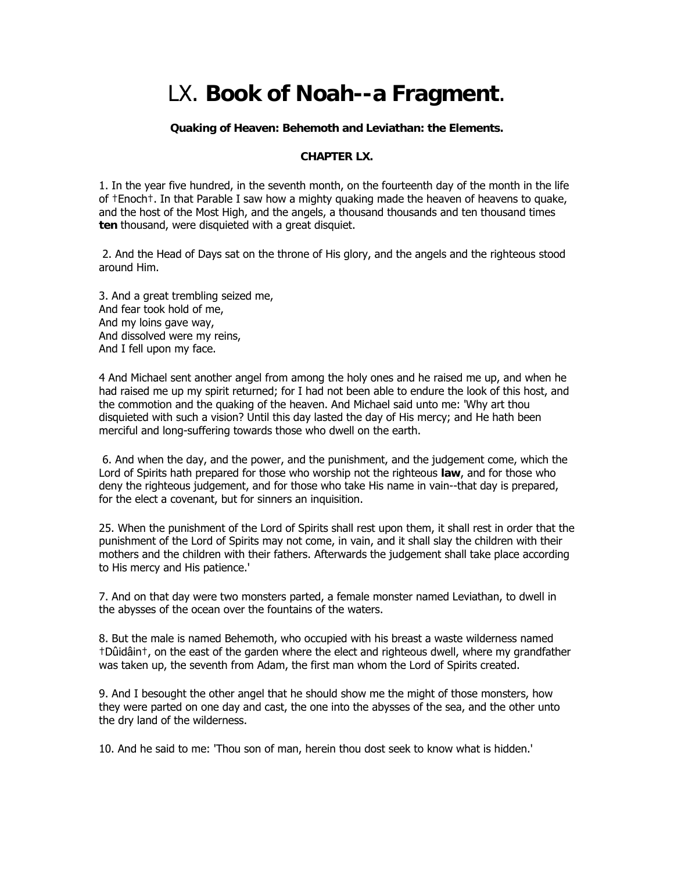# LX. **Book of Noah--a Fragment**.

### **Quaking of Heaven: Behemoth and Leviathan: the Elements.**

## **CHAPTER LX.**

1. In the year five hundred, in the seventh month, on the fourteenth day of the month in the life of †Enoch†. In that Parable I saw how a mighty quaking made the heaven of heavens to quake, and the host of the Most High, and the angels, a thousand thousands and ten thousand times **ten** thousand, were disquieted with a great disquiet.

 2. And the Head of Days sat on the throne of His glory, and the angels and the righteous stood around Him.

3. And a great trembling seized me, And fear took hold of me, And my loins gave way, And dissolved were my reins, And I fell upon my face.

4 And Michael sent another angel from among the holy ones and he raised me up, and when he had raised me up my spirit returned; for I had not been able to endure the look of this host, and the commotion and the quaking of the heaven. And Michael said unto me: 'Why art thou disquieted with such a vision? Until this day lasted the day of His mercy; and He hath been merciful and long-suffering towards those who dwell on the earth.

 6. And when the day, and the power, and the punishment, and the judgement come, which the Lord of Spirits hath prepared for those who worship not the righteous **law**, and for those who deny the righteous judgement, and for those who take His name in vain--that day is prepared, for the elect a covenant, but for sinners an inquisition.

25. When the punishment of the Lord of Spirits shall rest upon them, it shall rest in order that the punishment of the Lord of Spirits may not come, in vain, and it shall slay the children with their mothers and the children with their fathers. Afterwards the judgement shall take place according to His mercy and His patience.'

7. And on that day were two monsters parted, a female monster named Leviathan, to dwell in the abysses of the ocean over the fountains of the waters.

8. But the male is named Behemoth, who occupied with his breast a waste wilderness named †Dûidâin†, on the east of the garden where the elect and righteous dwell, where my grandfather was taken up, the seventh from Adam, the first man whom the Lord of Spirits created.

9. And I besought the other angel that he should show me the might of those monsters, how they were parted on one day and cast, the one into the abysses of the sea, and the other unto the dry land of the wilderness.

10. And he said to me: 'Thou son of man, herein thou dost seek to know what is hidden.'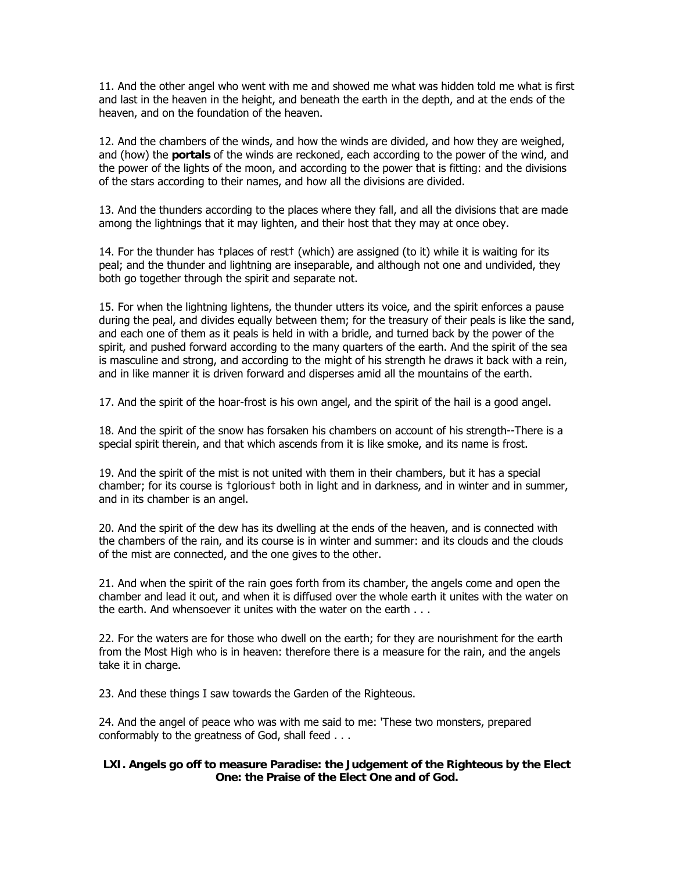11. And the other angel who went with me and showed me what was hidden told me what is first and last in the heaven in the height, and beneath the earth in the depth, and at the ends of the heaven, and on the foundation of the heaven.

12. And the chambers of the winds, and how the winds are divided, and how they are weighed, and (how) the **portals** of the winds are reckoned, each according to the power of the wind, and the power of the lights of the moon, and according to the power that is fitting: and the divisions of the stars according to their names, and how all the divisions are divided.

13. And the thunders according to the places where they fall, and all the divisions that are made among the lightnings that it may lighten, and their host that they may at once obey.

14. For the thunder has †places of rest† (which) are assigned (to it) while it is waiting for its peal; and the thunder and lightning are inseparable, and although not one and undivided, they both go together through the spirit and separate not.

15. For when the lightning lightens, the thunder utters its voice, and the spirit enforces a pause during the peal, and divides equally between them; for the treasury of their peals is like the sand, and each one of them as it peals is held in with a bridle, and turned back by the power of the spirit, and pushed forward according to the many quarters of the earth. And the spirit of the sea is masculine and strong, and according to the might of his strength he draws it back with a rein, and in like manner it is driven forward and disperses amid all the mountains of the earth.

17. And the spirit of the hoar-frost is his own angel, and the spirit of the hail is a good angel.

18. And the spirit of the snow has forsaken his chambers on account of his strength--There is a special spirit therein, and that which ascends from it is like smoke, and its name is frost.

19. And the spirit of the mist is not united with them in their chambers, but it has a special chamber; for its course is †glorious† both in light and in darkness, and in winter and in summer, and in its chamber is an angel.

20. And the spirit of the dew has its dwelling at the ends of the heaven, and is connected with the chambers of the rain, and its course is in winter and summer: and its clouds and the clouds of the mist are connected, and the one gives to the other.

21. And when the spirit of the rain goes forth from its chamber, the angels come and open the chamber and lead it out, and when it is diffused over the whole earth it unites with the water on the earth. And whensoever it unites with the water on the earth . . .

22. For the waters are for those who dwell on the earth; for they are nourishment for the earth from the Most High who is in heaven: therefore there is a measure for the rain, and the angels take it in charge.

23. And these things I saw towards the Garden of the Righteous.

24. And the angel of peace who was with me said to me: 'These two monsters, prepared conformably to the greatness of God, shall feed . . .

# **LXI. Angels go off to measure Paradise: the Judgement of the Righteous by the Elect One: the Praise of the Elect One and of God.**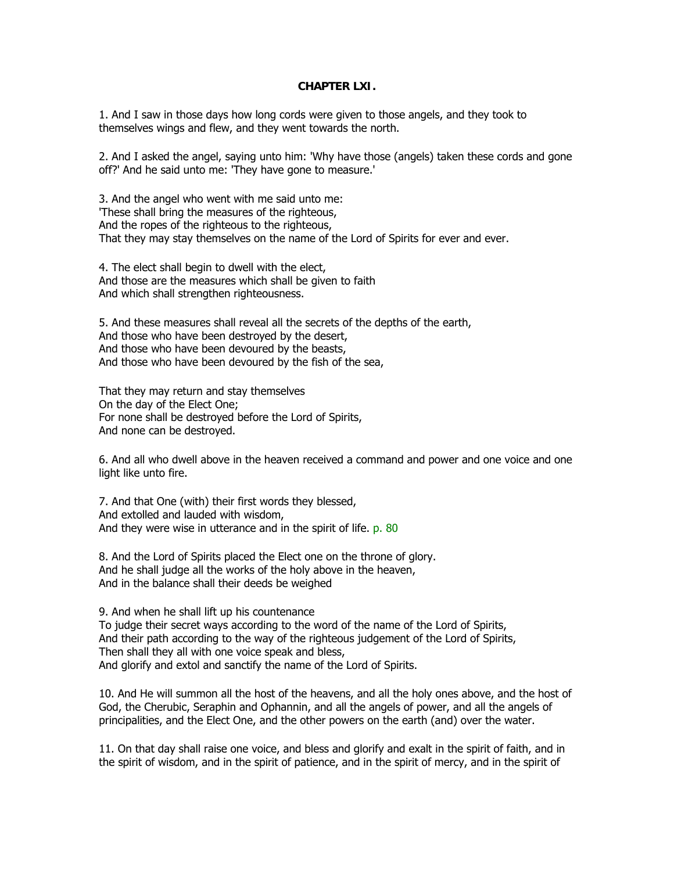## **CHAPTER LXI.**

1. And I saw in those days how long cords were given to those angels, and they took to themselves wings and flew, and they went towards the north.

2. And I asked the angel, saying unto him: 'Why have those (angels) taken these cords and gone off?' And he said unto me: 'They have gone to measure.'

3. And the angel who went with me said unto me: 'These shall bring the measures of the righteous, And the ropes of the righteous to the righteous, That they may stay themselves on the name of the Lord of Spirits for ever and ever.

4. The elect shall begin to dwell with the elect, And those are the measures which shall be given to faith And which shall strengthen righteousness.

5. And these measures shall reveal all the secrets of the depths of the earth, And those who have been destroyed by the desert, And those who have been devoured by the beasts, And those who have been devoured by the fish of the sea,

That they may return and stay themselves On the day of the Elect One; For none shall be destroyed before the Lord of Spirits, And none can be destroyed.

6. And all who dwell above in the heaven received a command and power and one voice and one light like unto fire.

7. And that One (with) their first words they blessed, And extolled and lauded with wisdom, And they were wise in utterance and in the spirit of life. p. 80

8. And the Lord of Spirits placed the Elect one on the throne of glory. And he shall judge all the works of the holy above in the heaven, And in the balance shall their deeds be weighed

9. And when he shall lift up his countenance To judge their secret ways according to the word of the name of the Lord of Spirits, And their path according to the way of the righteous judgement of the Lord of Spirits, Then shall they all with one voice speak and bless, And glorify and extol and sanctify the name of the Lord of Spirits.

10. And He will summon all the host of the heavens, and all the holy ones above, and the host of God, the Cherubic, Seraphin and Ophannin, and all the angels of power, and all the angels of principalities, and the Elect One, and the other powers on the earth (and) over the water.

11. On that day shall raise one voice, and bless and glorify and exalt in the spirit of faith, and in the spirit of wisdom, and in the spirit of patience, and in the spirit of mercy, and in the spirit of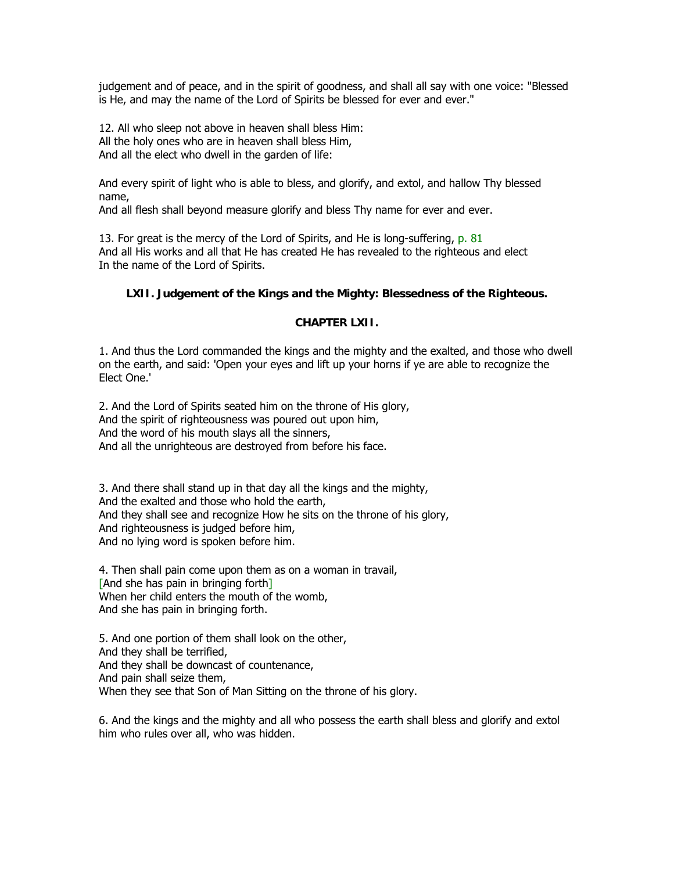judgement and of peace, and in the spirit of goodness, and shall all say with one voice: "Blessed is He, and may the name of the Lord of Spirits be blessed for ever and ever."

12. All who sleep not above in heaven shall bless Him: All the holy ones who are in heaven shall bless Him, And all the elect who dwell in the garden of life:

And every spirit of light who is able to bless, and glorify, and extol, and hallow Thy blessed name,

And all flesh shall beyond measure glorify and bless Thy name for ever and ever.

13. For great is the mercy of the Lord of Spirits, and He is long-suffering, p. 81 And all His works and all that He has created He has revealed to the righteous and elect In the name of the Lord of Spirits.

## **LXII. Judgement of the Kings and the Mighty: Blessedness of the Righteous.**

### **CHAPTER LXII.**

1. And thus the Lord commanded the kings and the mighty and the exalted, and those who dwell on the earth, and said: 'Open your eyes and lift up your horns if ye are able to recognize the Elect One.'

2. And the Lord of Spirits seated him on the throne of His glory, And the spirit of righteousness was poured out upon him, And the word of his mouth slays all the sinners, And all the unrighteous are destroyed from before his face.

3. And there shall stand up in that day all the kings and the mighty, And the exalted and those who hold the earth, And they shall see and recognize How he sits on the throne of his glory, And righteousness is judged before him, And no lying word is spoken before him.

4. Then shall pain come upon them as on a woman in travail, [And she has pain in bringing forth] When her child enters the mouth of the womb, And she has pain in bringing forth.

5. And one portion of them shall look on the other, And they shall be terrified, And they shall be downcast of countenance, And pain shall seize them, When they see that Son of Man Sitting on the throne of his glory.

6. And the kings and the mighty and all who possess the earth shall bless and glorify and extol him who rules over all, who was hidden.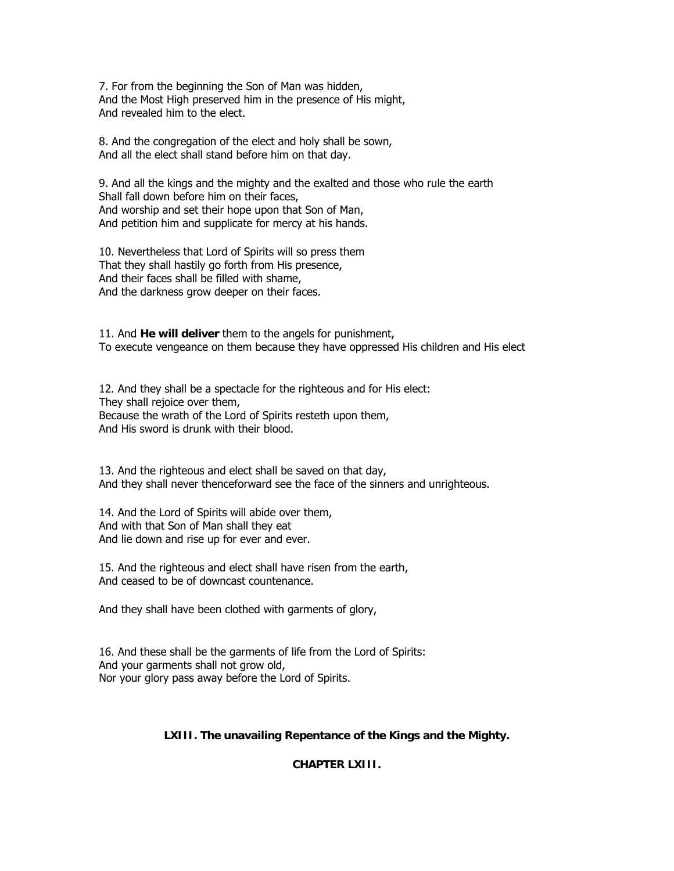7. For from the beginning the Son of Man was hidden, And the Most High preserved him in the presence of His might, And revealed him to the elect.

8. And the congregation of the elect and holy shall be sown, And all the elect shall stand before him on that day.

9. And all the kings and the mighty and the exalted and those who rule the earth Shall fall down before him on their faces, And worship and set their hope upon that Son of Man, And petition him and supplicate for mercy at his hands.

10. Nevertheless that Lord of Spirits will so press them That they shall hastily go forth from His presence, And their faces shall be filled with shame, And the darkness grow deeper on their faces.

11. And **He will deliver** them to the angels for punishment, To execute vengeance on them because they have oppressed His children and His elect

12. And they shall be a spectacle for the righteous and for His elect: They shall rejoice over them, Because the wrath of the Lord of Spirits resteth upon them, And His sword is drunk with their blood.

13. And the righteous and elect shall be saved on that day, And they shall never thenceforward see the face of the sinners and unrighteous.

14. And the Lord of Spirits will abide over them, And with that Son of Man shall they eat And lie down and rise up for ever and ever.

15. And the righteous and elect shall have risen from the earth, And ceased to be of downcast countenance.

And they shall have been clothed with garments of glory,

16. And these shall be the garments of life from the Lord of Spirits: And your garments shall not grow old, Nor your glory pass away before the Lord of Spirits.

### **LXIII. The unavailing Repentance of the Kings and the Mighty.**

**CHAPTER LXIII.**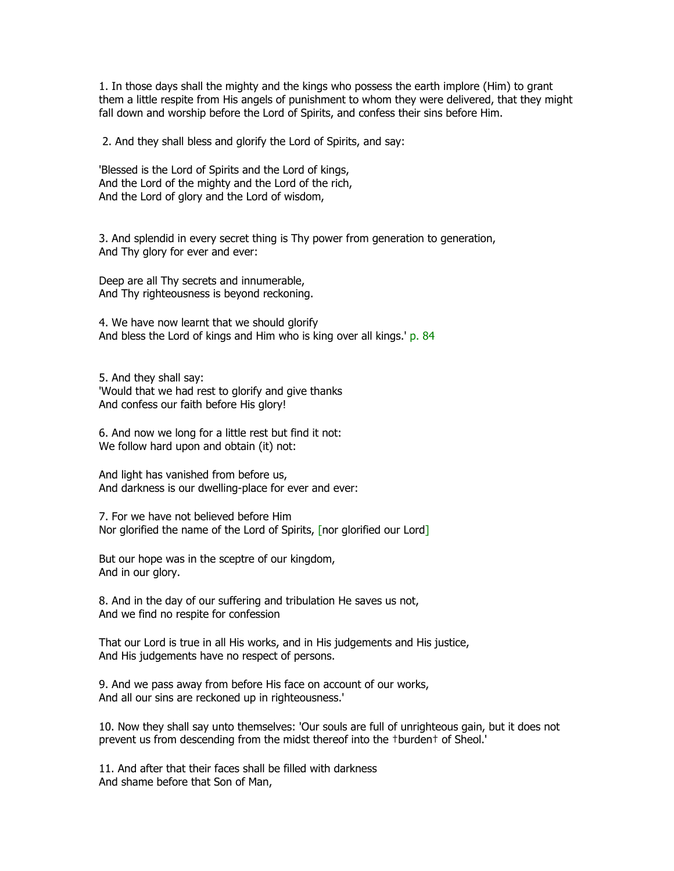1. In those days shall the mighty and the kings who possess the earth implore (Him) to grant them a little respite from His angels of punishment to whom they were delivered, that they might fall down and worship before the Lord of Spirits, and confess their sins before Him.

2. And they shall bless and glorify the Lord of Spirits, and say:

'Blessed is the Lord of Spirits and the Lord of kings, And the Lord of the mighty and the Lord of the rich, And the Lord of glory and the Lord of wisdom,

3. And splendid in every secret thing is Thy power from generation to generation, And Thy glory for ever and ever:

Deep are all Thy secrets and innumerable, And Thy righteousness is beyond reckoning.

4. We have now learnt that we should glorify And bless the Lord of kings and Him who is king over all kings.' p. 84

5. And they shall say: 'Would that we had rest to glorify and give thanks And confess our faith before His glory!

6. And now we long for a little rest but find it not: We follow hard upon and obtain (it) not:

And light has vanished from before us, And darkness is our dwelling-place for ever and ever:

7. For we have not believed before Him Nor glorified the name of the Lord of Spirits, [nor glorified our Lord]

But our hope was in the sceptre of our kingdom, And in our glory.

8. And in the day of our suffering and tribulation He saves us not, And we find no respite for confession

That our Lord is true in all His works, and in His judgements and His justice, And His judgements have no respect of persons.

9. And we pass away from before His face on account of our works, And all our sins are reckoned up in righteousness.'

10. Now they shall say unto themselves: 'Our souls are full of unrighteous gain, but it does not prevent us from descending from the midst thereof into the †burden† of Sheol.'

11. And after that their faces shall be filled with darkness And shame before that Son of Man,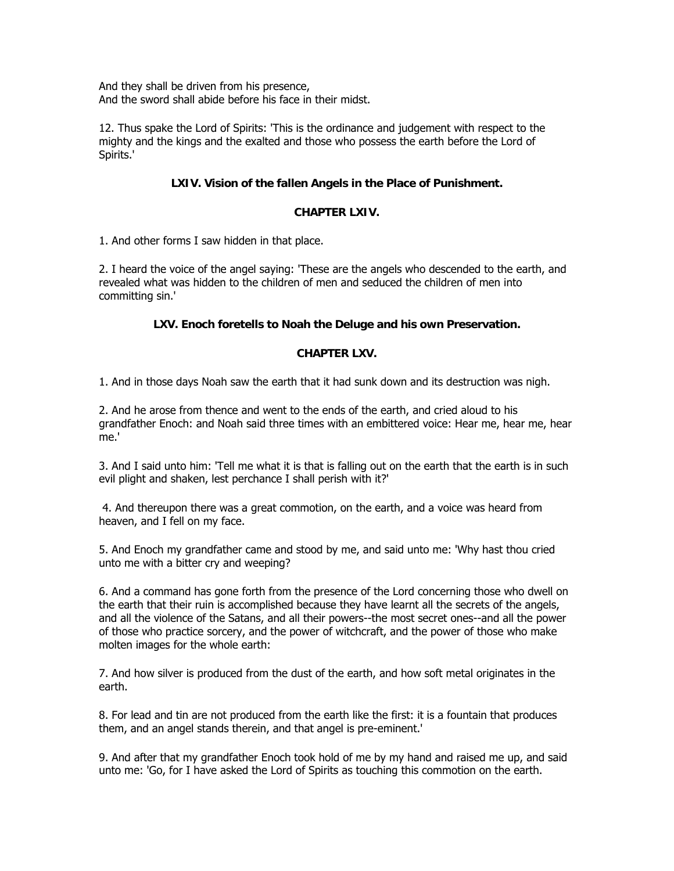And they shall be driven from his presence, And the sword shall abide before his face in their midst.

12. Thus spake the Lord of Spirits: 'This is the ordinance and judgement with respect to the mighty and the kings and the exalted and those who possess the earth before the Lord of Spirits.'

# **LXIV. Vision of the fallen Angels in the Place of Punishment.**

## **CHAPTER LXIV.**

1. And other forms I saw hidden in that place.

2. I heard the voice of the angel saying: 'These are the angels who descended to the earth, and revealed what was hidden to the children of men and seduced the children of men into committing sin.'

# **LXV. Enoch foretells to Noah the Deluge and his own Preservation.**

# **CHAPTER LXV.**

1. And in those days Noah saw the earth that it had sunk down and its destruction was nigh.

2. And he arose from thence and went to the ends of the earth, and cried aloud to his grandfather Enoch: and Noah said three times with an embittered voice: Hear me, hear me, hear me.'

3. And I said unto him: 'Tell me what it is that is falling out on the earth that the earth is in such evil plight and shaken, lest perchance I shall perish with it?'

 4. And thereupon there was a great commotion, on the earth, and a voice was heard from heaven, and I fell on my face.

5. And Enoch my grandfather came and stood by me, and said unto me: 'Why hast thou cried unto me with a bitter cry and weeping?

6. And a command has gone forth from the presence of the Lord concerning those who dwell on the earth that their ruin is accomplished because they have learnt all the secrets of the angels, and all the violence of the Satans, and all their powers--the most secret ones--and all the power of those who practice sorcery, and the power of witchcraft, and the power of those who make molten images for the whole earth:

7. And how silver is produced from the dust of the earth, and how soft metal originates in the earth.

8. For lead and tin are not produced from the earth like the first: it is a fountain that produces them, and an angel stands therein, and that angel is pre-eminent.'

9. And after that my grandfather Enoch took hold of me by my hand and raised me up, and said unto me: 'Go, for I have asked the Lord of Spirits as touching this commotion on the earth.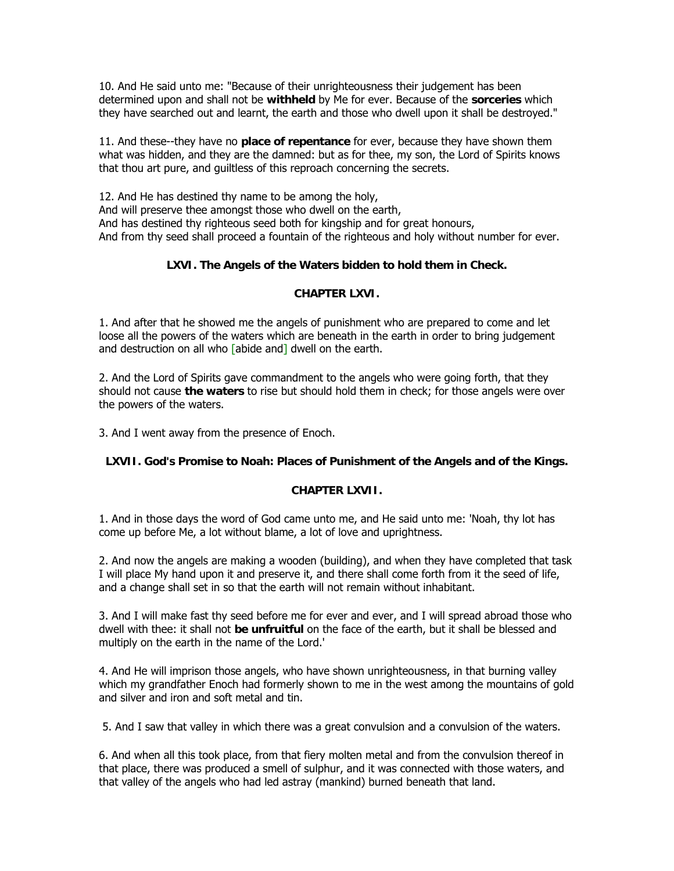10. And He said unto me: "Because of their unrighteousness their judgement has been determined upon and shall not be **withheld** by Me for ever. Because of the **sorceries** which they have searched out and learnt, the earth and those who dwell upon it shall be destroyed."

11. And these--they have no **place of repentance** for ever, because they have shown them what was hidden, and they are the damned: but as for thee, my son, the Lord of Spirits knows that thou art pure, and guiltless of this reproach concerning the secrets.

12. And He has destined thy name to be among the holy, And will preserve thee amongst those who dwell on the earth, And has destined thy righteous seed both for kingship and for great honours, And from thy seed shall proceed a fountain of the righteous and holy without number for ever.

# **LXVI. The Angels of the Waters bidden to hold them in Check.**

# **CHAPTER LXVI.**

1. And after that he showed me the angels of punishment who are prepared to come and let loose all the powers of the waters which are beneath in the earth in order to bring judgement and destruction on all who [abide and] dwell on the earth.

2. And the Lord of Spirits gave commandment to the angels who were going forth, that they should not cause **the waters** to rise but should hold them in check; for those angels were over the powers of the waters.

3. And I went away from the presence of Enoch.

# **LXVII. God's Promise to Noah: Places of Punishment of the Angels and of the Kings.**

# **CHAPTER LXVII.**

1. And in those days the word of God came unto me, and He said unto me: 'Noah, thy lot has come up before Me, a lot without blame, a lot of love and uprightness.

2. And now the angels are making a wooden (building), and when they have completed that task I will place My hand upon it and preserve it, and there shall come forth from it the seed of life, and a change shall set in so that the earth will not remain without inhabitant.

3. And I will make fast thy seed before me for ever and ever, and I will spread abroad those who dwell with thee: it shall not **be unfruitful** on the face of the earth, but it shall be blessed and multiply on the earth in the name of the Lord.'

4. And He will imprison those angels, who have shown unrighteousness, in that burning valley which my grandfather Enoch had formerly shown to me in the west among the mountains of gold and silver and iron and soft metal and tin.

5. And I saw that valley in which there was a great convulsion and a convulsion of the waters.

6. And when all this took place, from that fiery molten metal and from the convulsion thereof in that place, there was produced a smell of sulphur, and it was connected with those waters, and that valley of the angels who had led astray (mankind) burned beneath that land.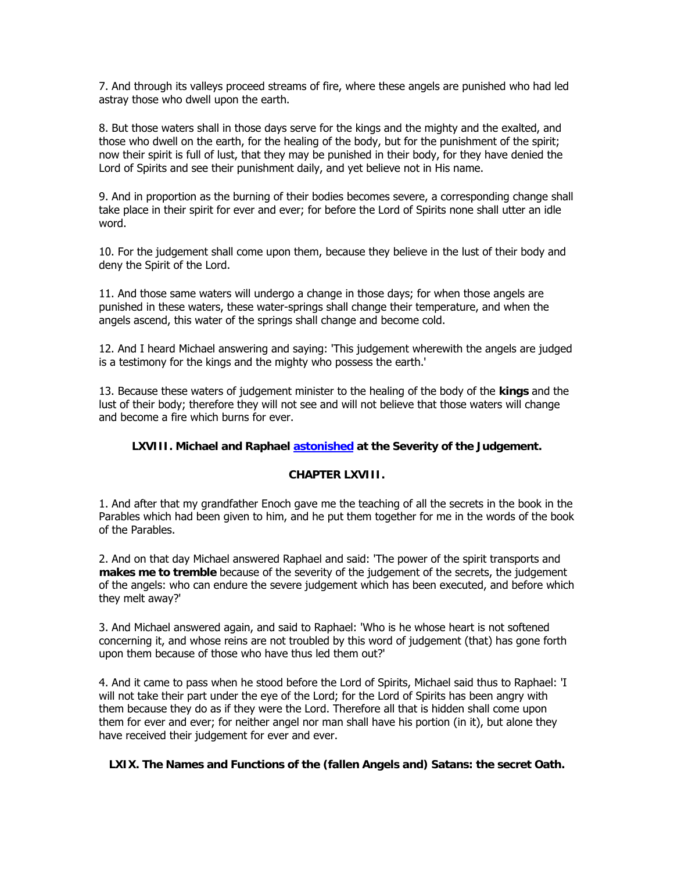7. And through its valleys proceed streams of fire, where these angels are punished who had led astray those who dwell upon the earth.

8. But those waters shall in those days serve for the kings and the mighty and the exalted, and those who dwell on the earth, for the healing of the body, but for the punishment of the spirit; now their spirit is full of lust, that they may be punished in their body, for they have denied the Lord of Spirits and see their punishment daily, and yet believe not in His name.

9. And in proportion as the burning of their bodies becomes severe, a corresponding change shall take place in their spirit for ever and ever; for before the Lord of Spirits none shall utter an idle word.

10. For the judgement shall come upon them, because they believe in the lust of their body and deny the Spirit of the Lord.

11. And those same waters will undergo a change in those days; for when those angels are punished in these waters, these water-springs shall change their temperature, and when the angels ascend, this water of the springs shall change and become cold.

12. And I heard Michael answering and saying: 'This judgement wherewith the angels are judged is a testimony for the kings and the mighty who possess the earth.'

13. Because these waters of judgement minister to the healing of the body of the **kings** and the lust of their body; therefore they will not see and will not believe that those waters will change and become a fire which burns for ever.

# **LXVIII. Michael and Raphael [astonished](http://www.sacred-texts.com/bib/boe/errata.htm#0) at the Severity of the Judgement.**

### **CHAPTER LXVIII.**

1. And after that my grandfather Enoch gave me the teaching of all the secrets in the book in the Parables which had been given to him, and he put them together for me in the words of the book of the Parables.

2. And on that day Michael answered Raphael and said: 'The power of the spirit transports and **makes me to tremble** because of the severity of the judgement of the secrets, the judgement of the angels: who can endure the severe judgement which has been executed, and before which they melt away?'

3. And Michael answered again, and said to Raphael: 'Who is he whose heart is not softened concerning it, and whose reins are not troubled by this word of judgement (that) has gone forth upon them because of those who have thus led them out?'

4. And it came to pass when he stood before the Lord of Spirits, Michael said thus to Raphael: 'I will not take their part under the eye of the Lord; for the Lord of Spirits has been angry with them because they do as if they were the Lord. Therefore all that is hidden shall come upon them for ever and ever; for neither angel nor man shall have his portion (in it), but alone they have received their judgement for ever and ever.

### **LXIX. The Names and Functions of the (fallen Angels and) Satans: the secret Oath.**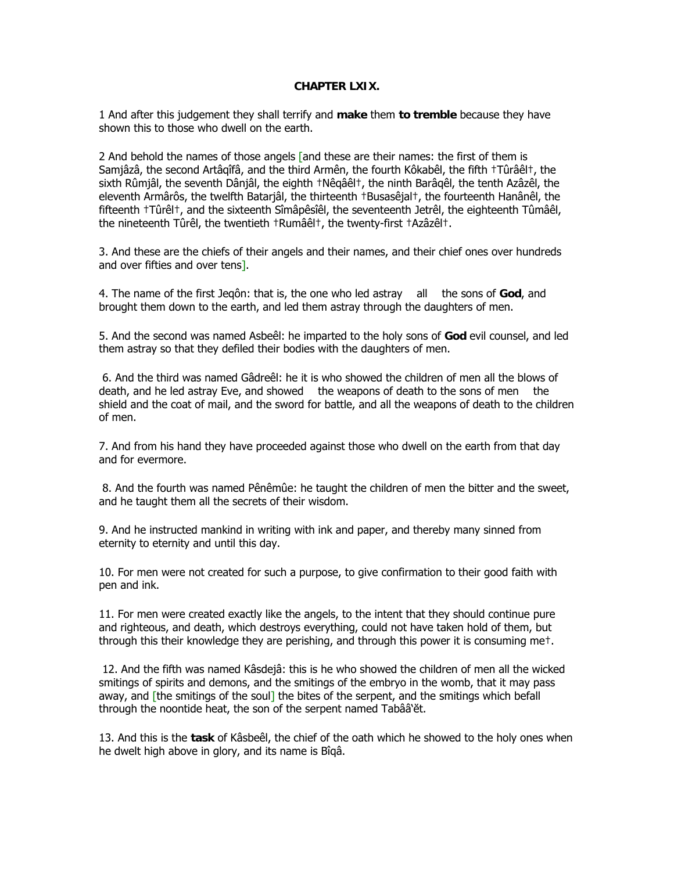## **CHAPTER LXIX.**

1 And after this judgement they shall terrify and **make** them **to tremble** because they have shown this to those who dwell on the earth.

2 And behold the names of those angels [and these are their names: the first of them is Samjâzâ, the second Artâqîfâ, and the third Armên, the fourth Kôkabêl, the fifth †Tûrâêl†, the sixth Rûmjâl, the seventh Dânjâl, the eighth †Nêqâêl†, the ninth Barâqêl, the tenth Azâzêl, the eleventh Armârôs, the twelfth Batarjâl, the thirteenth †Busasêjal†, the fourteenth Hanânêl, the fifteenth †Tûrêl†, and the sixteenth Sîmâpêsîêl, the seventeenth Jetrêl, the eighteenth Tûmâêl, the nineteenth Tûrêl, the twentieth †Rumâêl†, the twenty-first †Azâzêl†.

3. And these are the chiefs of their angels and their names, and their chief ones over hundreds and over fifties and over tens].

4. The name of the first Jeqôn: that is, the one who led astray all the sons of **God**, and brought them down to the earth, and led them astray through the daughters of men.

5. And the second was named Asbeêl: he imparted to the holy sons of **God** evil counsel, and led them astray so that they defiled their bodies with the daughters of men.

 6. And the third was named Gâdreêl: he it is who showed the children of men all the blows of death, and he led astray Eve, and showed the weapons of death to the sons of men the shield and the coat of mail, and the sword for battle, and all the weapons of death to the children of men.

7. And from his hand they have proceeded against those who dwell on the earth from that day and for evermore.

 8. And the fourth was named Pênêmûe: he taught the children of men the bitter and the sweet, and he taught them all the secrets of their wisdom.

9. And he instructed mankind in writing with ink and paper, and thereby many sinned from eternity to eternity and until this day.

10. For men were not created for such a purpose, to give confirmation to their good faith with pen and ink.

11. For men were created exactly like the angels, to the intent that they should continue pure and righteous, and death, which destroys everything, could not have taken hold of them, but through this their knowledge they are perishing, and through this power it is consuming me†.

 12. And the fifth was named Kâsdejâ: this is he who showed the children of men all the wicked smitings of spirits and demons, and the smitings of the embryo in the womb, that it may pass away, and [the smitings of the soul] the bites of the serpent, and the smitings which befall through the noontide heat, the son of the serpent named Tabââ'ĕt.

13. And this is the **task** of Kâsbeêl, the chief of the oath which he showed to the holy ones when he dwelt high above in glory, and its name is Bîqâ.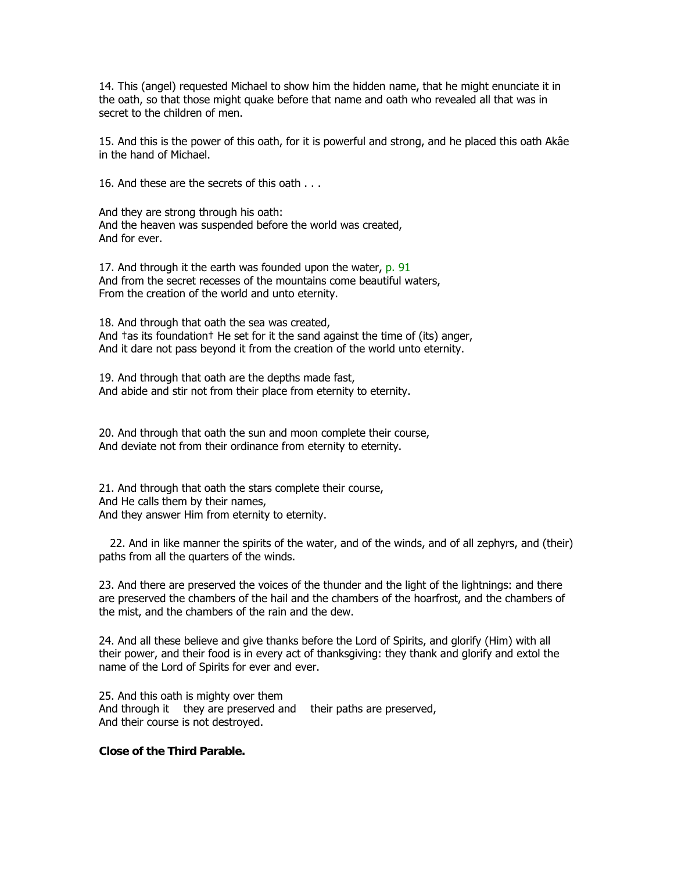14. This (angel) requested Michael to show him the hidden name, that he might enunciate it in the oath, so that those might quake before that name and oath who revealed all that was in secret to the children of men.

15. And this is the power of this oath, for it is powerful and strong, and he placed this oath Akâe in the hand of Michael.

16. And these are the secrets of this oath . . .

And they are strong through his oath: And the heaven was suspended before the world was created, And for ever.

17. And through it the earth was founded upon the water, p. 91 And from the secret recesses of the mountains come beautiful waters, From the creation of the world and unto eternity.

18. And through that oath the sea was created, And †as its foundation† He set for it the sand against the time of (its) anger, And it dare not pass beyond it from the creation of the world unto eternity.

19. And through that oath are the depths made fast, And abide and stir not from their place from eternity to eternity.

20. And through that oath the sun and moon complete their course, And deviate not from their ordinance from eternity to eternity.

21. And through that oath the stars complete their course, And He calls them by their names, And they answer Him from eternity to eternity.

22. And in like manner the spirits of the water, and of the winds, and of all zephyrs, and (their) paths from all the quarters of the winds.

23. And there are preserved the voices of the thunder and the light of the lightnings: and there are preserved the chambers of the hail and the chambers of the hoarfrost, and the chambers of the mist, and the chambers of the rain and the dew.

24. And all these believe and give thanks before the Lord of Spirits, and glorify (Him) with all their power, and their food is in every act of thanksgiving: they thank and glorify and extol the name of the Lord of Spirits for ever and ever.

25. And this oath is mighty over them And through it they are preserved and their paths are preserved, And their course is not destroyed.

## **Close of the Third Parable.**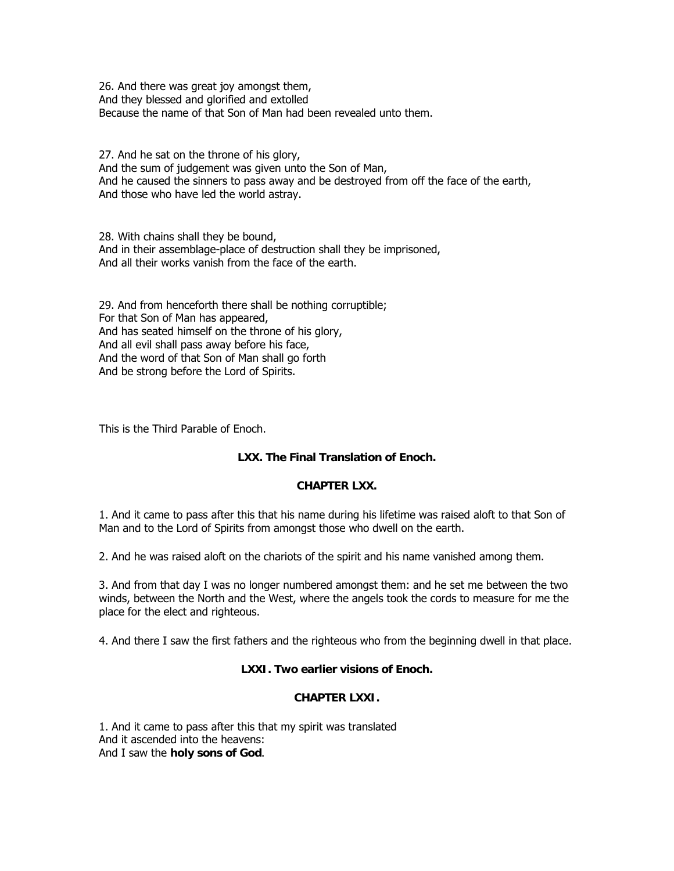26. And there was great joy amongst them, And they blessed and glorified and extolled Because the name of that Son of Man had been revealed unto them.

27. And he sat on the throne of his glory, And the sum of judgement was given unto the Son of Man, And he caused the sinners to pass away and be destroyed from off the face of the earth, And those who have led the world astray.

28. With chains shall they be bound, And in their assemblage-place of destruction shall they be imprisoned, And all their works vanish from the face of the earth.

29. And from henceforth there shall be nothing corruptible; For that Son of Man has appeared, And has seated himself on the throne of his glory, And all evil shall pass away before his face, And the word of that Son of Man shall go forth And be strong before the Lord of Spirits.

This is the Third Parable of Enoch.

# **LXX. The Final Translation of Enoch.**

# **CHAPTER LXX.**

1. And it came to pass after this that his name during his lifetime was raised aloft to that Son of Man and to the Lord of Spirits from amongst those who dwell on the earth.

2. And he was raised aloft on the chariots of the spirit and his name vanished among them.

3. And from that day I was no longer numbered amongst them: and he set me between the two winds, between the North and the West, where the angels took the cords to measure for me the place for the elect and righteous.

4. And there I saw the first fathers and the righteous who from the beginning dwell in that place.

# **LXXI. Two earlier visions of Enoch.**

# **CHAPTER LXXI.**

1. And it came to pass after this that my spirit was translated And it ascended into the heavens: And I saw the **holy sons of God**.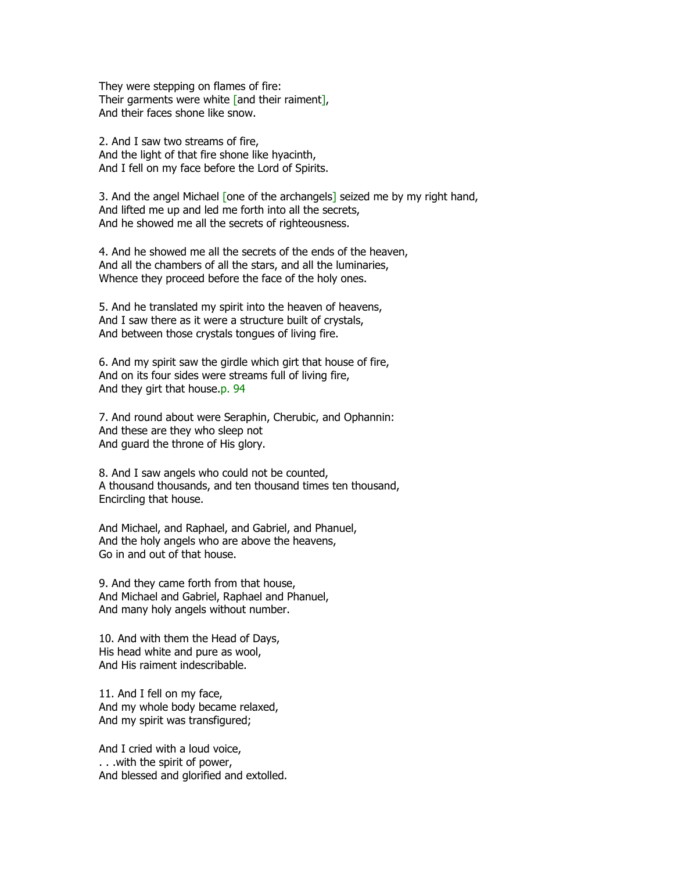They were stepping on flames of fire: Their garments were white [and their raiment], And their faces shone like snow.

2. And I saw two streams of fire, And the light of that fire shone like hyacinth, And I fell on my face before the Lord of Spirits.

3. And the angel Michael [one of the archangels] seized me by my right hand, And lifted me up and led me forth into all the secrets, And he showed me all the secrets of righteousness.

4. And he showed me all the secrets of the ends of the heaven, And all the chambers of all the stars, and all the luminaries, Whence they proceed before the face of the holy ones.

5. And he translated my spirit into the heaven of heavens, And I saw there as it were a structure built of crystals, And between those crystals tongues of living fire.

6. And my spirit saw the girdle which girt that house of fire, And on its four sides were streams full of living fire, And they girt that house.p. 94

7. And round about were Seraphin, Cherubic, and Ophannin: And these are they who sleep not And guard the throne of His glory.

8. And I saw angels who could not be counted, A thousand thousands, and ten thousand times ten thousand, Encircling that house.

And Michael, and Raphael, and Gabriel, and Phanuel, And the holy angels who are above the heavens, Go in and out of that house.

9. And they came forth from that house, And Michael and Gabriel, Raphael and Phanuel, And many holy angels without number.

10. And with them the Head of Days, His head white and pure as wool, And His raiment indescribable.

11. And I fell on my face, And my whole body became relaxed, And my spirit was transfigured;

And I cried with a loud voice, . . .with the spirit of power, And blessed and glorified and extolled.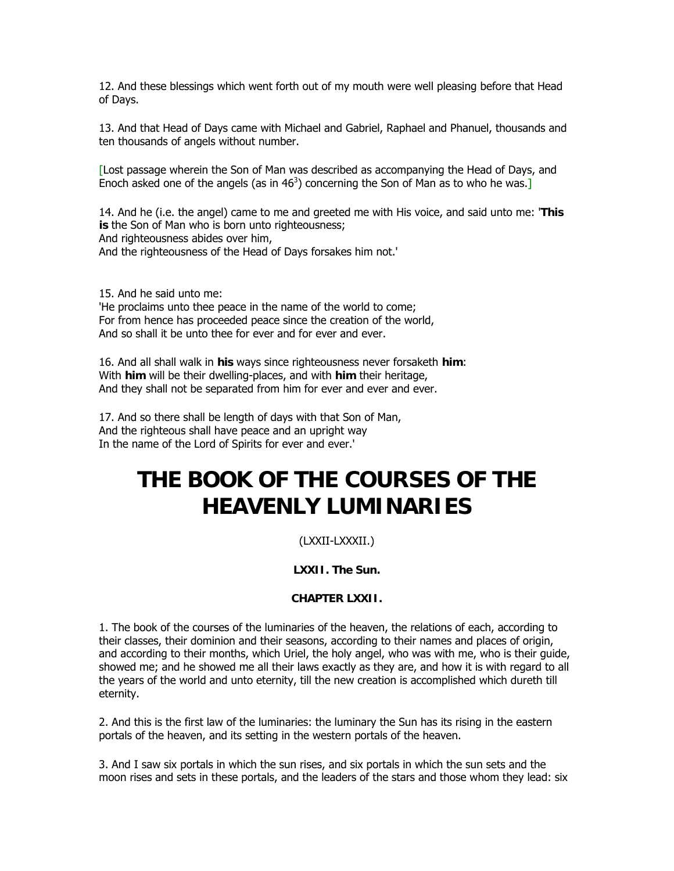12. And these blessings which went forth out of my mouth were well pleasing before that Head of Days.

13. And that Head of Days came with Michael and Gabriel, Raphael and Phanuel, thousands and ten thousands of angels without number.

[Lost passage wherein the Son of Man was described as accompanying the Head of Days, and Enoch asked one of the angels (as in  $46<sup>3</sup>$ ) concerning the Son of Man as to who he was.]

14. And he (i.e. the angel) came to me and greeted me with His voice, and said unto me: '**This is** the Son of Man who is born unto righteousness; And righteousness abides over him, And the righteousness of the Head of Days forsakes him not.'

15. And he said unto me: 'He proclaims unto thee peace in the name of the world to come; For from hence has proceeded peace since the creation of the world, And so shall it be unto thee for ever and for ever and ever.

16. And all shall walk in **his** ways since righteousness never forsaketh **him**: With **him** will be their dwelling-places, and with **him** their heritage, And they shall not be separated from him for ever and ever and ever.

17. And so there shall be length of days with that Son of Man, And the righteous shall have peace and an upright way In the name of the Lord of Spirits for ever and ever.'

# **THE BOOK OF THE COURSES OF THE HEAVENLY LUMINARIES**

# (LXXII-LXXXII.)

# **LXXII. The Sun.**

# **CHAPTER LXXII.**

1. The book of the courses of the luminaries of the heaven, the relations of each, according to their classes, their dominion and their seasons, according to their names and places of origin, and according to their months, which Uriel, the holy angel, who was with me, who is their guide, showed me; and he showed me all their laws exactly as they are, and how it is with regard to all the years of the world and unto eternity, till the new creation is accomplished which dureth till eternity.

2. And this is the first law of the luminaries: the luminary the Sun has its rising in the eastern portals of the heaven, and its setting in the western portals of the heaven.

3. And I saw six portals in which the sun rises, and six portals in which the sun sets and the moon rises and sets in these portals, and the leaders of the stars and those whom they lead: six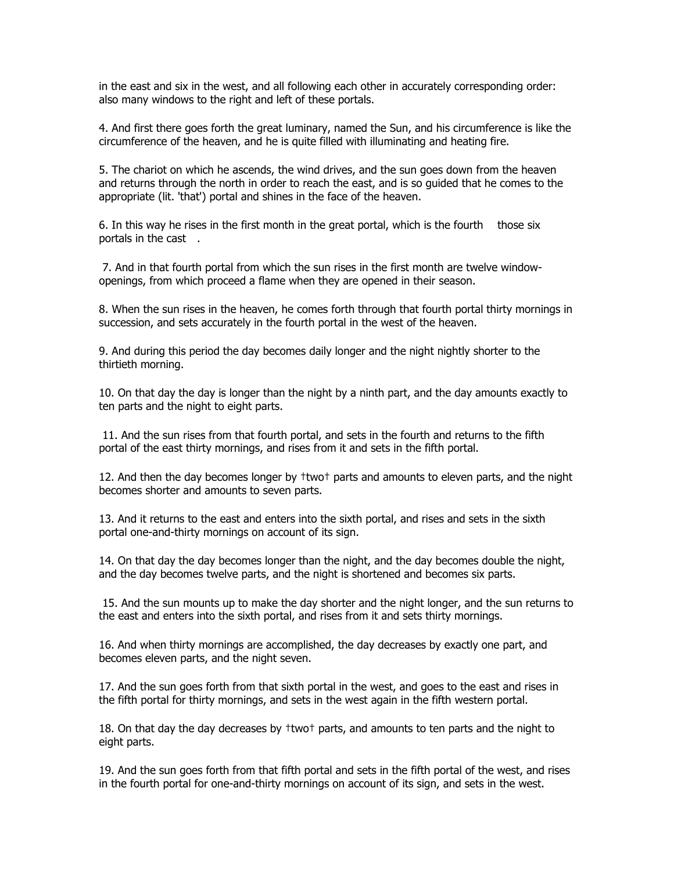in the east and six in the west, and all following each other in accurately corresponding order: also many windows to the right and left of these portals.

4. And first there goes forth the great luminary, named the Sun, and his circumference is like the circumference of the heaven, and he is quite filled with illuminating and heating fire.

5. The chariot on which he ascends, the wind drives, and the sun goes down from the heaven and returns through the north in order to reach the east, and is so guided that he comes to the appropriate (lit. 'that') portal and shines in the face of the heaven.

6. In this way he rises in the first month in the great portal, which is the fourth those six portals in the cast.

 7. And in that fourth portal from which the sun rises in the first month are twelve windowopenings, from which proceed a flame when they are opened in their season.

8. When the sun rises in the heaven, he comes forth through that fourth portal thirty mornings in succession, and sets accurately in the fourth portal in the west of the heaven.

9. And during this period the day becomes daily longer and the night nightly shorter to the thirtieth morning.

10. On that day the day is longer than the night by a ninth part, and the day amounts exactly to ten parts and the night to eight parts.

 11. And the sun rises from that fourth portal, and sets in the fourth and returns to the fifth portal of the east thirty mornings, and rises from it and sets in the fifth portal.

12. And then the day becomes longer by †two† parts and amounts to eleven parts, and the night becomes shorter and amounts to seven parts.

13. And it returns to the east and enters into the sixth portal, and rises and sets in the sixth portal one-and-thirty mornings on account of its sign.

14. On that day the day becomes longer than the night, and the day becomes double the night, and the day becomes twelve parts, and the night is shortened and becomes six parts.

 15. And the sun mounts up to make the day shorter and the night longer, and the sun returns to the east and enters into the sixth portal, and rises from it and sets thirty mornings.

16. And when thirty mornings are accomplished, the day decreases by exactly one part, and becomes eleven parts, and the night seven.

17. And the sun goes forth from that sixth portal in the west, and goes to the east and rises in the fifth portal for thirty mornings, and sets in the west again in the fifth western portal.

18. On that day the day decreases by †two† parts, and amounts to ten parts and the night to eight parts.

19. And the sun goes forth from that fifth portal and sets in the fifth portal of the west, and rises in the fourth portal for one-and-thirty mornings on account of its sign, and sets in the west.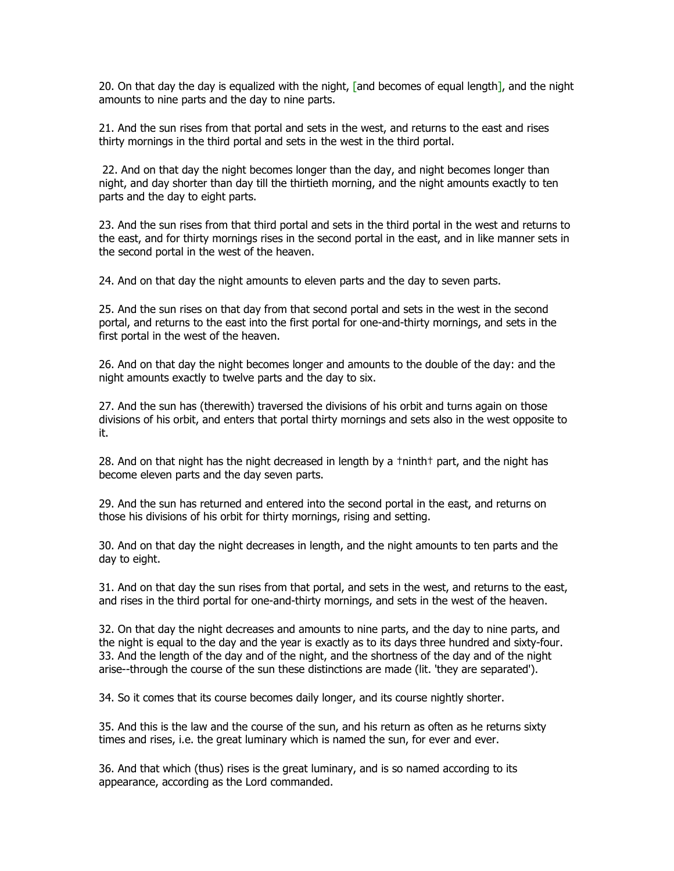20. On that day the day is equalized with the night, [and becomes of equal length], and the night amounts to nine parts and the day to nine parts.

21. And the sun rises from that portal and sets in the west, and returns to the east and rises thirty mornings in the third portal and sets in the west in the third portal.

22. And on that day the night becomes longer than the day, and night becomes longer than night, and day shorter than day till the thirtieth morning, and the night amounts exactly to ten parts and the day to eight parts.

23. And the sun rises from that third portal and sets in the third portal in the west and returns to the east, and for thirty mornings rises in the second portal in the east, and in like manner sets in the second portal in the west of the heaven.

24. And on that day the night amounts to eleven parts and the day to seven parts.

25. And the sun rises on that day from that second portal and sets in the west in the second portal, and returns to the east into the first portal for one-and-thirty mornings, and sets in the first portal in the west of the heaven.

26. And on that day the night becomes longer and amounts to the double of the day: and the night amounts exactly to twelve parts and the day to six.

27. And the sun has (therewith) traversed the divisions of his orbit and turns again on those divisions of his orbit, and enters that portal thirty mornings and sets also in the west opposite to it.

28. And on that night has the night decreased in length by a †ninth† part, and the night has become eleven parts and the day seven parts.

29. And the sun has returned and entered into the second portal in the east, and returns on those his divisions of his orbit for thirty mornings, rising and setting.

30. And on that day the night decreases in length, and the night amounts to ten parts and the day to eight.

31. And on that day the sun rises from that portal, and sets in the west, and returns to the east, and rises in the third portal for one-and-thirty mornings, and sets in the west of the heaven.

32. On that day the night decreases and amounts to nine parts, and the day to nine parts, and the night is equal to the day and the year is exactly as to its days three hundred and sixty-four. 33. And the length of the day and of the night, and the shortness of the day and of the night arise--through the course of the sun these distinctions are made (lit. 'they are separated').

34. So it comes that its course becomes daily longer, and its course nightly shorter.

35. And this is the law and the course of the sun, and his return as often as he returns sixty times and rises, i.e. the great luminary which is named the sun, for ever and ever.

36. And that which (thus) rises is the great luminary, and is so named according to its appearance, according as the Lord commanded.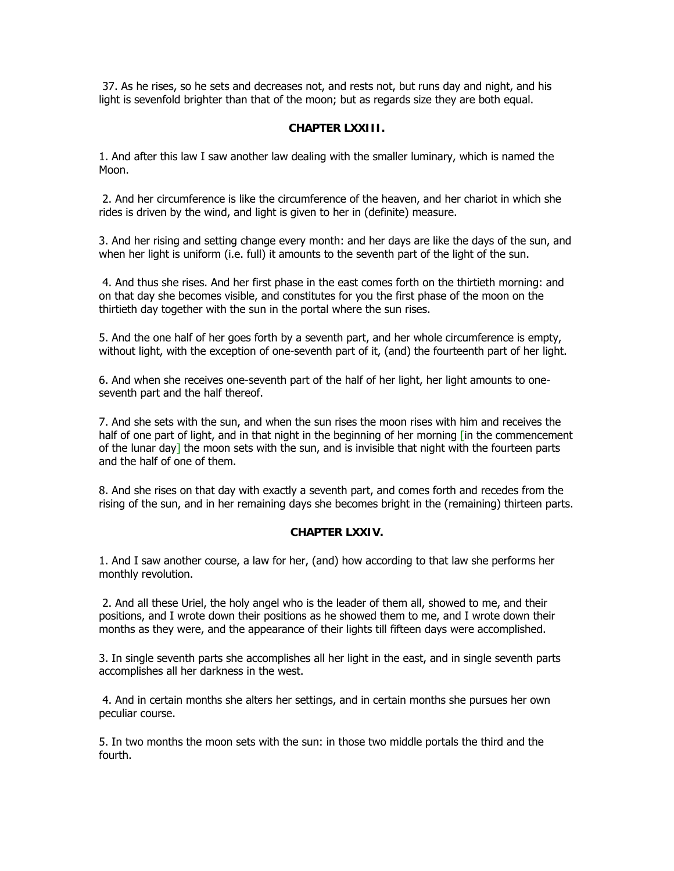37. As he rises, so he sets and decreases not, and rests not, but runs day and night, and his light is sevenfold brighter than that of the moon; but as regards size they are both equal.

## **CHAPTER LXXIII.**

1. And after this law I saw another law dealing with the smaller luminary, which is named the Moon.

 2. And her circumference is like the circumference of the heaven, and her chariot in which she rides is driven by the wind, and light is given to her in (definite) measure.

3. And her rising and setting change every month: and her days are like the days of the sun, and when her light is uniform (i.e. full) it amounts to the seventh part of the light of the sun.

 4. And thus she rises. And her first phase in the east comes forth on the thirtieth morning: and on that day she becomes visible, and constitutes for you the first phase of the moon on the thirtieth day together with the sun in the portal where the sun rises.

5. And the one half of her goes forth by a seventh part, and her whole circumference is empty, without light, with the exception of one-seventh part of it, (and) the fourteenth part of her light.

6. And when she receives one-seventh part of the half of her light, her light amounts to oneseventh part and the half thereof.

7. And she sets with the sun, and when the sun rises the moon rises with him and receives the half of one part of light, and in that night in the beginning of her morning [in the commencement of the lunar day] the moon sets with the sun, and is invisible that night with the fourteen parts and the half of one of them.

8. And she rises on that day with exactly a seventh part, and comes forth and recedes from the rising of the sun, and in her remaining days she becomes bright in the (remaining) thirteen parts.

### **CHAPTER LXXIV.**

1. And I saw another course, a law for her, (and) how according to that law she performs her monthly revolution.

 2. And all these Uriel, the holy angel who is the leader of them all, showed to me, and their positions, and I wrote down their positions as he showed them to me, and I wrote down their months as they were, and the appearance of their lights till fifteen days were accomplished.

3. In single seventh parts she accomplishes all her light in the east, and in single seventh parts accomplishes all her darkness in the west.

 4. And in certain months she alters her settings, and in certain months she pursues her own peculiar course.

5. In two months the moon sets with the sun: in those two middle portals the third and the fourth.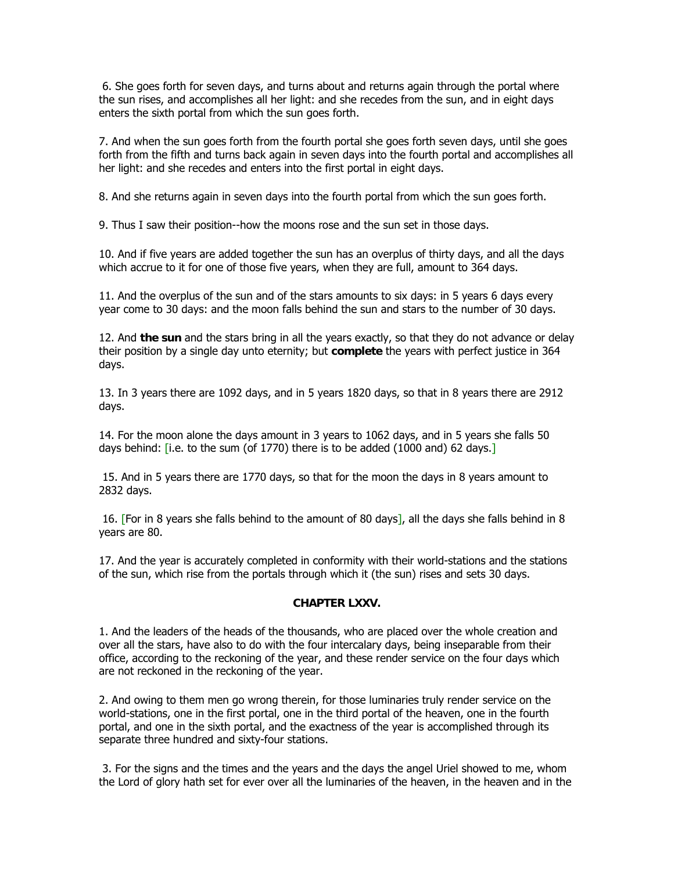6. She goes forth for seven days, and turns about and returns again through the portal where the sun rises, and accomplishes all her light: and she recedes from the sun, and in eight days enters the sixth portal from which the sun goes forth.

7. And when the sun goes forth from the fourth portal she goes forth seven days, until she goes forth from the fifth and turns back again in seven days into the fourth portal and accomplishes all her light: and she recedes and enters into the first portal in eight days.

8. And she returns again in seven days into the fourth portal from which the sun goes forth.

9. Thus I saw their position--how the moons rose and the sun set in those days.

10. And if five years are added together the sun has an overplus of thirty days, and all the days which accrue to it for one of those five years, when they are full, amount to 364 days.

11. And the overplus of the sun and of the stars amounts to six days: in 5 years 6 days every year come to 30 days: and the moon falls behind the sun and stars to the number of 30 days.

12. And **the sun** and the stars bring in all the years exactly, so that they do not advance or delay their position by a single day unto eternity; but **complete** the years with perfect justice in 364 days.

13. In 3 years there are 1092 days, and in 5 years 1820 days, so that in 8 years there are 2912 days.

14. For the moon alone the days amount in 3 years to 1062 days, and in 5 years she falls 50 days behind: [i.e. to the sum (of 1770) there is to be added (1000 and) 62 days.]

 15. And in 5 years there are 1770 days, so that for the moon the days in 8 years amount to 2832 days.

 16. [For in 8 years she falls behind to the amount of 80 days], all the days she falls behind in 8 years are 80.

17. And the year is accurately completed in conformity with their world-stations and the stations of the sun, which rise from the portals through which it (the sun) rises and sets 30 days.

### **CHAPTER LXXV.**

1. And the leaders of the heads of the thousands, who are placed over the whole creation and over all the stars, have also to do with the four intercalary days, being inseparable from their office, according to the reckoning of the year, and these render service on the four days which are not reckoned in the reckoning of the year.

2. And owing to them men go wrong therein, for those luminaries truly render service on the world-stations, one in the first portal, one in the third portal of the heaven, one in the fourth portal, and one in the sixth portal, and the exactness of the year is accomplished through its separate three hundred and sixty-four stations.

 3. For the signs and the times and the years and the days the angel Uriel showed to me, whom the Lord of glory hath set for ever over all the luminaries of the heaven, in the heaven and in the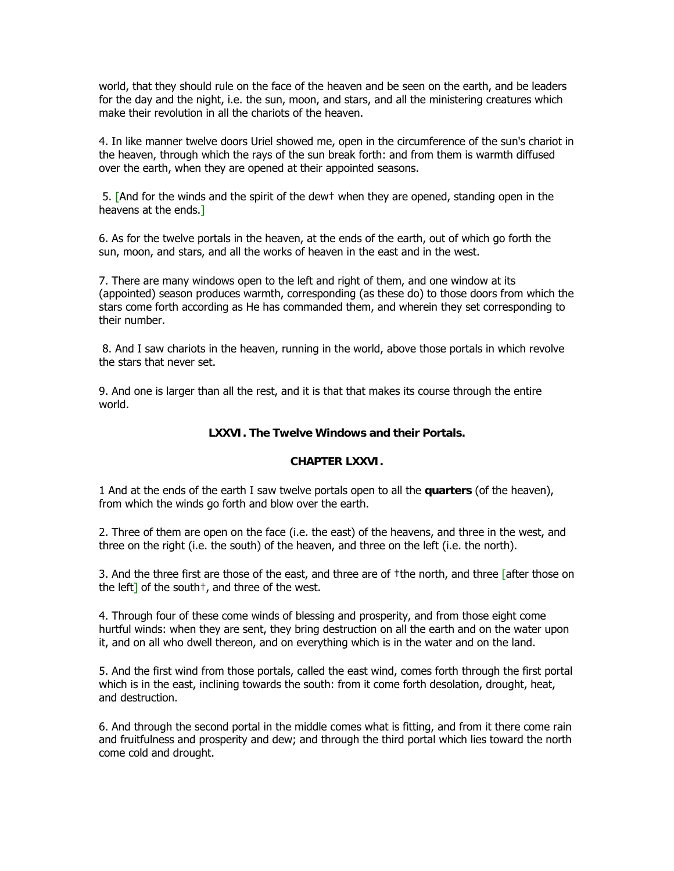world, that they should rule on the face of the heaven and be seen on the earth, and be leaders for the day and the night, i.e. the sun, moon, and stars, and all the ministering creatures which make their revolution in all the chariots of the heaven.

4. In like manner twelve doors Uriel showed me, open in the circumference of the sun's chariot in the heaven, through which the rays of the sun break forth: and from them is warmth diffused over the earth, when they are opened at their appointed seasons.

 5. [And for the winds and the spirit of the dew† when they are opened, standing open in the heavens at the ends.]

6. As for the twelve portals in the heaven, at the ends of the earth, out of which go forth the sun, moon, and stars, and all the works of heaven in the east and in the west.

7. There are many windows open to the left and right of them, and one window at its (appointed) season produces warmth, corresponding (as these do) to those doors from which the stars come forth according as He has commanded them, and wherein they set corresponding to their number.

 8. And I saw chariots in the heaven, running in the world, above those portals in which revolve the stars that never set.

9. And one is larger than all the rest, and it is that that makes its course through the entire world.

## **LXXVI. The Twelve Windows and their Portals.**

## **CHAPTER LXXVI.**

1 And at the ends of the earth I saw twelve portals open to all the **quarters** (of the heaven), from which the winds go forth and blow over the earth.

2. Three of them are open on the face (i.e. the east) of the heavens, and three in the west, and three on the right (i.e. the south) of the heaven, and three on the left (i.e. the north).

3. And the three first are those of the east, and three are of †the north, and three [after those on the left] of the south<sup>+</sup>, and three of the west.

4. Through four of these come winds of blessing and prosperity, and from those eight come hurtful winds: when they are sent, they bring destruction on all the earth and on the water upon it, and on all who dwell thereon, and on everything which is in the water and on the land.

5. And the first wind from those portals, called the east wind, comes forth through the first portal which is in the east, inclining towards the south: from it come forth desolation, drought, heat, and destruction.

6. And through the second portal in the middle comes what is fitting, and from it there come rain and fruitfulness and prosperity and dew; and through the third portal which lies toward the north come cold and drought.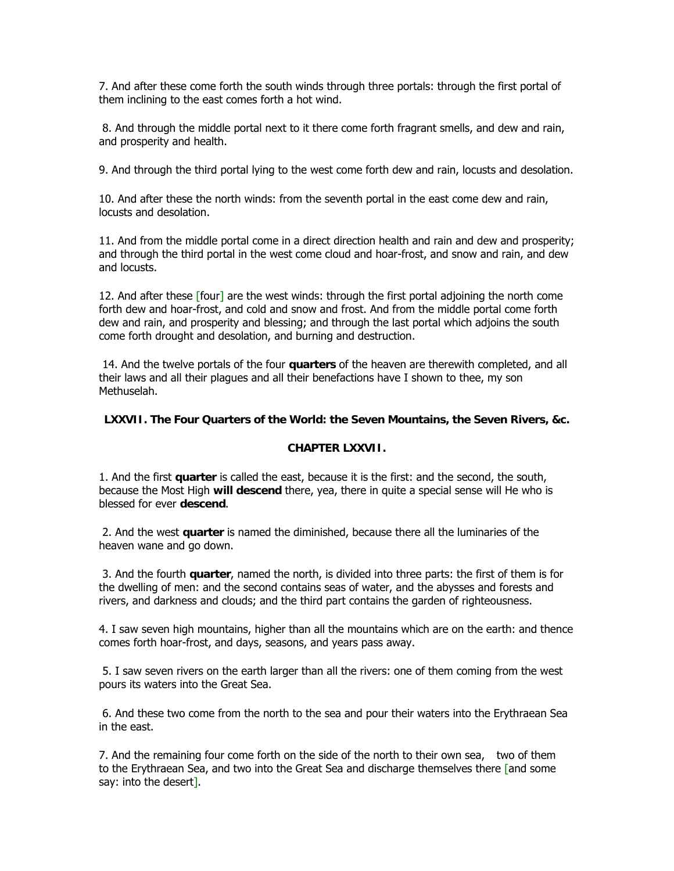7. And after these come forth the south winds through three portals: through the first portal of them inclining to the east comes forth a hot wind.

 8. And through the middle portal next to it there come forth fragrant smells, and dew and rain, and prosperity and health.

9. And through the third portal lying to the west come forth dew and rain, locusts and desolation.

10. And after these the north winds: from the seventh portal in the east come dew and rain, locusts and desolation.

11. And from the middle portal come in a direct direction health and rain and dew and prosperity; and through the third portal in the west come cloud and hoar-frost, and snow and rain, and dew and locusts.

12. And after these [four] are the west winds: through the first portal adjoining the north come forth dew and hoar-frost, and cold and snow and frost. And from the middle portal come forth dew and rain, and prosperity and blessing; and through the last portal which adjoins the south come forth drought and desolation, and burning and destruction.

 14. And the twelve portals of the four **quarters** of the heaven are therewith completed, and all their laws and all their plagues and all their benefactions have I shown to thee, my son Methuselah.

## **LXXVII. The Four Quarters of the World: the Seven Mountains, the Seven Rivers, &c.**

## **CHAPTER LXXVII.**

1. And the first **quarter** is called the east, because it is the first: and the second, the south, because the Most High **will descend** there, yea, there in quite a special sense will He who is blessed for ever **descend**.

 2. And the west **quarter** is named the diminished, because there all the luminaries of the heaven wane and go down.

 3. And the fourth **quarter**, named the north, is divided into three parts: the first of them is for the dwelling of men: and the second contains seas of water, and the abysses and forests and rivers, and darkness and clouds; and the third part contains the garden of righteousness.

4. I saw seven high mountains, higher than all the mountains which are on the earth: and thence comes forth hoar-frost, and days, seasons, and years pass away.

 5. I saw seven rivers on the earth larger than all the rivers: one of them coming from the west pours its waters into the Great Sea.

 6. And these two come from the north to the sea and pour their waters into the Erythraean Sea in the east.

7. And the remaining four come forth on the side of the north to their own sea, two of them to the Erythraean Sea, and two into the Great Sea and discharge themselves there [and some say: into the desert].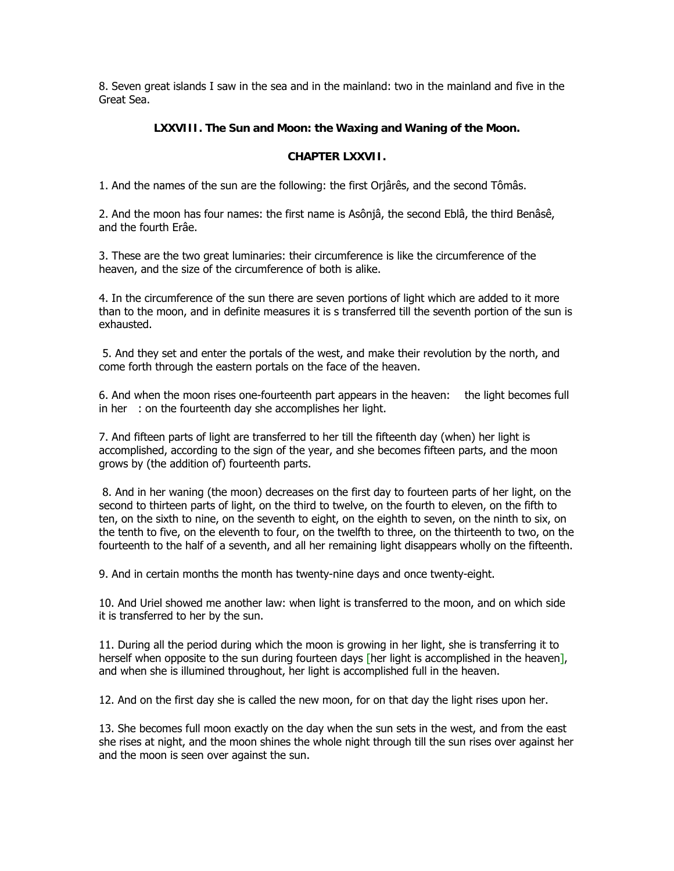8. Seven great islands I saw in the sea and in the mainland: two in the mainland and five in the Great Sea.

# **LXXVIII. The Sun and Moon: the Waxing and Waning of the Moon.**

## **CHAPTER LXXVII.**

1. And the names of the sun are the following: the first Orjârês, and the second Tômâs.

2. And the moon has four names: the first name is Asônjâ, the second Eblâ, the third Benâsê, and the fourth Erâe.

3. These are the two great luminaries: their circumference is like the circumference of the heaven, and the size of the circumference of both is alike.

4. In the circumference of the sun there are seven portions of light which are added to it more than to the moon, and in definite measures it is s transferred till the seventh portion of the sun is exhausted.

 5. And they set and enter the portals of the west, and make their revolution by the north, and come forth through the eastern portals on the face of the heaven.

6. And when the moon rises one-fourteenth part appears in the heaven: the light becomes full in her $\cdot$ : on the fourteenth day she accomplishes her light.

7. And fifteen parts of light are transferred to her till the fifteenth day (when) her light is accomplished, according to the sign of the year, and she becomes fifteen parts, and the moon grows by (the addition of) fourteenth parts.

 8. And in her waning (the moon) decreases on the first day to fourteen parts of her light, on the second to thirteen parts of light, on the third to twelve, on the fourth to eleven, on the fifth to ten, on the sixth to nine, on the seventh to eight, on the eighth to seven, on the ninth to six, on the tenth to five, on the eleventh to four, on the twelfth to three, on the thirteenth to two, on the fourteenth to the half of a seventh, and all her remaining light disappears wholly on the fifteenth.

9. And in certain months the month has twenty-nine days and once twenty-eight.

10. And Uriel showed me another law: when light is transferred to the moon, and on which side it is transferred to her by the sun.

11. During all the period during which the moon is growing in her light, she is transferring it to herself when opposite to the sun during fourteen days [her light is accomplished in the heaven], and when she is illumined throughout, her light is accomplished full in the heaven.

12. And on the first day she is called the new moon, for on that day the light rises upon her.

13. She becomes full moon exactly on the day when the sun sets in the west, and from the east she rises at night, and the moon shines the whole night through till the sun rises over against her and the moon is seen over against the sun.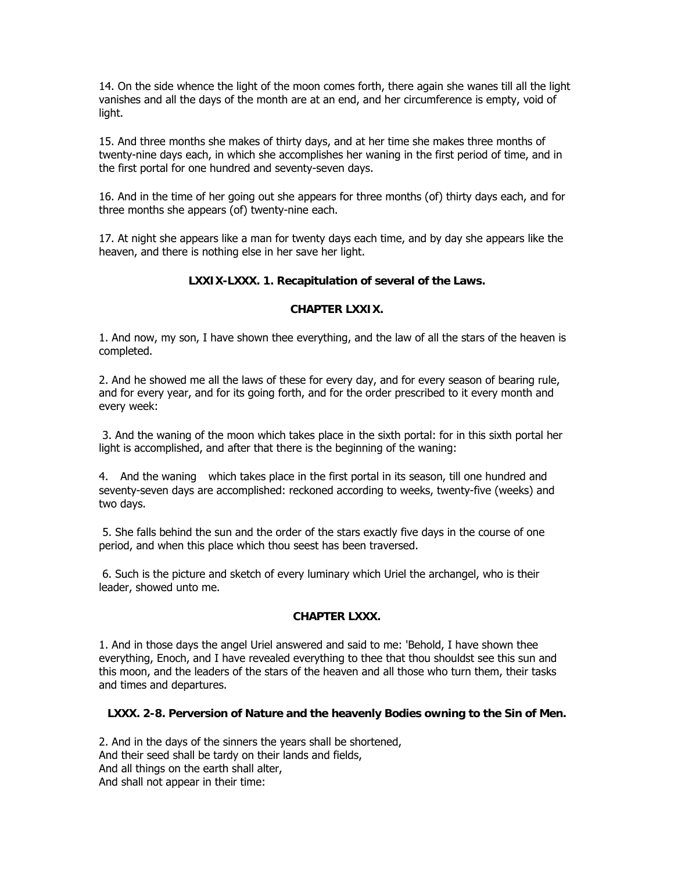14. On the side whence the light of the moon comes forth, there again she wanes till all the light vanishes and all the days of the month are at an end, and her circumference is empty, void of light.

15. And three months she makes of thirty days, and at her time she makes three months of twenty-nine days each, in which she accomplishes her waning in the first period of time, and in the first portal for one hundred and seventy-seven days.

16. And in the time of her going out she appears for three months (of) thirty days each, and for three months she appears (of) twenty-nine each.

17. At night she appears like a man for twenty days each time, and by day she appears like the heaven, and there is nothing else in her save her light.

# **LXXIX-LXXX. 1. Recapitulation of several of the Laws.**

## **CHAPTER LXXIX.**

1. And now, my son, I have shown thee everything, and the law of all the stars of the heaven is completed.

2. And he showed me all the laws of these for every day, and for every season of bearing rule, and for every year, and for its going forth, and for the order prescribed to it every month and every week:

 3. And the waning of the moon which takes place in the sixth portal: for in this sixth portal her light is accomplished, and after that there is the beginning of the waning:

4. And the waning which takes place in the first portal in its season, till one hundred and seventy-seven days are accomplished: reckoned according to weeks, twenty-five (weeks) and two days.

 5. She falls behind the sun and the order of the stars exactly five days in the course of one period, and when this place which thou seest has been traversed.

 6. Such is the picture and sketch of every luminary which Uriel the archangel, who is their leader, showed unto me.

# **CHAPTER LXXX.**

1. And in those days the angel Uriel answered and said to me: 'Behold, I have shown thee everything, Enoch, and I have revealed everything to thee that thou shouldst see this sun and this moon, and the leaders of the stars of the heaven and all those who turn them, their tasks and times and departures.

# **LXXX. 2-8. Perversion of Nature and the heavenly Bodies owning to the Sin of Men.**

2. And in the days of the sinners the years shall be shortened, And their seed shall be tardy on their lands and fields, And all things on the earth shall alter, And shall not appear in their time: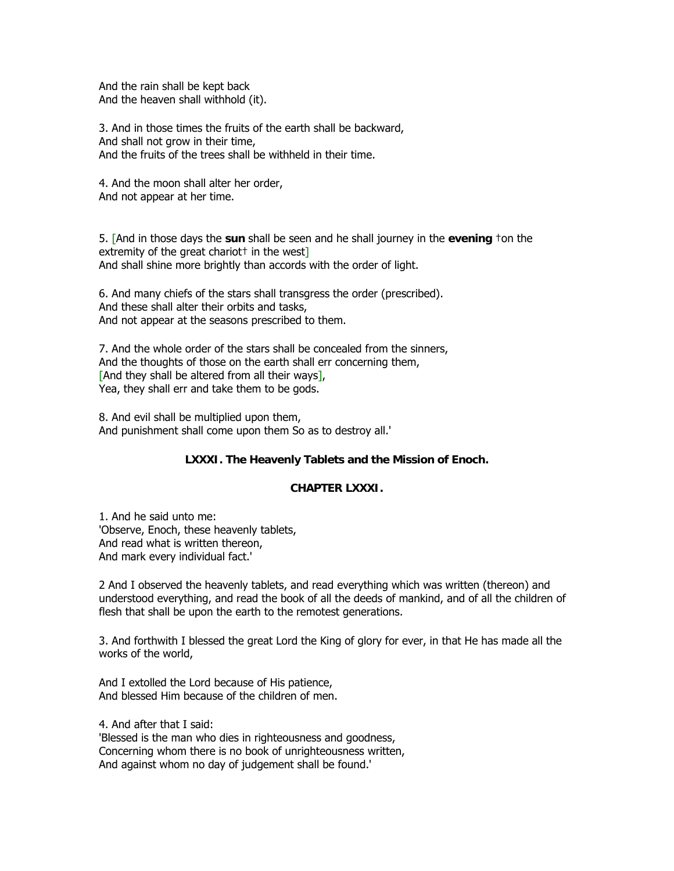And the rain shall be kept back And the heaven shall withhold (it).

3. And in those times the fruits of the earth shall be backward, And shall not grow in their time, And the fruits of the trees shall be withheld in their time.

4. And the moon shall alter her order, And not appear at her time.

5. [And in those days the **sun** shall be seen and he shall journey in the **evening** †on the extremity of the great chariot<sup> $\dagger$ </sup> in the west $\overline{\phantom{a}}$ And shall shine more brightly than accords with the order of light.

6. And many chiefs of the stars shall transgress the order (prescribed). And these shall alter their orbits and tasks, And not appear at the seasons prescribed to them.

7. And the whole order of the stars shall be concealed from the sinners, And the thoughts of those on the earth shall err concerning them, [And they shall be altered from all their ways], Yea, they shall err and take them to be gods.

8. And evil shall be multiplied upon them, And punishment shall come upon them So as to destroy all.'

# **LXXXI. The Heavenly Tablets and the Mission of Enoch.**

### **CHAPTER LXXXI.**

1. And he said unto me: 'Observe, Enoch, these heavenly tablets, And read what is written thereon, And mark every individual fact.'

2 And I observed the heavenly tablets, and read everything which was written (thereon) and understood everything, and read the book of all the deeds of mankind, and of all the children of flesh that shall be upon the earth to the remotest generations.

3. And forthwith I blessed the great Lord the King of glory for ever, in that He has made all the works of the world,

And I extolled the Lord because of His patience, And blessed Him because of the children of men.

4. And after that I said:

'Blessed is the man who dies in righteousness and goodness, Concerning whom there is no book of unrighteousness written, And against whom no day of judgement shall be found.'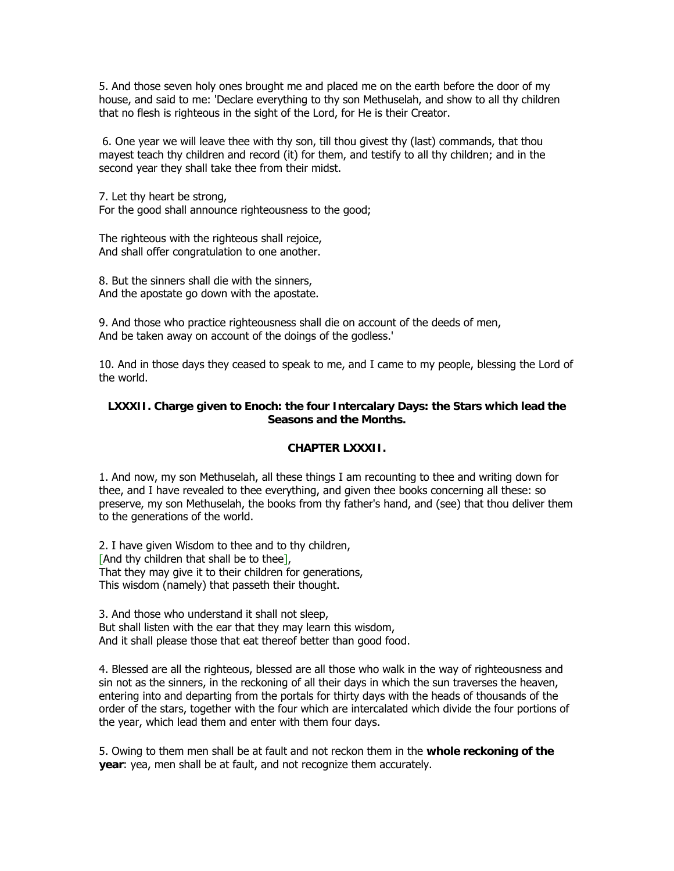5. And those seven holy ones brought me and placed me on the earth before the door of my house, and said to me: 'Declare everything to thy son Methuselah, and show to all thy children that no flesh is righteous in the sight of the Lord, for He is their Creator.

 6. One year we will leave thee with thy son, till thou givest thy (last) commands, that thou mayest teach thy children and record (it) for them, and testify to all thy children; and in the second year they shall take thee from their midst.

7. Let thy heart be strong, For the good shall announce righteousness to the good;

The righteous with the righteous shall rejoice, And shall offer congratulation to one another.

8. But the sinners shall die with the sinners, And the apostate go down with the apostate.

9. And those who practice righteousness shall die on account of the deeds of men, And be taken away on account of the doings of the godless.'

10. And in those days they ceased to speak to me, and I came to my people, blessing the Lord of the world.

## **LXXXII. Charge given to Enoch: the four Intercalary Days: the Stars which lead the Seasons and the Months.**

# **CHAPTER LXXXII.**

1. And now, my son Methuselah, all these things I am recounting to thee and writing down for thee, and I have revealed to thee everything, and given thee books concerning all these: so preserve, my son Methuselah, the books from thy father's hand, and (see) that thou deliver them to the generations of the world.

2. I have given Wisdom to thee and to thy children, [And thy children that shall be to thee], That they may give it to their children for generations, This wisdom (namely) that passeth their thought.

3. And those who understand it shall not sleep, But shall listen with the ear that they may learn this wisdom, And it shall please those that eat thereof better than good food.

4. Blessed are all the righteous, blessed are all those who walk in the way of righteousness and sin not as the sinners, in the reckoning of all their days in which the sun traverses the heaven, entering into and departing from the portals for thirty days with the heads of thousands of the order of the stars, together with the four which are intercalated which divide the four portions of the year, which lead them and enter with them four days.

5. Owing to them men shall be at fault and not reckon them in the **whole reckoning of the year**: yea, men shall be at fault, and not recognize them accurately.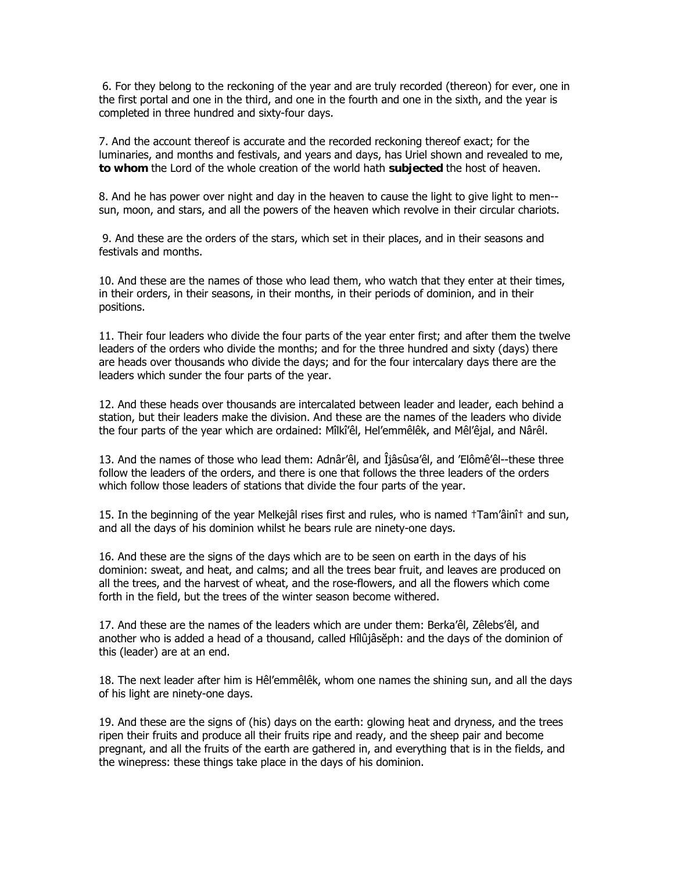6. For they belong to the reckoning of the year and are truly recorded (thereon) for ever, one in the first portal and one in the third, and one in the fourth and one in the sixth, and the year is completed in three hundred and sixty-four days.

7. And the account thereof is accurate and the recorded reckoning thereof exact; for the luminaries, and months and festivals, and years and days, has Uriel shown and revealed to me, **to whom** the Lord of the whole creation of the world hath **subjected** the host of heaven.

8. And he has power over night and day in the heaven to cause the light to give light to men- sun, moon, and stars, and all the powers of the heaven which revolve in their circular chariots.

 9. And these are the orders of the stars, which set in their places, and in their seasons and festivals and months.

10. And these are the names of those who lead them, who watch that they enter at their times, in their orders, in their seasons, in their months, in their periods of dominion, and in their positions.

11. Their four leaders who divide the four parts of the year enter first; and after them the twelve leaders of the orders who divide the months; and for the three hundred and sixty (days) there are heads over thousands who divide the days; and for the four intercalary days there are the leaders which sunder the four parts of the year.

12. And these heads over thousands are intercalated between leader and leader, each behind a station, but their leaders make the division. And these are the names of the leaders who divide the four parts of the year which are ordained: Mîlkî'êl, Hel'emmêlêk, and Mêl'êjal, and Nârêl.

13. And the names of those who lead them: Adnâr'êl, and Îjâsûsa'êl, and 'Elômê'êl--these three follow the leaders of the orders, and there is one that follows the three leaders of the orders which follow those leaders of stations that divide the four parts of the year.

15. In the beginning of the year Melkejâl rises first and rules, who is named †Tam'âinî† and sun, and all the days of his dominion whilst he bears rule are ninety-one days.

16. And these are the signs of the days which are to be seen on earth in the days of his dominion: sweat, and heat, and calms; and all the trees bear fruit, and leaves are produced on all the trees, and the harvest of wheat, and the rose-flowers, and all the flowers which come forth in the field, but the trees of the winter season become withered.

17. And these are the names of the leaders which are under them: Berka'êl, Zêlebs'êl, and another who is added a head of a thousand, called Hîlûjâsĕph: and the days of the dominion of this (leader) are at an end.

18. The next leader after him is Hêl'emmêlêk, whom one names the shining sun, and all the days of his light are ninety-one days.

19. And these are the signs of (his) days on the earth: glowing heat and dryness, and the trees ripen their fruits and produce all their fruits ripe and ready, and the sheep pair and become pregnant, and all the fruits of the earth are gathered in, and everything that is in the fields, and the winepress: these things take place in the days of his dominion.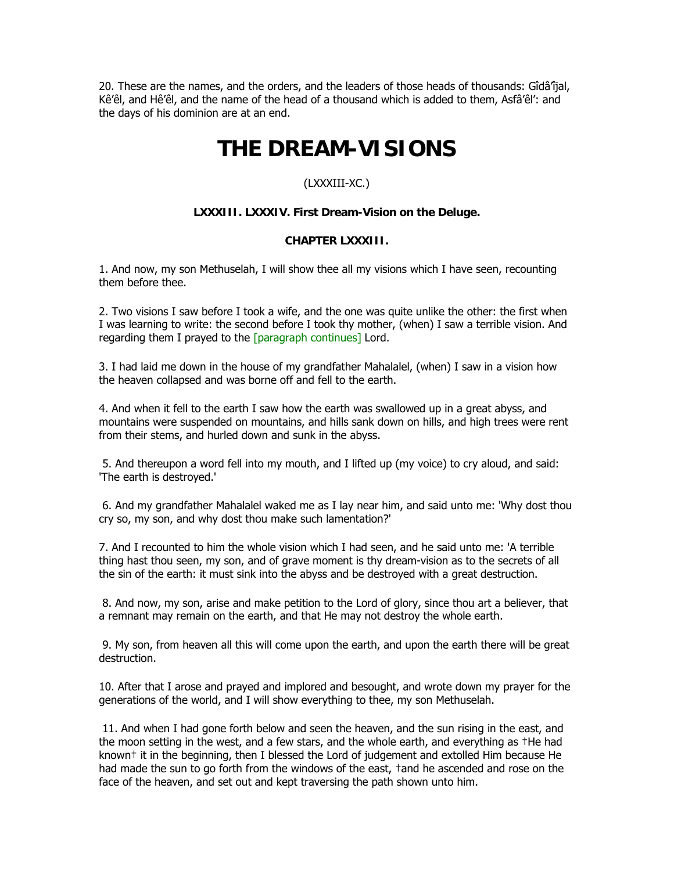20. These are the names, and the orders, and the leaders of those heads of thousands: Gîdâ'îjal, Kê'êl, and Hê'êl, and the name of the head of a thousand which is added to them, Asfâ'êl': and the days of his dominion are at an end.

# **THE DREAM-VISIONS**

# (LXXXIII-XC.)

# **LXXXIII. LXXXIV. First Dream-Vision on the Deluge.**

# **CHAPTER LXXXIII.**

1. And now, my son Methuselah, I will show thee all my visions which I have seen, recounting them before thee.

2. Two visions I saw before I took a wife, and the one was quite unlike the other: the first when I was learning to write: the second before I took thy mother, (when) I saw a terrible vision. And regarding them I prayed to the [paragraph continues] Lord.

3. I had laid me down in the house of my grandfather Mahalalel, (when) I saw in a vision how the heaven collapsed and was borne off and fell to the earth.

4. And when it fell to the earth I saw how the earth was swallowed up in a great abyss, and mountains were suspended on mountains, and hills sank down on hills, and high trees were rent from their stems, and hurled down and sunk in the abyss.

 5. And thereupon a word fell into my mouth, and I lifted up (my voice) to cry aloud, and said: 'The earth is destroyed.'

 6. And my grandfather Mahalalel waked me as I lay near him, and said unto me: 'Why dost thou cry so, my son, and why dost thou make such lamentation?'

7. And I recounted to him the whole vision which I had seen, and he said unto me: 'A terrible thing hast thou seen, my son, and of grave moment is thy dream-vision as to the secrets of all the sin of the earth: it must sink into the abyss and be destroyed with a great destruction.

 8. And now, my son, arise and make petition to the Lord of glory, since thou art a believer, that a remnant may remain on the earth, and that He may not destroy the whole earth.

 9. My son, from heaven all this will come upon the earth, and upon the earth there will be great destruction.

10. After that I arose and prayed and implored and besought, and wrote down my prayer for the generations of the world, and I will show everything to thee, my son Methuselah.

 11. And when I had gone forth below and seen the heaven, and the sun rising in the east, and the moon setting in the west, and a few stars, and the whole earth, and everything as †He had known† it in the beginning, then I blessed the Lord of judgement and extolled Him because He had made the sun to go forth from the windows of the east,  $tan$  he ascended and rose on the face of the heaven, and set out and kept traversing the path shown unto him.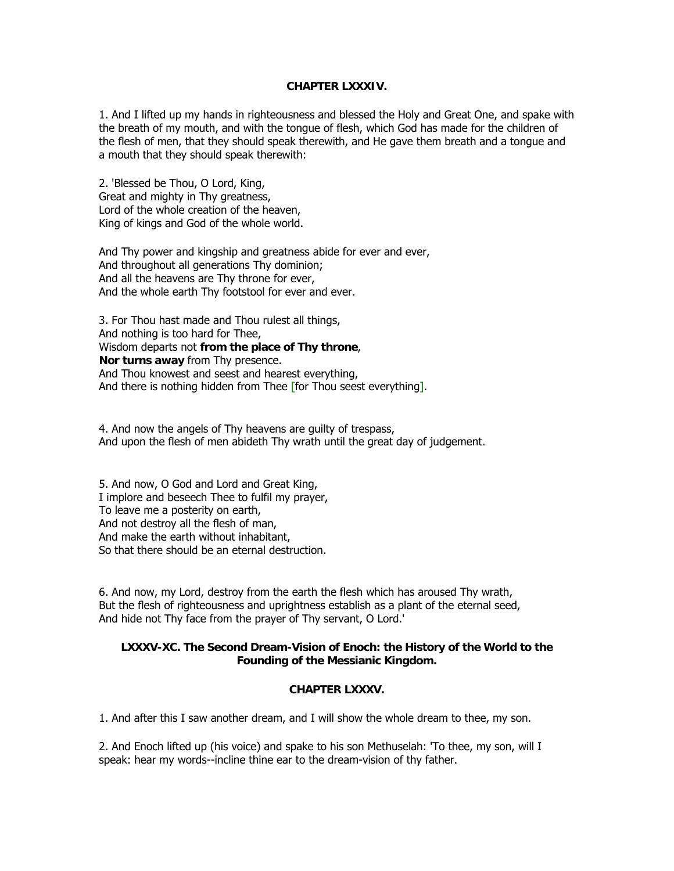## **CHAPTER LXXXIV.**

1. And I lifted up my hands in righteousness and blessed the Holy and Great One, and spake with the breath of my mouth, and with the tongue of flesh, which God has made for the children of the flesh of men, that they should speak therewith, and He gave them breath and a tongue and a mouth that they should speak therewith:

2. 'Blessed be Thou, O Lord, King, Great and mighty in Thy greatness, Lord of the whole creation of the heaven, King of kings and God of the whole world.

And Thy power and kingship and greatness abide for ever and ever, And throughout all generations Thy dominion; And all the heavens are Thy throne for ever, And the whole earth Thy footstool for ever and ever.

3. For Thou hast made and Thou rulest all things, And nothing is too hard for Thee, Wisdom departs not **from the place of Thy throne**, **Nor turns away** from Thy presence. And Thou knowest and seest and hearest everything, And there is nothing hidden from Thee [for Thou seest everything].

4. And now the angels of Thy heavens are guilty of trespass, And upon the flesh of men abideth Thy wrath until the great day of judgement.

5. And now, O God and Lord and Great King, I implore and beseech Thee to fulfil my prayer, To leave me a posterity on earth, And not destroy all the flesh of man, And make the earth without inhabitant, So that there should be an eternal destruction.

6. And now, my Lord, destroy from the earth the flesh which has aroused Thy wrath, But the flesh of righteousness and uprightness establish as a plant of the eternal seed, And hide not Thy face from the prayer of Thy servant, O Lord.'

#### **LXXXV-XC. The Second Dream-Vision of Enoch: the History of the World to the Founding of the Messianic Kingdom.**

#### **CHAPTER LXXXV.**

1. And after this I saw another dream, and I will show the whole dream to thee, my son.

2. And Enoch lifted up (his voice) and spake to his son Methuselah: 'To thee, my son, will I speak: hear my words--incline thine ear to the dream-vision of thy father.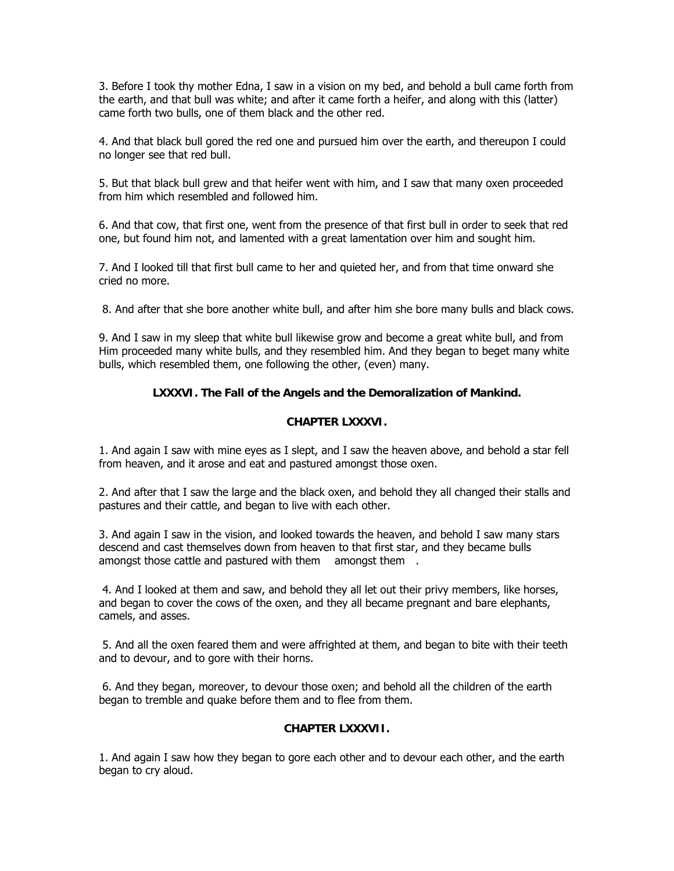3. Before I took thy mother Edna, I saw in a vision on my bed, and behold a bull came forth from the earth, and that bull was white; and after it came forth a heifer, and along with this (latter) came forth two bulls, one of them black and the other red.

4. And that black bull gored the red one and pursued him over the earth, and thereupon I could no longer see that red bull.

5. But that black bull grew and that heifer went with him, and I saw that many oxen proceeded from him which resembled and followed him.

6. And that cow, that first one, went from the presence of that first bull in order to seek that red one, but found him not, and lamented with a great lamentation over him and sought him.

7. And I looked till that first bull came to her and quieted her, and from that time onward she cried no more.

8. And after that she bore another white bull, and after him she bore many bulls and black cows.

9. And I saw in my sleep that white bull likewise grow and become a great white bull, and from Him proceeded many white bulls, and they resembled him. And they began to beget many white bulls, which resembled them, one following the other, (even) many.

## **LXXXVI. The Fall of the Angels and the Demoralization of Mankind.**

#### **CHAPTER LXXXVI.**

1. And again I saw with mine eyes as I slept, and I saw the heaven above, and behold a star fell from heaven, and it arose and eat and pastured amongst those oxen.

2. And after that I saw the large and the black oxen, and behold they all changed their stalls and pastures and their cattle, and began to live with each other.

3. And again I saw in the vision, and looked towards the heaven, and behold I saw many stars descend and cast themselves down from heaven to that first star, and they became bulls amongst those cattle and pastured with them amongst them.

 4. And I looked at them and saw, and behold they all let out their privy members, like horses, and began to cover the cows of the oxen, and they all became pregnant and bare elephants, camels, and asses.

 5. And all the oxen feared them and were affrighted at them, and began to bite with their teeth and to devour, and to gore with their horns.

 6. And they began, moreover, to devour those oxen; and behold all the children of the earth began to tremble and quake before them and to flee from them.

#### **CHAPTER LXXXVII.**

1. And again I saw how they began to gore each other and to devour each other, and the earth began to cry aloud.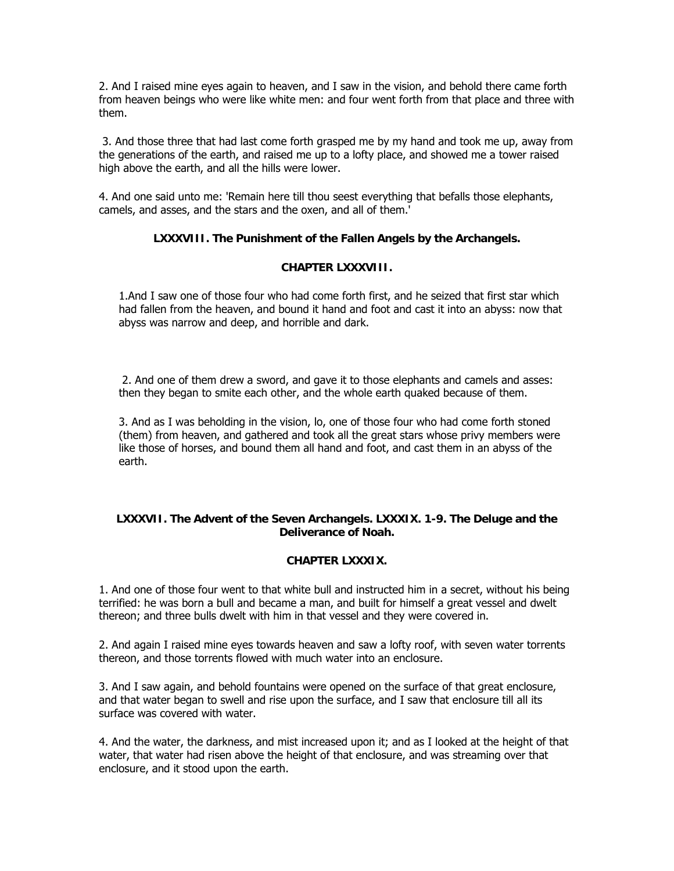2. And I raised mine eyes again to heaven, and I saw in the vision, and behold there came forth from heaven beings who were like white men: and four went forth from that place and three with them.

 3. And those three that had last come forth grasped me by my hand and took me up, away from the generations of the earth, and raised me up to a lofty place, and showed me a tower raised high above the earth, and all the hills were lower.

4. And one said unto me: 'Remain here till thou seest everything that befalls those elephants, camels, and asses, and the stars and the oxen, and all of them.'

## **LXXXVIII. The Punishment of the Fallen Angels by the Archangels.**

#### **CHAPTER LXXXVIII.**

1.And I saw one of those four who had come forth first, and he seized that first star which had fallen from the heaven, and bound it hand and foot and cast it into an abyss: now that abyss was narrow and deep, and horrible and dark.

 2. And one of them drew a sword, and gave it to those elephants and camels and asses: then they began to smite each other, and the whole earth quaked because of them.

3. And as I was beholding in the vision, lo, one of those four who had come forth stoned (them) from heaven, and gathered and took all the great stars whose privy members were like those of horses, and bound them all hand and foot, and cast them in an abyss of the earth.

#### **LXXXVII. The Advent of the Seven Archangels. LXXXIX. 1-9. The Deluge and the Deliverance of Noah.**

#### **CHAPTER LXXXIX.**

1. And one of those four went to that white bull and instructed him in a secret, without his being terrified: he was born a bull and became a man, and built for himself a great vessel and dwelt thereon; and three bulls dwelt with him in that vessel and they were covered in.

2. And again I raised mine eyes towards heaven and saw a lofty roof, with seven water torrents thereon, and those torrents flowed with much water into an enclosure.

3. And I saw again, and behold fountains were opened on the surface of that great enclosure, and that water began to swell and rise upon the surface, and I saw that enclosure till all its surface was covered with water.

4. And the water, the darkness, and mist increased upon it; and as I looked at the height of that water, that water had risen above the height of that enclosure, and was streaming over that enclosure, and it stood upon the earth.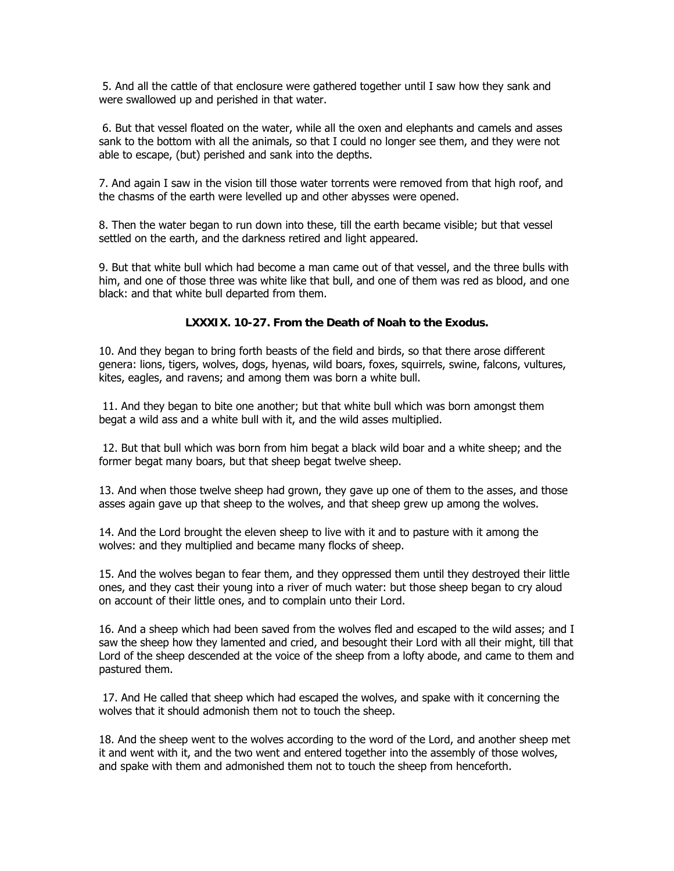5. And all the cattle of that enclosure were gathered together until I saw how they sank and were swallowed up and perished in that water.

 6. But that vessel floated on the water, while all the oxen and elephants and camels and asses sank to the bottom with all the animals, so that I could no longer see them, and they were not able to escape, (but) perished and sank into the depths.

7. And again I saw in the vision till those water torrents were removed from that high roof, and the chasms of the earth were levelled up and other abysses were opened.

8. Then the water began to run down into these, till the earth became visible; but that vessel settled on the earth, and the darkness retired and light appeared.

9. But that white bull which had become a man came out of that vessel, and the three bulls with him, and one of those three was white like that bull, and one of them was red as blood, and one black: and that white bull departed from them.

#### **LXXXIX. 10-27. From the Death of Noah to the Exodus.**

10. And they began to bring forth beasts of the field and birds, so that there arose different genera: lions, tigers, wolves, dogs, hyenas, wild boars, foxes, squirrels, swine, falcons, vultures, kites, eagles, and ravens; and among them was born a white bull.

 11. And they began to bite one another; but that white bull which was born amongst them begat a wild ass and a white bull with it, and the wild asses multiplied.

 12. But that bull which was born from him begat a black wild boar and a white sheep; and the former begat many boars, but that sheep begat twelve sheep.

13. And when those twelve sheep had grown, they gave up one of them to the asses, and those asses again gave up that sheep to the wolves, and that sheep grew up among the wolves.

14. And the Lord brought the eleven sheep to live with it and to pasture with it among the wolves: and they multiplied and became many flocks of sheep.

15. And the wolves began to fear them, and they oppressed them until they destroyed their little ones, and they cast their young into a river of much water: but those sheep began to cry aloud on account of their little ones, and to complain unto their Lord.

16. And a sheep which had been saved from the wolves fled and escaped to the wild asses; and I saw the sheep how they lamented and cried, and besought their Lord with all their might, till that Lord of the sheep descended at the voice of the sheep from a lofty abode, and came to them and pastured them.

 17. And He called that sheep which had escaped the wolves, and spake with it concerning the wolves that it should admonish them not to touch the sheep.

18. And the sheep went to the wolves according to the word of the Lord, and another sheep met it and went with it, and the two went and entered together into the assembly of those wolves, and spake with them and admonished them not to touch the sheep from henceforth.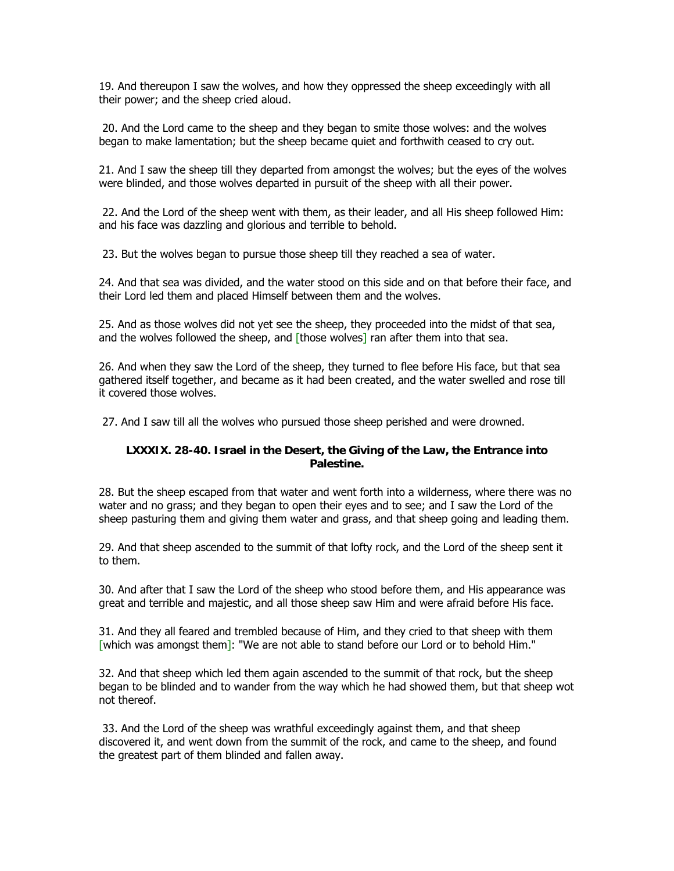19. And thereupon I saw the wolves, and how they oppressed the sheep exceedingly with all their power; and the sheep cried aloud.

 20. And the Lord came to the sheep and they began to smite those wolves: and the wolves began to make lamentation; but the sheep became quiet and forthwith ceased to cry out.

21. And I saw the sheep till they departed from amongst the wolves; but the eyes of the wolves were blinded, and those wolves departed in pursuit of the sheep with all their power.

 22. And the Lord of the sheep went with them, as their leader, and all His sheep followed Him: and his face was dazzling and glorious and terrible to behold.

23. But the wolves began to pursue those sheep till they reached a sea of water.

24. And that sea was divided, and the water stood on this side and on that before their face, and their Lord led them and placed Himself between them and the wolves.

25. And as those wolves did not yet see the sheep, they proceeded into the midst of that sea, and the wolves followed the sheep, and  $[$ those wolves $]$  ran after them into that sea.

26. And when they saw the Lord of the sheep, they turned to flee before His face, but that sea gathered itself together, and became as it had been created, and the water swelled and rose till it covered those wolves.

27. And I saw till all the wolves who pursued those sheep perished and were drowned.

#### **LXXXIX. 28-40. Israel in the Desert, the Giving of the Law, the Entrance into Palestine.**

28. But the sheep escaped from that water and went forth into a wilderness, where there was no water and no grass; and they began to open their eyes and to see; and I saw the Lord of the sheep pasturing them and giving them water and grass, and that sheep going and leading them.

29. And that sheep ascended to the summit of that lofty rock, and the Lord of the sheep sent it to them.

30. And after that I saw the Lord of the sheep who stood before them, and His appearance was great and terrible and majestic, and all those sheep saw Him and were afraid before His face.

31. And they all feared and trembled because of Him, and they cried to that sheep with them [which was amongst them]: "We are not able to stand before our Lord or to behold Him."

32. And that sheep which led them again ascended to the summit of that rock, but the sheep began to be blinded and to wander from the way which he had showed them, but that sheep wot not thereof.

 33. And the Lord of the sheep was wrathful exceedingly against them, and that sheep discovered it, and went down from the summit of the rock, and came to the sheep, and found the greatest part of them blinded and fallen away.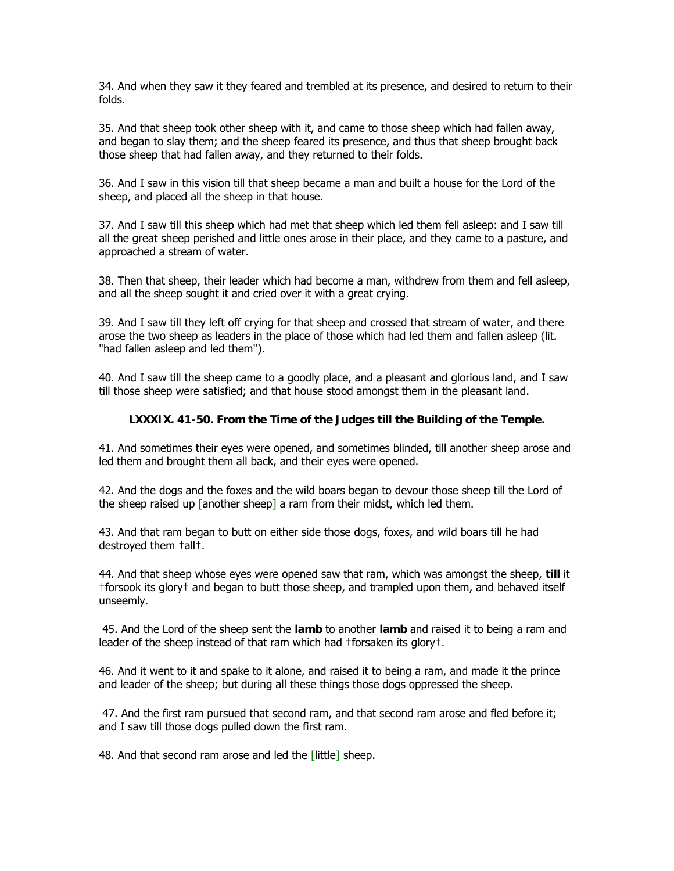34. And when they saw it they feared and trembled at its presence, and desired to return to their folds.

35. And that sheep took other sheep with it, and came to those sheep which had fallen away, and began to slay them; and the sheep feared its presence, and thus that sheep brought back those sheep that had fallen away, and they returned to their folds.

36. And I saw in this vision till that sheep became a man and built a house for the Lord of the sheep, and placed all the sheep in that house.

37. And I saw till this sheep which had met that sheep which led them fell asleep: and I saw till all the great sheep perished and little ones arose in their place, and they came to a pasture, and approached a stream of water.

38. Then that sheep, their leader which had become a man, withdrew from them and fell asleep, and all the sheep sought it and cried over it with a great crying.

39. And I saw till they left off crying for that sheep and crossed that stream of water, and there arose the two sheep as leaders in the place of those which had led them and fallen asleep (lit. "had fallen asleep and led them").

40. And I saw till the sheep came to a goodly place, and a pleasant and glorious land, and I saw till those sheep were satisfied; and that house stood amongst them in the pleasant land.

#### **LXXXIX. 41-50. From the Time of the Judges till the Building of the Temple.**

41. And sometimes their eyes were opened, and sometimes blinded, till another sheep arose and led them and brought them all back, and their eyes were opened.

42. And the dogs and the foxes and the wild boars began to devour those sheep till the Lord of the sheep raised up  $\lceil$  another sheep<sup> $\rceil$ </sup> a ram from their midst, which led them.

43. And that ram began to butt on either side those dogs, foxes, and wild boars till he had destroyed them †all†.

44. And that sheep whose eyes were opened saw that ram, which was amongst the sheep, **till** it †forsook its glory† and began to butt those sheep, and trampled upon them, and behaved itself unseemly.

 45. And the Lord of the sheep sent the **lamb** to another **lamb** and raised it to being a ram and leader of the sheep instead of that ram which had †forsaken its glory†.

46. And it went to it and spake to it alone, and raised it to being a ram, and made it the prince and leader of the sheep; but during all these things those dogs oppressed the sheep.

 47. And the first ram pursued that second ram, and that second ram arose and fled before it; and I saw till those dogs pulled down the first ram.

48. And that second ram arose and led the [little] sheep.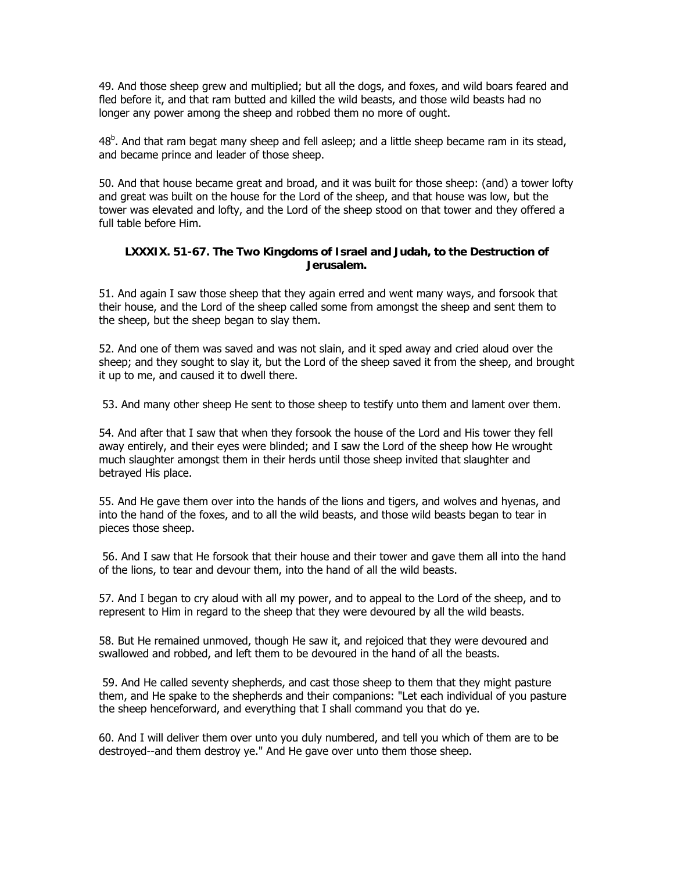49. And those sheep grew and multiplied; but all the dogs, and foxes, and wild boars feared and fled before it, and that ram butted and killed the wild beasts, and those wild beasts had no longer any power among the sheep and robbed them no more of ought.

48<sup>b</sup>. And that ram begat many sheep and fell asleep; and a little sheep became ram in its stead, and became prince and leader of those sheep.

50. And that house became great and broad, and it was built for those sheep: (and) a tower lofty and great was built on the house for the Lord of the sheep, and that house was low, but the tower was elevated and lofty, and the Lord of the sheep stood on that tower and they offered a full table before Him.

#### **LXXXIX. 51-67. The Two Kingdoms of Israel and Judah, to the Destruction of Jerusalem.**

51. And again I saw those sheep that they again erred and went many ways, and forsook that their house, and the Lord of the sheep called some from amongst the sheep and sent them to the sheep, but the sheep began to slay them.

52. And one of them was saved and was not slain, and it sped away and cried aloud over the sheep; and they sought to slay it, but the Lord of the sheep saved it from the sheep, and brought it up to me, and caused it to dwell there.

53. And many other sheep He sent to those sheep to testify unto them and lament over them.

54. And after that I saw that when they forsook the house of the Lord and His tower they fell away entirely, and their eyes were blinded; and I saw the Lord of the sheep how He wrought much slaughter amongst them in their herds until those sheep invited that slaughter and betrayed His place.

55. And He gave them over into the hands of the lions and tigers, and wolves and hyenas, and into the hand of the foxes, and to all the wild beasts, and those wild beasts began to tear in pieces those sheep.

 56. And I saw that He forsook that their house and their tower and gave them all into the hand of the lions, to tear and devour them, into the hand of all the wild beasts.

57. And I began to cry aloud with all my power, and to appeal to the Lord of the sheep, and to represent to Him in regard to the sheep that they were devoured by all the wild beasts.

58. But He remained unmoved, though He saw it, and rejoiced that they were devoured and swallowed and robbed, and left them to be devoured in the hand of all the beasts.

 59. And He called seventy shepherds, and cast those sheep to them that they might pasture them, and He spake to the shepherds and their companions: "Let each individual of you pasture the sheep henceforward, and everything that I shall command you that do ye.

60. And I will deliver them over unto you duly numbered, and tell you which of them are to be destroyed--and them destroy ye." And He gave over unto them those sheep.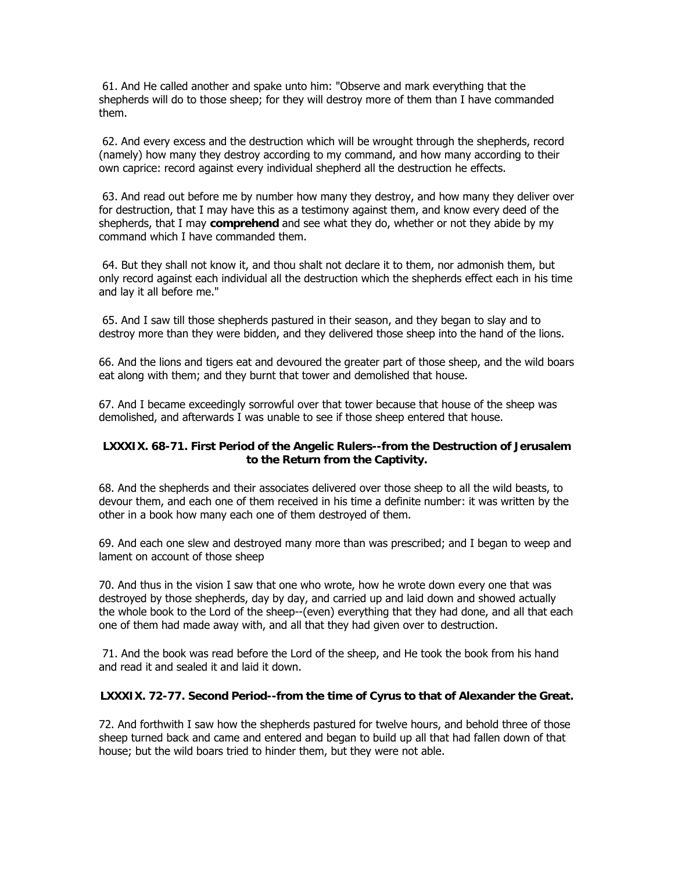61. And He called another and spake unto him: "Observe and mark everything that the shepherds will do to those sheep; for they will destroy more of them than I have commanded them.

 62. And every excess and the destruction which will be wrought through the shepherds, record (namely) how many they destroy according to my command, and how many according to their own caprice: record against every individual shepherd all the destruction he effects.

 63. And read out before me by number how many they destroy, and how many they deliver over for destruction, that I may have this as a testimony against them, and know every deed of the shepherds, that I may **comprehend** and see what they do, whether or not they abide by my command which I have commanded them.

 64. But they shall not know it, and thou shalt not declare it to them, nor admonish them, but only record against each individual all the destruction which the shepherds effect each in his time and lay it all before me."

 65. And I saw till those shepherds pastured in their season, and they began to slay and to destroy more than they were bidden, and they delivered those sheep into the hand of the lions.

66. And the lions and tigers eat and devoured the greater part of those sheep, and the wild boars eat along with them; and they burnt that tower and demolished that house.

67. And I became exceedingly sorrowful over that tower because that house of the sheep was demolished, and afterwards I was unable to see if those sheep entered that house.

#### **LXXXIX. 68-71. First Period of the Angelic Rulers--from the Destruction of Jerusalem to the Return from the Captivity.**

68. And the shepherds and their associates delivered over those sheep to all the wild beasts, to devour them, and each one of them received in his time a definite number: it was written by the other in a book how many each one of them destroyed of them.

69. And each one slew and destroyed many more than was prescribed; and I began to weep and lament on account of those sheep

70. And thus in the vision I saw that one who wrote, how he wrote down every one that was destroyed by those shepherds, day by day, and carried up and laid down and showed actually the whole book to the Lord of the sheep--(even) everything that they had done, and all that each one of them had made away with, and all that they had given over to destruction.

 71. And the book was read before the Lord of the sheep, and He took the book from his hand and read it and sealed it and laid it down.

#### **LXXXIX. 72-77. Second Period--from the time of Cyrus to that of Alexander the Great.**

72. And forthwith I saw how the shepherds pastured for twelve hours, and behold three of those sheep turned back and came and entered and began to build up all that had fallen down of that house; but the wild boars tried to hinder them, but they were not able.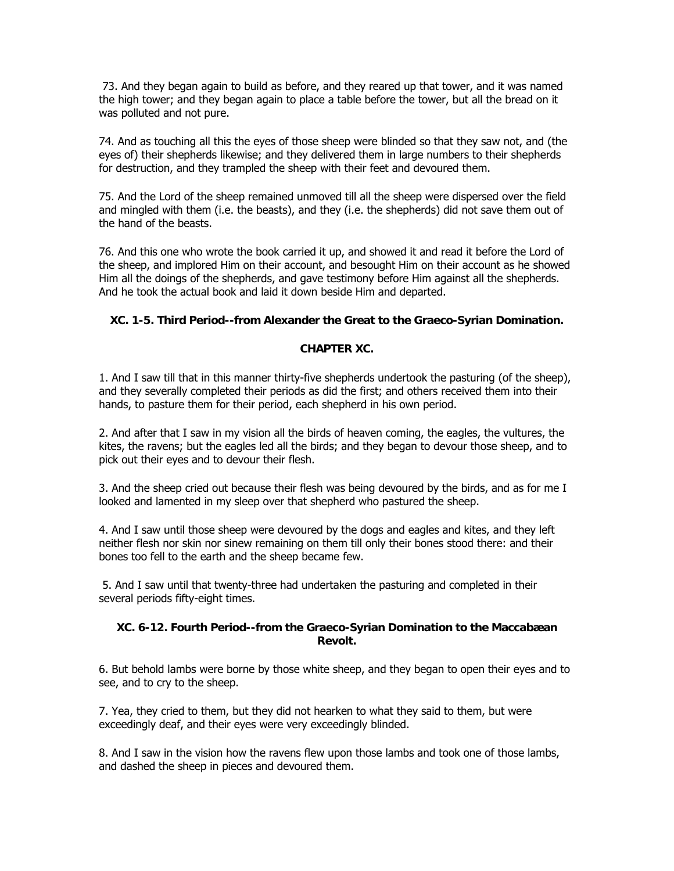73. And they began again to build as before, and they reared up that tower, and it was named the high tower; and they began again to place a table before the tower, but all the bread on it was polluted and not pure.

74. And as touching all this the eyes of those sheep were blinded so that they saw not, and (the eyes of) their shepherds likewise; and they delivered them in large numbers to their shepherds for destruction, and they trampled the sheep with their feet and devoured them.

75. And the Lord of the sheep remained unmoved till all the sheep were dispersed over the field and mingled with them (i.e. the beasts), and they (i.e. the shepherds) did not save them out of the hand of the beasts.

76. And this one who wrote the book carried it up, and showed it and read it before the Lord of the sheep, and implored Him on their account, and besought Him on their account as he showed Him all the doings of the shepherds, and gave testimony before Him against all the shepherds. And he took the actual book and laid it down beside Him and departed.

## **XC. 1-5. Third Period--from Alexander the Great to the Graeco-Syrian Domination.**

## **CHAPTER XC.**

1. And I saw till that in this manner thirty-five shepherds undertook the pasturing (of the sheep), and they severally completed their periods as did the first; and others received them into their hands, to pasture them for their period, each shepherd in his own period.

2. And after that I saw in my vision all the birds of heaven coming, the eagles, the vultures, the kites, the ravens; but the eagles led all the birds; and they began to devour those sheep, and to pick out their eyes and to devour their flesh.

3. And the sheep cried out because their flesh was being devoured by the birds, and as for me I looked and lamented in my sleep over that shepherd who pastured the sheep.

4. And I saw until those sheep were devoured by the dogs and eagles and kites, and they left neither flesh nor skin nor sinew remaining on them till only their bones stood there: and their bones too fell to the earth and the sheep became few.

 5. And I saw until that twenty-three had undertaken the pasturing and completed in their several periods fifty-eight times.

#### **XC. 6-12. Fourth Period--from the Graeco-Syrian Domination to the Maccabæan Revolt.**

6. But behold lambs were borne by those white sheep, and they began to open their eyes and to see, and to cry to the sheep.

7. Yea, they cried to them, but they did not hearken to what they said to them, but were exceedingly deaf, and their eyes were very exceedingly blinded.

8. And I saw in the vision how the ravens flew upon those lambs and took one of those lambs, and dashed the sheep in pieces and devoured them.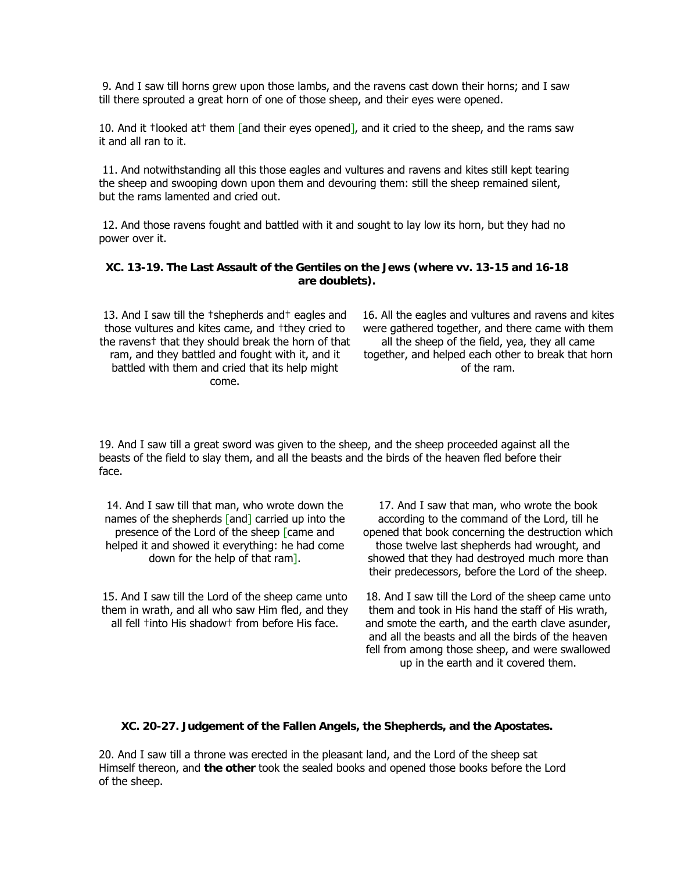9. And I saw till horns grew upon those lambs, and the ravens cast down their horns; and I saw till there sprouted a great horn of one of those sheep, and their eyes were opened.

10. And it †looked at† them [and their eyes opened], and it cried to the sheep, and the rams saw it and all ran to it.

 11. And notwithstanding all this those eagles and vultures and ravens and kites still kept tearing the sheep and swooping down upon them and devouring them: still the sheep remained silent, but the rams lamented and cried out.

 12. And those ravens fought and battled with it and sought to lay low its horn, but they had no power over it.

#### **XC. 13-19. The Last Assault of the Gentiles on the Jews (where vv. 13-15 and 16-18 are doublets).**

13. And I saw till the †shepherds and† eagles and those vultures and kites came, and †they cried to the ravens† that they should break the horn of that ram, and they battled and fought with it, and it battled with them and cried that its help might come.

16. All the eagles and vultures and ravens and kites were gathered together, and there came with them all the sheep of the field, yea, they all came together, and helped each other to break that horn of the ram.

19. And I saw till a great sword was given to the sheep, and the sheep proceeded against all the beasts of the field to slay them, and all the beasts and the birds of the heaven fled before their face.

14. And I saw till that man, who wrote down the names of the shepherds [and] carried up into the presence of the Lord of the sheep [came and helped it and showed it everything: he had come down for the help of that ram].

15. And I saw till the Lord of the sheep came unto them in wrath, and all who saw Him fled, and they all fell †into His shadow† from before His face.

17. And I saw that man, who wrote the book according to the command of the Lord, till he opened that book concerning the destruction which those twelve last shepherds had wrought, and showed that they had destroyed much more than their predecessors, before the Lord of the sheep.

18. And I saw till the Lord of the sheep came unto them and took in His hand the staff of His wrath, and smote the earth, and the earth clave asunder, and all the beasts and all the birds of the heaven fell from among those sheep, and were swallowed up in the earth and it covered them.

#### **XC. 20-27. Judgement of the Fallen Angels, the Shepherds, and the Apostates.**

20. And I saw till a throne was erected in the pleasant land, and the Lord of the sheep sat Himself thereon, and **the other** took the sealed books and opened those books before the Lord of the sheep.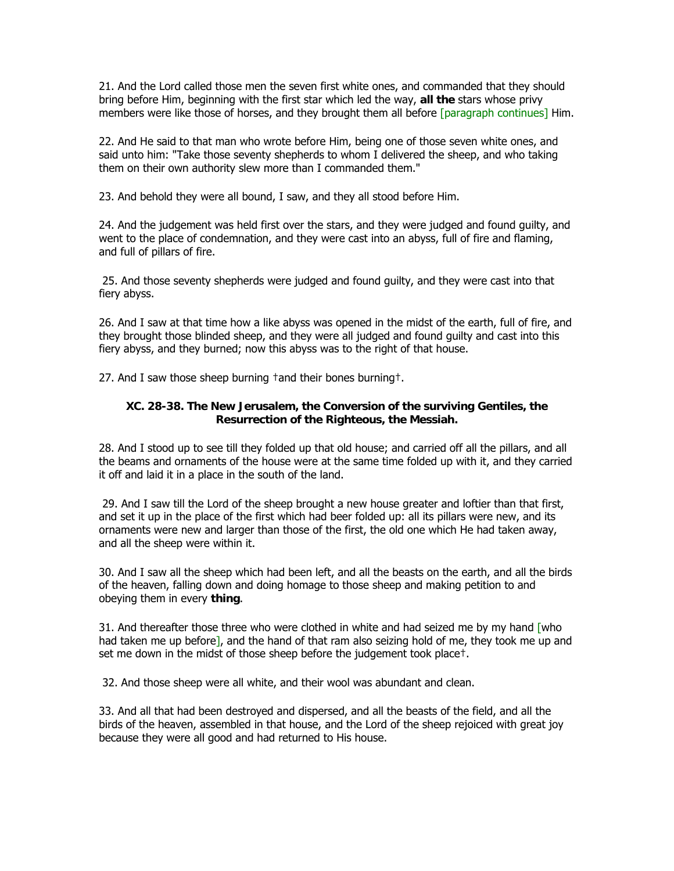21. And the Lord called those men the seven first white ones, and commanded that they should bring before Him, beginning with the first star which led the way, **all the** stars whose privy members were like those of horses, and they brought them all before [paragraph continues] Him.

22. And He said to that man who wrote before Him, being one of those seven white ones, and said unto him: "Take those seventy shepherds to whom I delivered the sheep, and who taking them on their own authority slew more than I commanded them."

23. And behold they were all bound, I saw, and they all stood before Him.

24. And the judgement was held first over the stars, and they were judged and found guilty, and went to the place of condemnation, and they were cast into an abyss, full of fire and flaming, and full of pillars of fire.

 25. And those seventy shepherds were judged and found guilty, and they were cast into that fiery abyss.

26. And I saw at that time how a like abyss was opened in the midst of the earth, full of fire, and they brought those blinded sheep, and they were all judged and found guilty and cast into this fiery abyss, and they burned; now this abyss was to the right of that house.

27. And I saw those sheep burning †and their bones burning†.

## **XC. 28-38. The New Jerusalem, the Conversion of the surviving Gentiles, the Resurrection of the Righteous, the Messiah.**

28. And I stood up to see till they folded up that old house; and carried off all the pillars, and all the beams and ornaments of the house were at the same time folded up with it, and they carried it off and laid it in a place in the south of the land.

 29. And I saw till the Lord of the sheep brought a new house greater and loftier than that first, and set it up in the place of the first which had beer folded up: all its pillars were new, and its ornaments were new and larger than those of the first, the old one which He had taken away, and all the sheep were within it.

30. And I saw all the sheep which had been left, and all the beasts on the earth, and all the birds of the heaven, falling down and doing homage to those sheep and making petition to and obeying them in every **thing**.

31. And thereafter those three who were clothed in white and had seized me by my hand  $\lceil$  who had taken me up before], and the hand of that ram also seizing hold of me, they took me up and set me down in the midst of those sheep before the judgement took place†.

32. And those sheep were all white, and their wool was abundant and clean.

33. And all that had been destroyed and dispersed, and all the beasts of the field, and all the birds of the heaven, assembled in that house, and the Lord of the sheep rejoiced with great joy because they were all good and had returned to His house.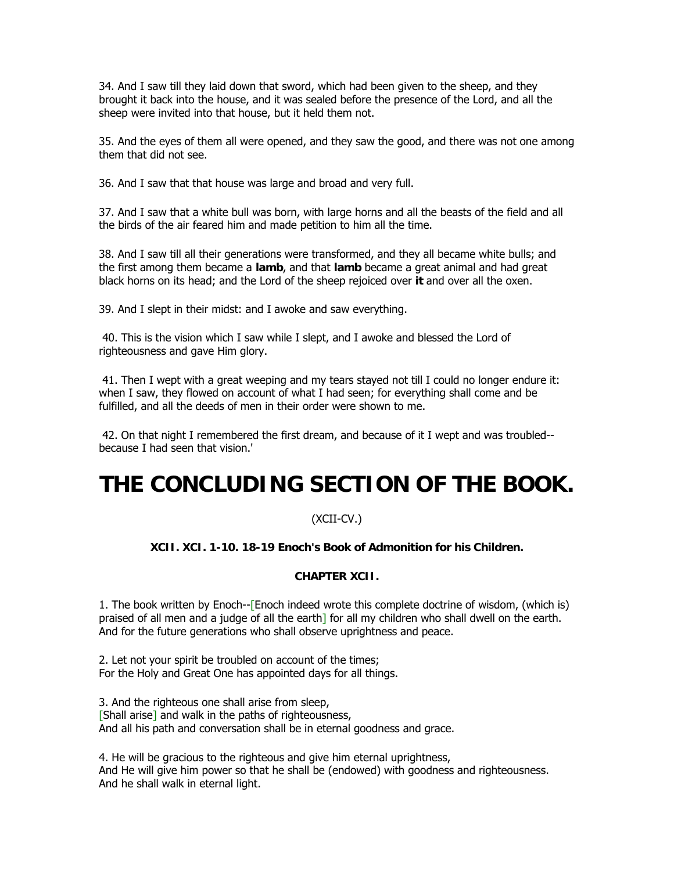34. And I saw till they laid down that sword, which had been given to the sheep, and they brought it back into the house, and it was sealed before the presence of the Lord, and all the sheep were invited into that house, but it held them not.

35. And the eyes of them all were opened, and they saw the good, and there was not one among them that did not see.

36. And I saw that that house was large and broad and very full.

37. And I saw that a white bull was born, with large horns and all the beasts of the field and all the birds of the air feared him and made petition to him all the time.

38. And I saw till all their generations were transformed, and they all became white bulls; and the first among them became a **lamb**, and that **lamb** became a great animal and had great black horns on its head; and the Lord of the sheep rejoiced over **it** and over all the oxen.

39. And I slept in their midst: and I awoke and saw everything.

 40. This is the vision which I saw while I slept, and I awoke and blessed the Lord of righteousness and gave Him glory.

 41. Then I wept with a great weeping and my tears stayed not till I could no longer endure it: when I saw, they flowed on account of what I had seen; for everything shall come and be fulfilled, and all the deeds of men in their order were shown to me.

 42. On that night I remembered the first dream, and because of it I wept and was troubled- because I had seen that vision.'

# **THE CONCLUDING SECTION OF THE BOOK.**

## (XCII-CV.)

## **XCII. XCI. 1-10. 18-19 Enoch's Book of Admonition for his Children.**

## **CHAPTER XCII.**

1. The book written by Enoch--[Enoch indeed wrote this complete doctrine of wisdom, (which is) praised of all men and a judge of all the earth] for all my children who shall dwell on the earth. And for the future generations who shall observe uprightness and peace.

2. Let not your spirit be troubled on account of the times; For the Holy and Great One has appointed days for all things.

3. And the righteous one shall arise from sleep, [Shall arise] and walk in the paths of righteousness, And all his path and conversation shall be in eternal goodness and grace.

4. He will be gracious to the righteous and give him eternal uprightness, And He will give him power so that he shall be (endowed) with goodness and righteousness. And he shall walk in eternal light.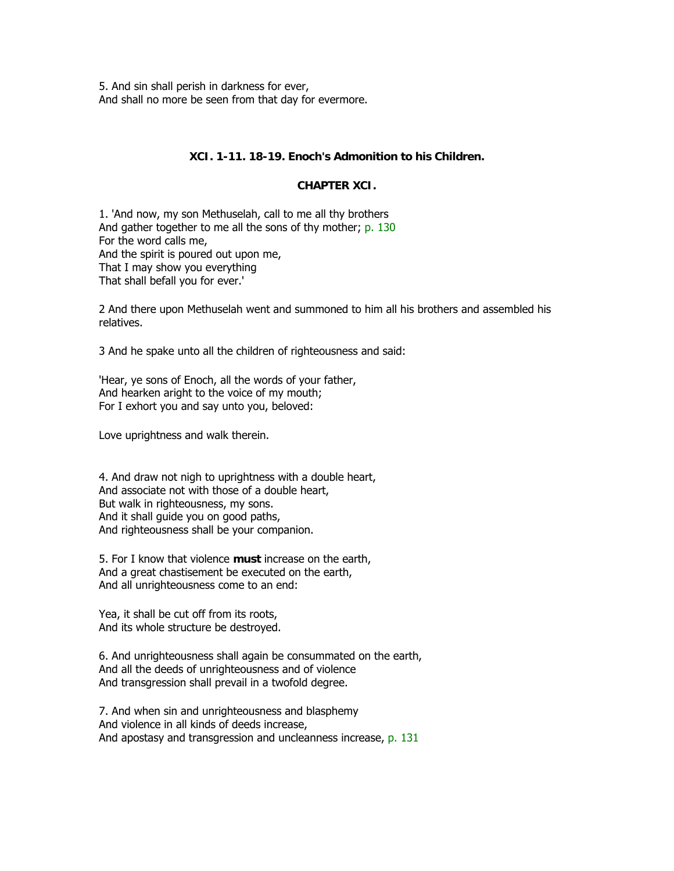5. And sin shall perish in darkness for ever, And shall no more be seen from that day for evermore.

## **XCI. 1-11. 18-19. Enoch's Admonition to his Children.**

## **CHAPTER XCI.**

1. 'And now, my son Methuselah, call to me all thy brothers And gather together to me all the sons of thy mother; p. 130 For the word calls me, And the spirit is poured out upon me, That I may show you everything That shall befall you for ever.'

2 And there upon Methuselah went and summoned to him all his brothers and assembled his relatives.

3 And he spake unto all the children of righteousness and said:

'Hear, ye sons of Enoch, all the words of your father, And hearken aright to the voice of my mouth; For I exhort you and say unto you, beloved:

Love uprightness and walk therein.

4. And draw not nigh to uprightness with a double heart, And associate not with those of a double heart, But walk in righteousness, my sons. And it shall guide you on good paths, And righteousness shall be your companion.

5. For I know that violence **must** increase on the earth, And a great chastisement be executed on the earth, And all unrighteousness come to an end:

Yea, it shall be cut off from its roots, And its whole structure be destroyed.

6. And unrighteousness shall again be consummated on the earth, And all the deeds of unrighteousness and of violence And transgression shall prevail in a twofold degree.

7. And when sin and unrighteousness and blasphemy And violence in all kinds of deeds increase, And apostasy and transgression and uncleanness increase, p. 131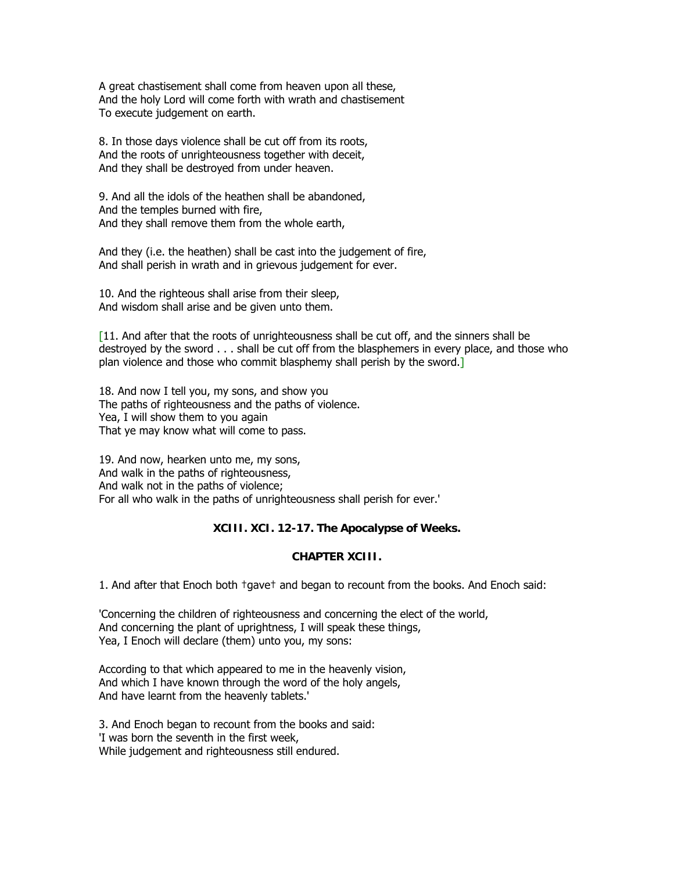A great chastisement shall come from heaven upon all these, And the holy Lord will come forth with wrath and chastisement To execute judgement on earth.

8. In those days violence shall be cut off from its roots, And the roots of unrighteousness together with deceit, And they shall be destroyed from under heaven.

9. And all the idols of the heathen shall be abandoned, And the temples burned with fire, And they shall remove them from the whole earth,

And they (i.e. the heathen) shall be cast into the judgement of fire, And shall perish in wrath and in grievous judgement for ever.

10. And the righteous shall arise from their sleep, And wisdom shall arise and be given unto them.

 $[11.$  And after that the roots of unrighteousness shall be cut off, and the sinners shall be destroyed by the sword . . . shall be cut off from the blasphemers in every place, and those who plan violence and those who commit blasphemy shall perish by the sword.]

18. And now I tell you, my sons, and show you The paths of righteousness and the paths of violence. Yea, I will show them to you again That ye may know what will come to pass.

19. And now, hearken unto me, my sons, And walk in the paths of righteousness, And walk not in the paths of violence; For all who walk in the paths of unrighteousness shall perish for ever.'

#### **XCIII. XCI. 12-17. The Apocalypse of Weeks.**

#### **CHAPTER XCIII.**

1. And after that Enoch both †gave† and began to recount from the books. And Enoch said:

'Concerning the children of righteousness and concerning the elect of the world, And concerning the plant of uprightness, I will speak these things, Yea, I Enoch will declare (them) unto you, my sons:

According to that which appeared to me in the heavenly vision, And which I have known through the word of the holy angels, And have learnt from the heavenly tablets.'

3. And Enoch began to recount from the books and said: 'I was born the seventh in the first week, While judgement and righteousness still endured.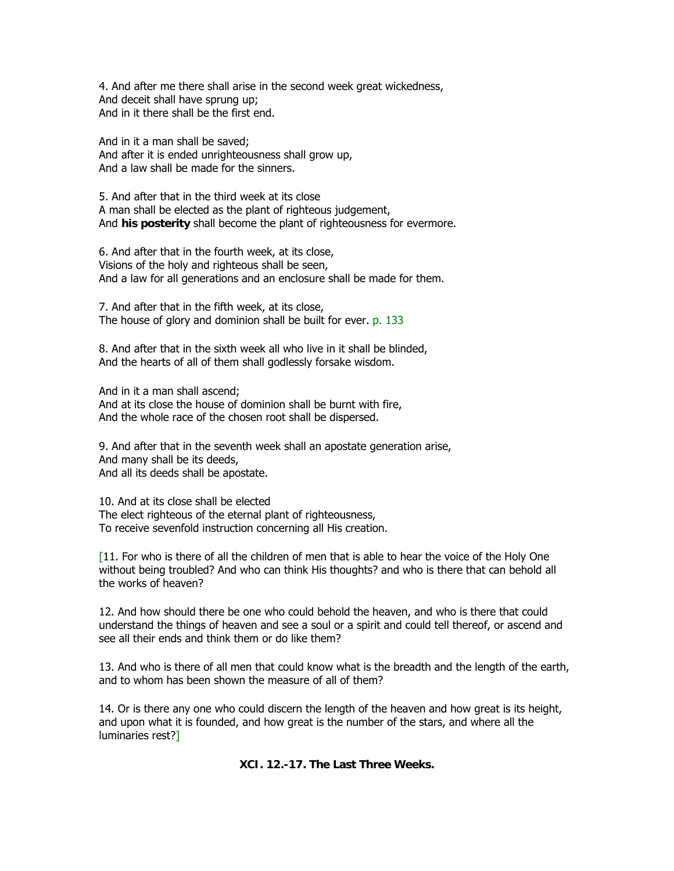4. And after me there shall arise in the second week great wickedness, And deceit shall have sprung up; And in it there shall be the first end.

And in it a man shall be saved; And after it is ended unrighteousness shall grow up, And a law shall be made for the sinners.

5. And after that in the third week at its close A man shall be elected as the plant of righteous judgement, And **his posterity** shall become the plant of righteousness for evermore.

6. And after that in the fourth week, at its close, Visions of the holy and righteous shall be seen, And a law for all generations and an enclosure shall be made for them.

7. And after that in the fifth week, at its close, The house of glory and dominion shall be built for ever. p. 133

8. And after that in the sixth week all who live in it shall be blinded, And the hearts of all of them shall godlessly forsake wisdom.

And in it a man shall ascend; And at its close the house of dominion shall be burnt with fire, And the whole race of the chosen root shall be dispersed.

9. And after that in the seventh week shall an apostate generation arise, And many shall be its deeds, And all its deeds shall be apostate.

10. And at its close shall be elected The elect righteous of the eternal plant of righteousness, To receive sevenfold instruction concerning all His creation.

 $[11.$  For who is there of all the children of men that is able to hear the voice of the Holy One without being troubled? And who can think His thoughts? and who is there that can behold all the works of heaven?

12. And how should there be one who could behold the heaven, and who is there that could understand the things of heaven and see a soul or a spirit and could tell thereof, or ascend and see all their ends and think them or do like them?

13. And who is there of all men that could know what is the breadth and the length of the earth, and to whom has been shown the measure of all of them?

14. Or is there any one who could discern the length of the heaven and how great is its height, and upon what it is founded, and how great is the number of the stars, and where all the luminaries rest?]

**XCI. 12.-17. The Last Three Weeks.**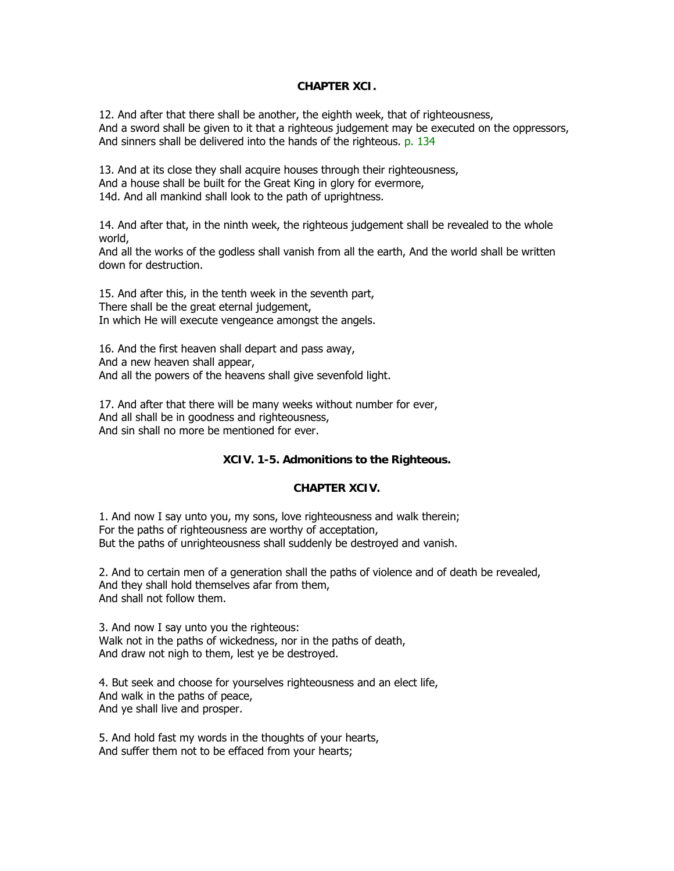#### **CHAPTER XCI.**

12. And after that there shall be another, the eighth week, that of righteousness, And a sword shall be given to it that a righteous judgement may be executed on the oppressors, And sinners shall be delivered into the hands of the righteous. p. 134

13. And at its close they shall acquire houses through their righteousness, And a house shall be built for the Great King in glory for evermore, 14d. And all mankind shall look to the path of uprightness.

14. And after that, in the ninth week, the righteous judgement shall be revealed to the whole world,

And all the works of the godless shall vanish from all the earth, And the world shall be written down for destruction.

15. And after this, in the tenth week in the seventh part, There shall be the great eternal judgement, In which He will execute vengeance amongst the angels.

16. And the first heaven shall depart and pass away, And a new heaven shall appear, And all the powers of the heavens shall give sevenfold light.

17. And after that there will be many weeks without number for ever, And all shall be in goodness and righteousness, And sin shall no more be mentioned for ever.

## **XCIV. 1-5. Admonitions to the Righteous.**

#### **CHAPTER XCIV.**

1. And now I say unto you, my sons, love righteousness and walk therein; For the paths of righteousness are worthy of acceptation, But the paths of unrighteousness shall suddenly be destroyed and vanish.

2. And to certain men of a generation shall the paths of violence and of death be revealed, And they shall hold themselves afar from them, And shall not follow them.

3. And now I say unto you the righteous: Walk not in the paths of wickedness, nor in the paths of death, And draw not nigh to them, lest ye be destroyed.

4. But seek and choose for yourselves righteousness and an elect life, And walk in the paths of peace, And ye shall live and prosper.

5. And hold fast my words in the thoughts of your hearts, And suffer them not to be effaced from your hearts;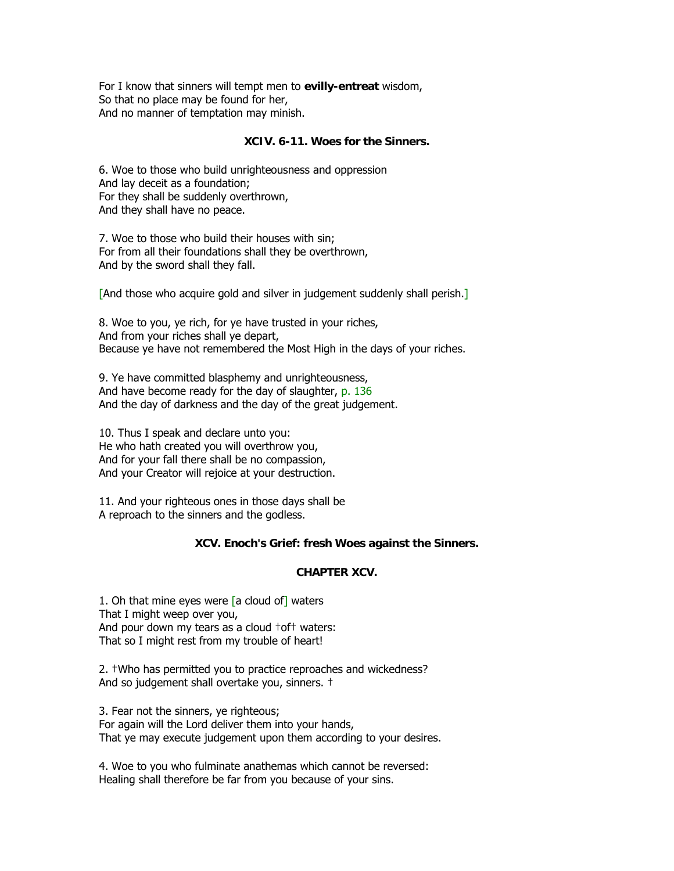For I know that sinners will tempt men to **evilly-entreat** wisdom, So that no place may be found for her, And no manner of temptation may minish.

#### **XCIV. 6-11. Woes for the Sinners.**

6. Woe to those who build unrighteousness and oppression And lay deceit as a foundation; For they shall be suddenly overthrown, And they shall have no peace.

7. Woe to those who build their houses with sin; For from all their foundations shall they be overthrown, And by the sword shall they fall.

[And those who acquire gold and silver in judgement suddenly shall perish.]

8. Woe to you, ye rich, for ye have trusted in your riches, And from your riches shall ye depart, Because ye have not remembered the Most High in the days of your riches.

9. Ye have committed blasphemy and unrighteousness, And have become ready for the day of slaughter, p. 136 And the day of darkness and the day of the great judgement.

10. Thus I speak and declare unto you: He who hath created you will overthrow you, And for your fall there shall be no compassion, And your Creator will rejoice at your destruction.

11. And your righteous ones in those days shall be A reproach to the sinners and the godless.

#### **XCV. Enoch's Grief: fresh Woes against the Sinners.**

#### **CHAPTER XCV.**

1. Oh that mine eyes were  $[a \text{ cloud of}]$  waters That I might weep over you, And pour down my tears as a cloud †of† waters: That so I might rest from my trouble of heart!

2. †Who has permitted you to practice reproaches and wickedness? And so judgement shall overtake you, sinners. †

3. Fear not the sinners, ye righteous; For again will the Lord deliver them into your hands, That ye may execute judgement upon them according to your desires.

4. Woe to you who fulminate anathemas which cannot be reversed: Healing shall therefore be far from you because of your sins.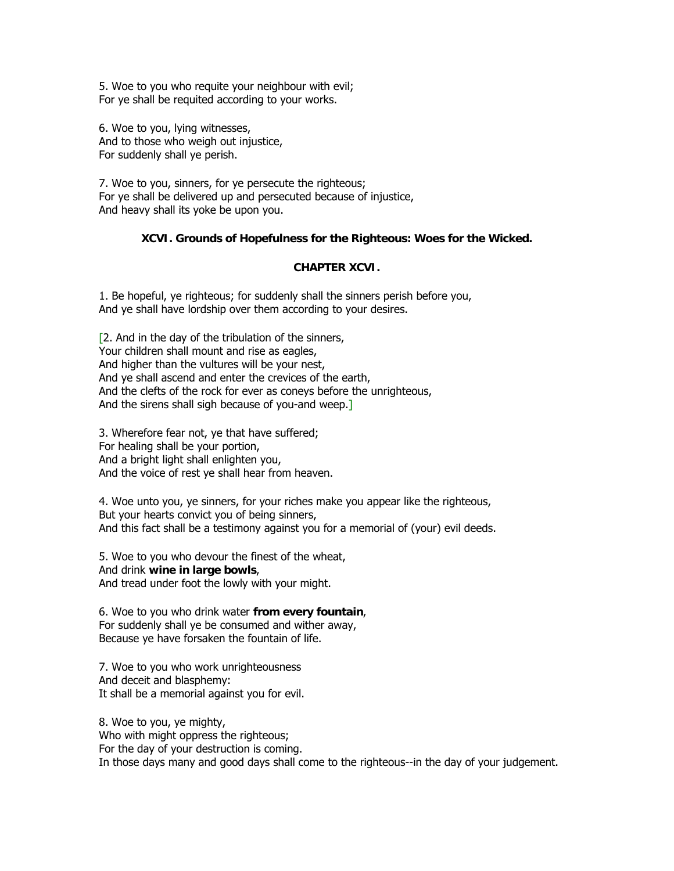5. Woe to you who requite your neighbour with evil; For ye shall be requited according to your works.

6. Woe to you, lying witnesses, And to those who weigh out injustice, For suddenly shall ye perish.

7. Woe to you, sinners, for ye persecute the righteous; For ye shall be delivered up and persecuted because of injustice, And heavy shall its yoke be upon you.

## **XCVI. Grounds of Hopefulness for the Righteous: Woes for the Wicked.**

#### **CHAPTER XCVI.**

1. Be hopeful, ye righteous; for suddenly shall the sinners perish before you, And ye shall have lordship over them according to your desires.

[2. And in the day of the tribulation of the sinners, Your children shall mount and rise as eagles, And higher than the vultures will be your nest, And ye shall ascend and enter the crevices of the earth, And the clefts of the rock for ever as coneys before the unrighteous, And the sirens shall sigh because of you-and weep.]

3. Wherefore fear not, ye that have suffered; For healing shall be your portion, And a bright light shall enlighten you, And the voice of rest ye shall hear from heaven.

4. Woe unto you, ye sinners, for your riches make you appear like the righteous, But your hearts convict you of being sinners, And this fact shall be a testimony against you for a memorial of (your) evil deeds.

5. Woe to you who devour the finest of the wheat, And drink **wine in large bowls**, And tread under foot the lowly with your might.

6. Woe to you who drink water **from every fountain**, For suddenly shall ye be consumed and wither away, Because ye have forsaken the fountain of life.

7. Woe to you who work unrighteousness And deceit and blasphemy: It shall be a memorial against you for evil.

8. Woe to you, ye mighty, Who with might oppress the righteous; For the day of your destruction is coming. In those days many and good days shall come to the righteous--in the day of your judgement.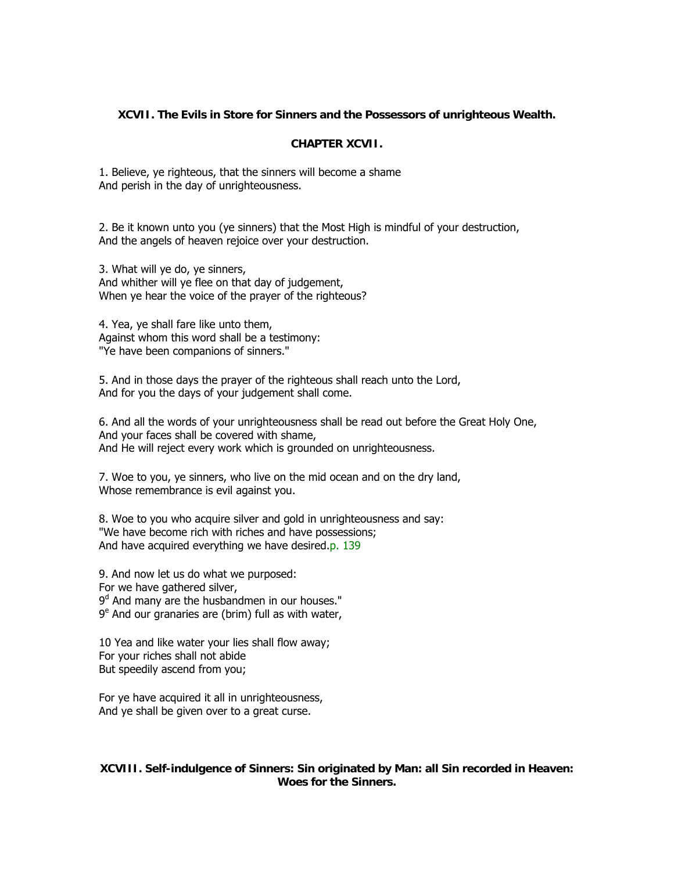## **XCVII. The Evils in Store for Sinners and the Possessors of unrighteous Wealth.**

#### **CHAPTER XCVII.**

1. Believe, ye righteous, that the sinners will become a shame And perish in the day of unrighteousness.

2. Be it known unto you (ye sinners) that the Most High is mindful of your destruction, And the angels of heaven rejoice over your destruction.

3. What will ye do, ye sinners, And whither will ye flee on that day of judgement, When ye hear the voice of the prayer of the righteous?

4. Yea, ye shall fare like unto them, Against whom this word shall be a testimony: "Ye have been companions of sinners."

5. And in those days the prayer of the righteous shall reach unto the Lord, And for you the days of your judgement shall come.

6. And all the words of your unrighteousness shall be read out before the Great Holy One, And your faces shall be covered with shame, And He will reject every work which is grounded on unrighteousness.

7. Woe to you, ye sinners, who live on the mid ocean and on the dry land, Whose remembrance is evil against you.

8. Woe to you who acquire silver and gold in unrighteousness and say: "We have become rich with riches and have possessions; And have acquired everything we have desired.p. 139

9. And now let us do what we purposed: For we have gathered silver, 9<sup>d</sup> And many are the husbandmen in our houses."  $9^e$  And our granaries are (brim) full as with water,

10 Yea and like water your lies shall flow away; For your riches shall not abide But speedily ascend from you;

For ye have acquired it all in unrighteousness, And ye shall be given over to a great curse.

#### **XCVIII. Self-indulgence of Sinners: Sin originated by Man: all Sin recorded in Heaven: Woes for the Sinners.**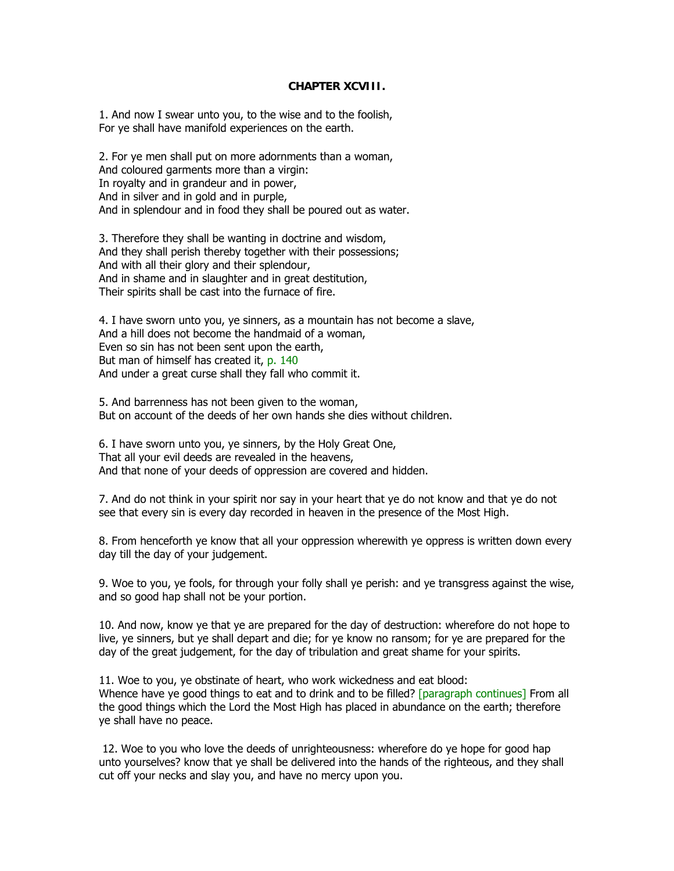#### **CHAPTER XCVIII.**

1. And now I swear unto you, to the wise and to the foolish, For ye shall have manifold experiences on the earth.

2. For ye men shall put on more adornments than a woman, And coloured garments more than a virgin: In royalty and in grandeur and in power, And in silver and in gold and in purple, And in splendour and in food they shall be poured out as water.

3. Therefore they shall be wanting in doctrine and wisdom, And they shall perish thereby together with their possessions; And with all their glory and their splendour, And in shame and in slaughter and in great destitution, Their spirits shall be cast into the furnace of fire.

4. I have sworn unto you, ye sinners, as a mountain has not become a slave, And a hill does not become the handmaid of a woman, Even so sin has not been sent upon the earth, But man of himself has created it, p. 140 And under a great curse shall they fall who commit it.

5. And barrenness has not been given to the woman, But on account of the deeds of her own hands she dies without children.

6. I have sworn unto you, ye sinners, by the Holy Great One, That all your evil deeds are revealed in the heavens, And that none of your deeds of oppression are covered and hidden.

7. And do not think in your spirit nor say in your heart that ye do not know and that ye do not see that every sin is every day recorded in heaven in the presence of the Most High.

8. From henceforth ye know that all your oppression wherewith ye oppress is written down every day till the day of your judgement.

9. Woe to you, ye fools, for through your folly shall ye perish: and ye transgress against the wise, and so good hap shall not be your portion.

10. And now, know ye that ye are prepared for the day of destruction: wherefore do not hope to live, ye sinners, but ye shall depart and die; for ye know no ransom; for ye are prepared for the day of the great judgement, for the day of tribulation and great shame for your spirits.

11. Woe to you, ye obstinate of heart, who work wickedness and eat blood: Whence have ye good things to eat and to drink and to be filled? [paragraph continues] From all the good things which the Lord the Most High has placed in abundance on the earth; therefore ye shall have no peace.

 12. Woe to you who love the deeds of unrighteousness: wherefore do ye hope for good hap unto yourselves? know that ye shall be delivered into the hands of the righteous, and they shall cut off your necks and slay you, and have no mercy upon you.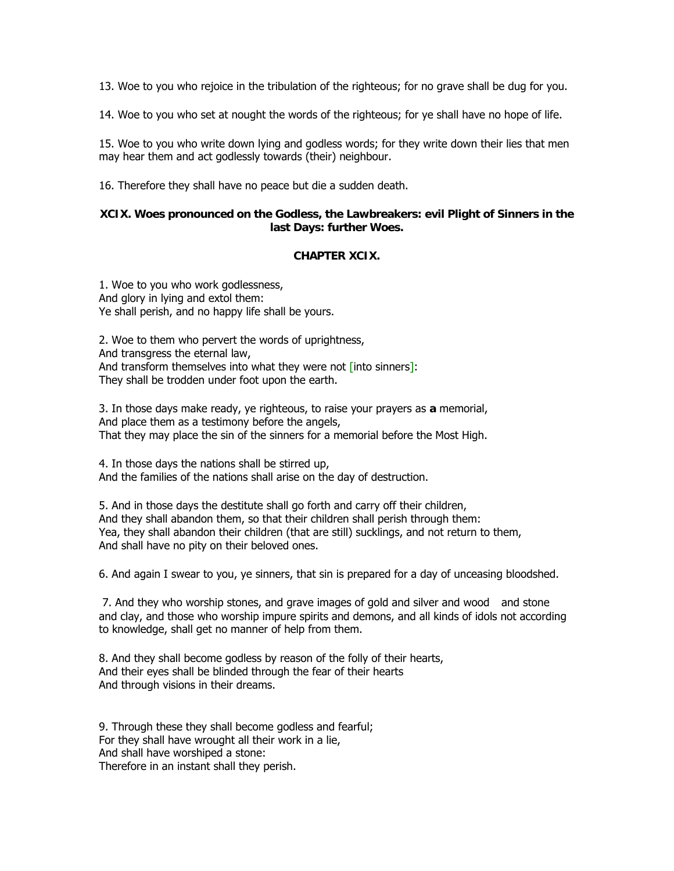13. Woe to you who rejoice in the tribulation of the righteous; for no grave shall be dug for you.

14. Woe to you who set at nought the words of the righteous; for ye shall have no hope of life.

15. Woe to you who write down lying and godless words; for they write down their lies that men may hear them and act godlessly towards (their) neighbour.

16. Therefore they shall have no peace but die a sudden death.

#### **XCIX. Woes pronounced on the Godless, the Lawbreakers: evil Plight of Sinners in the last Days: further Woes.**

#### **CHAPTER XCIX.**

1. Woe to you who work godlessness, And glory in lying and extol them: Ye shall perish, and no happy life shall be yours.

2. Woe to them who pervert the words of uprightness, And transgress the eternal law, And transform themselves into what they were not [into sinners]: They shall be trodden under foot upon the earth.

3. In those days make ready, ye righteous, to raise your prayers as **a** memorial, And place them as a testimony before the angels, That they may place the sin of the sinners for a memorial before the Most High.

4. In those days the nations shall be stirred up, And the families of the nations shall arise on the day of destruction.

5. And in those days the destitute shall go forth and carry off their children, And they shall abandon them, so that their children shall perish through them: Yea, they shall abandon their children (that are still) sucklings, and not return to them, And shall have no pity on their beloved ones.

6. And again I swear to you, ye sinners, that sin is prepared for a day of unceasing bloodshed.

 7. And they who worship stones, and grave images of gold and silver and wood and stone and clay, and those who worship impure spirits and demons, and all kinds of idols not according to knowledge, shall get no manner of help from them.

8. And they shall become godless by reason of the folly of their hearts, And their eyes shall be blinded through the fear of their hearts And through visions in their dreams.

9. Through these they shall become godless and fearful; For they shall have wrought all their work in a lie, And shall have worshiped a stone: Therefore in an instant shall they perish.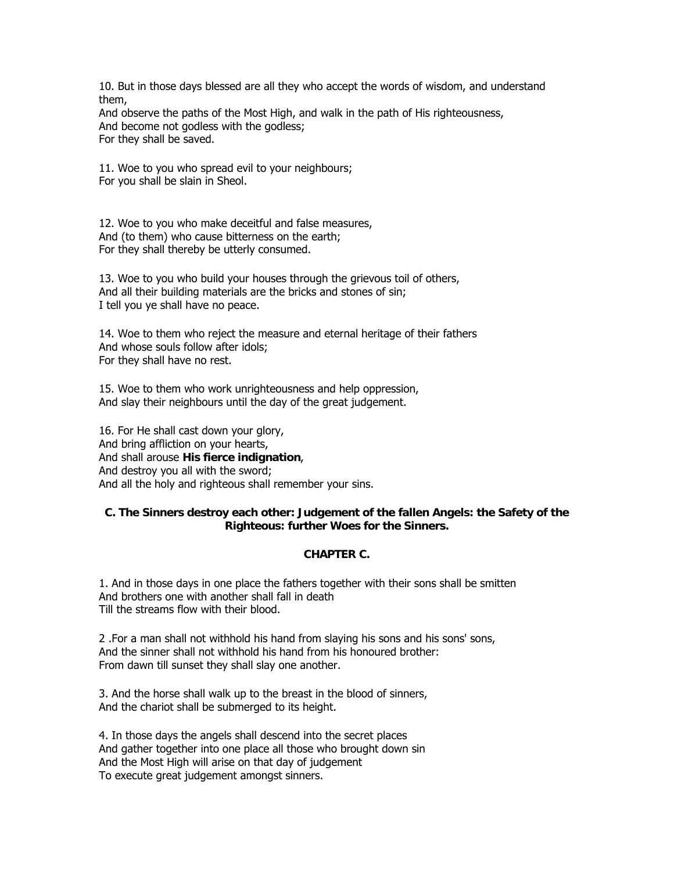10. But in those days blessed are all they who accept the words of wisdom, and understand them,

And observe the paths of the Most High, and walk in the path of His righteousness, And become not godless with the godless; For they shall be saved.

11. Woe to you who spread evil to your neighbours; For you shall be slain in Sheol.

12. Woe to you who make deceitful and false measures, And (to them) who cause bitterness on the earth; For they shall thereby be utterly consumed.

13. Woe to you who build your houses through the grievous toil of others, And all their building materials are the bricks and stones of sin; I tell you ye shall have no peace.

14. Woe to them who reject the measure and eternal heritage of their fathers And whose souls follow after idols; For they shall have no rest.

15. Woe to them who work unrighteousness and help oppression, And slay their neighbours until the day of the great judgement.

16. For He shall cast down your glory, And bring affliction on your hearts, And shall arouse **His fierce indignation**, And destroy you all with the sword; And all the holy and righteous shall remember your sins.

## **C. The Sinners destroy each other: Judgement of the fallen Angels: the Safety of the Righteous: further Woes for the Sinners.**

## **CHAPTER C.**

1. And in those days in one place the fathers together with their sons shall be smitten And brothers one with another shall fall in death Till the streams flow with their blood.

2 .For a man shall not withhold his hand from slaying his sons and his sons' sons, And the sinner shall not withhold his hand from his honoured brother: From dawn till sunset they shall slay one another.

3. And the horse shall walk up to the breast in the blood of sinners, And the chariot shall be submerged to its height.

4. In those days the angels shall descend into the secret places And gather together into one place all those who brought down sin And the Most High will arise on that day of judgement To execute great judgement amongst sinners.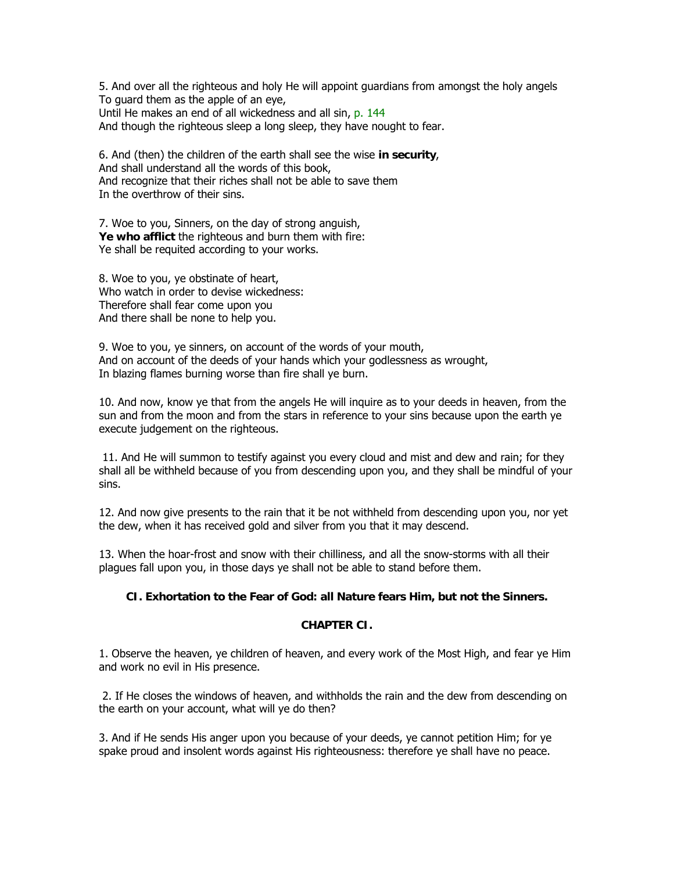5. And over all the righteous and holy He will appoint guardians from amongst the holy angels To guard them as the apple of an eye, Until He makes an end of all wickedness and all sin, p. 144 And though the righteous sleep a long sleep, they have nought to fear.

6. And (then) the children of the earth shall see the wise **in security**, And shall understand all the words of this book, And recognize that their riches shall not be able to save them In the overthrow of their sins.

7. Woe to you, Sinners, on the day of strong anguish, **Ye who afflict** the righteous and burn them with fire: Ye shall be requited according to your works.

8. Woe to you, ye obstinate of heart, Who watch in order to devise wickedness: Therefore shall fear come upon you And there shall be none to help you.

9. Woe to you, ye sinners, on account of the words of your mouth, And on account of the deeds of your hands which your godlessness as wrought, In blazing flames burning worse than fire shall ye burn.

10. And now, know ye that from the angels He will inquire as to your deeds in heaven, from the sun and from the moon and from the stars in reference to your sins because upon the earth ye execute judgement on the righteous.

 11. And He will summon to testify against you every cloud and mist and dew and rain; for they shall all be withheld because of you from descending upon you, and they shall be mindful of your sins.

12. And now give presents to the rain that it be not withheld from descending upon you, nor yet the dew, when it has received gold and silver from you that it may descend.

13. When the hoar-frost and snow with their chilliness, and all the snow-storms with all their plagues fall upon you, in those days ye shall not be able to stand before them.

## **CI. Exhortation to the Fear of God: all Nature fears Him, but not the Sinners.**

#### **CHAPTER CI.**

1. Observe the heaven, ye children of heaven, and every work of the Most High, and fear ye Him and work no evil in His presence.

 2. If He closes the windows of heaven, and withholds the rain and the dew from descending on the earth on your account, what will ye do then?

3. And if He sends His anger upon you because of your deeds, ye cannot petition Him; for ye spake proud and insolent words against His righteousness: therefore ye shall have no peace.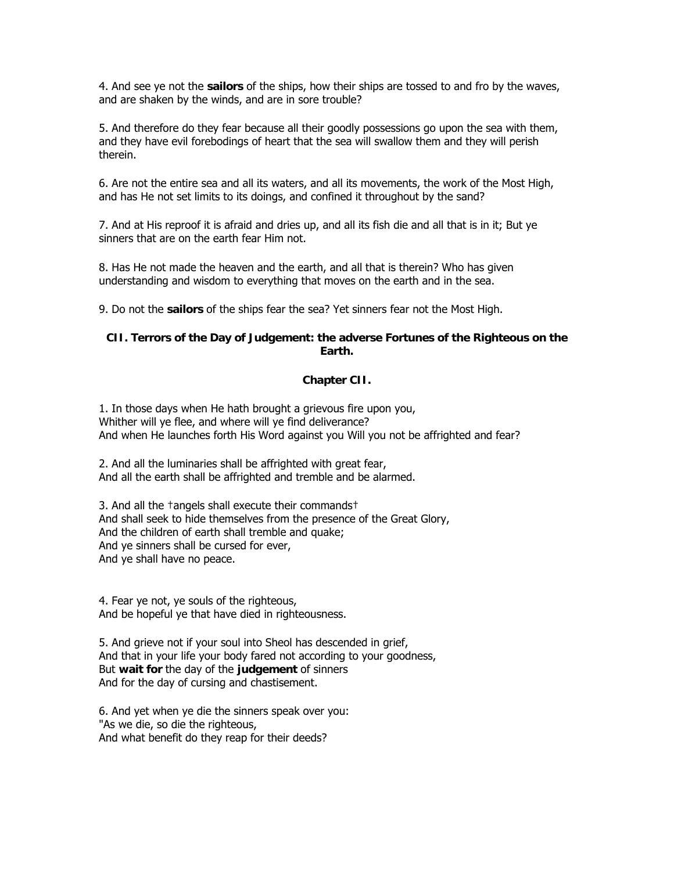4. And see ye not the **sailors** of the ships, how their ships are tossed to and fro by the waves, and are shaken by the winds, and are in sore trouble?

5. And therefore do they fear because all their goodly possessions go upon the sea with them, and they have evil forebodings of heart that the sea will swallow them and they will perish therein.

6. Are not the entire sea and all its waters, and all its movements, the work of the Most High, and has He not set limits to its doings, and confined it throughout by the sand?

7. And at His reproof it is afraid and dries up, and all its fish die and all that is in it; But ye sinners that are on the earth fear Him not.

8. Has He not made the heaven and the earth, and all that is therein? Who has given understanding and wisdom to everything that moves on the earth and in the sea.

9. Do not the **sailors** of the ships fear the sea? Yet sinners fear not the Most High.

## **CII. Terrors of the Day of Judgement: the adverse Fortunes of the Righteous on the Earth.**

#### **Chapter CII.**

1. In those days when He hath brought a grievous fire upon you, Whither will ye flee, and where will ye find deliverance? And when He launches forth His Word against you Will you not be affrighted and fear?

2. And all the luminaries shall be affrighted with great fear, And all the earth shall be affrighted and tremble and be alarmed.

3. And all the †angels shall execute their commands† And shall seek to hide themselves from the presence of the Great Glory, And the children of earth shall tremble and quake; And ye sinners shall be cursed for ever, And ye shall have no peace.

4. Fear ye not, ye souls of the righteous, And be hopeful ye that have died in righteousness.

5. And grieve not if your soul into Sheol has descended in grief, And that in your life your body fared not according to your goodness, But **wait for** the day of the **judgement** of sinners And for the day of cursing and chastisement.

6. And yet when ye die the sinners speak over you: "As we die, so die the righteous, And what benefit do they reap for their deeds?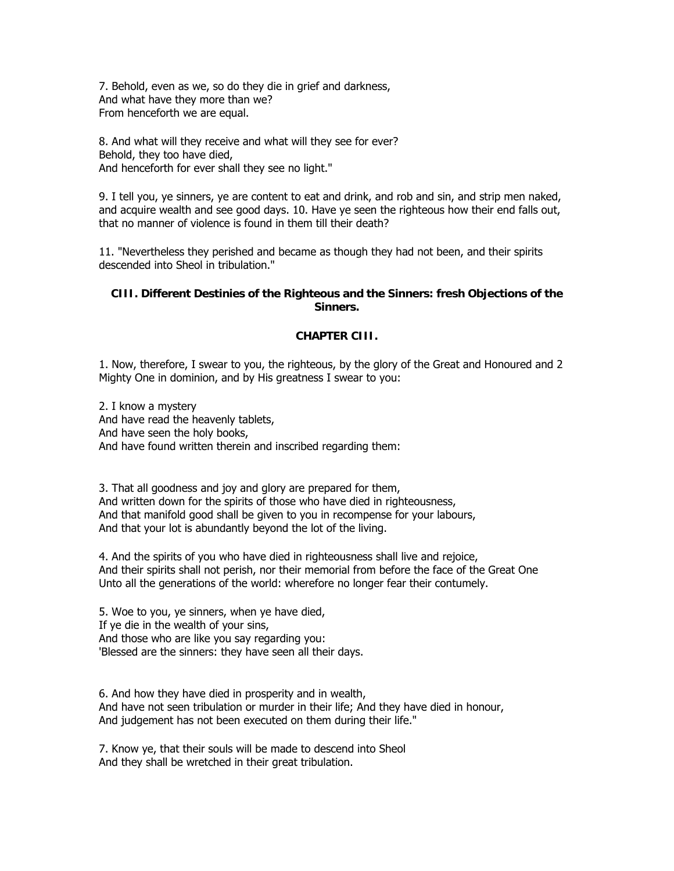7. Behold, even as we, so do they die in grief and darkness, And what have they more than we? From henceforth we are equal.

8. And what will they receive and what will they see for ever? Behold, they too have died, And henceforth for ever shall they see no light."

9. I tell you, ye sinners, ye are content to eat and drink, and rob and sin, and strip men naked, and acquire wealth and see good days. 10. Have ye seen the righteous how their end falls out, that no manner of violence is found in them till their death?

11. "Nevertheless they perished and became as though they had not been, and their spirits descended into Sheol in tribulation."

## **CIII. Different Destinies of the Righteous and the Sinners: fresh Objections of the Sinners.**

#### **CHAPTER CIII.**

1. Now, therefore, I swear to you, the righteous, by the glory of the Great and Honoured and 2 Mighty One in dominion, and by His greatness I swear to you:

2. I know a mystery And have read the heavenly tablets, And have seen the holy books, And have found written therein and inscribed regarding them:

3. That all goodness and joy and glory are prepared for them, And written down for the spirits of those who have died in righteousness, And that manifold good shall be given to you in recompense for your labours, And that your lot is abundantly beyond the lot of the living.

4. And the spirits of you who have died in righteousness shall live and rejoice, And their spirits shall not perish, nor their memorial from before the face of the Great One Unto all the generations of the world: wherefore no longer fear their contumely.

5. Woe to you, ye sinners, when ye have died, If ye die in the wealth of your sins, And those who are like you say regarding you: 'Blessed are the sinners: they have seen all their days.

6. And how they have died in prosperity and in wealth, And have not seen tribulation or murder in their life; And they have died in honour, And judgement has not been executed on them during their life."

7. Know ye, that their souls will be made to descend into Sheol And they shall be wretched in their great tribulation.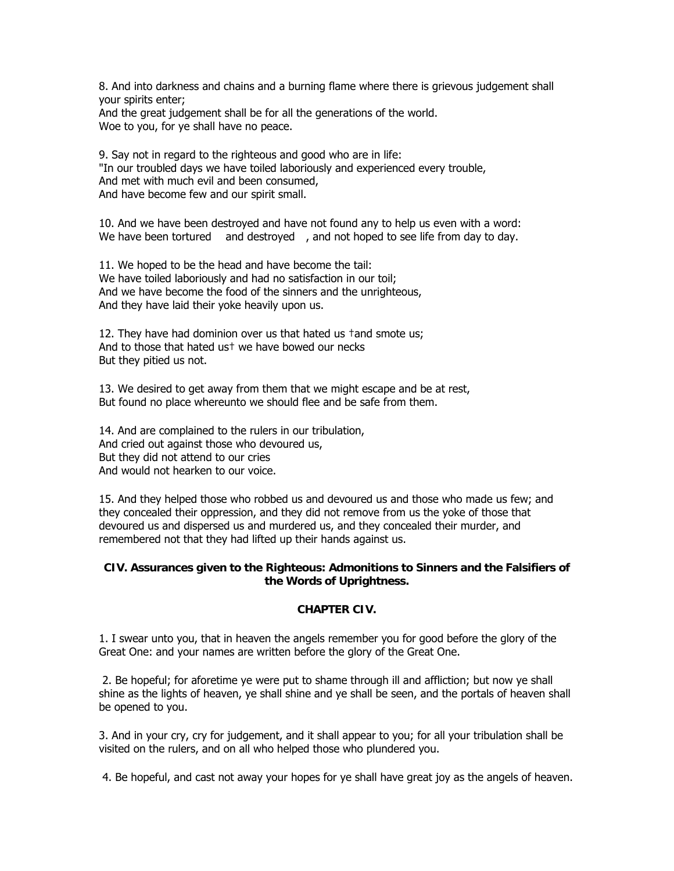8. And into darkness and chains and a burning flame where there is grievous judgement shall your spirits enter;

And the great judgement shall be for all the generations of the world. Woe to you, for ye shall have no peace.

9. Say not in regard to the righteous and good who are in life: "In our troubled days we have toiled laboriously and experienced every trouble, And met with much evil and been consumed, And have become few and our spirit small.

10. And we have been destroyed and have not found any to help us even with a word: We have been tortured and destroyed, and not hoped to see life from day to day.

11. We hoped to be the head and have become the tail: We have toiled laboriously and had no satisfaction in our toil; And we have become the food of the sinners and the unrighteous, And they have laid their yoke heavily upon us.

12. They have had dominion over us that hated us †and smote us; And to those that hated us† we have bowed our necks But they pitied us not.

13. We desired to get away from them that we might escape and be at rest, But found no place whereunto we should flee and be safe from them.

14. And are complained to the rulers in our tribulation, And cried out against those who devoured us, But they did not attend to our cries And would not hearken to our voice.

15. And they helped those who robbed us and devoured us and those who made us few; and they concealed their oppression, and they did not remove from us the yoke of those that devoured us and dispersed us and murdered us, and they concealed their murder, and remembered not that they had lifted up their hands against us.

#### **CIV. Assurances given to the Righteous: Admonitions to Sinners and the Falsifiers of the Words of Uprightness.**

#### **CHAPTER CIV.**

1. I swear unto you, that in heaven the angels remember you for good before the glory of the Great One: and your names are written before the glory of the Great One.

 2. Be hopeful; for aforetime ye were put to shame through ill and affliction; but now ye shall shine as the lights of heaven, ye shall shine and ye shall be seen, and the portals of heaven shall be opened to you.

3. And in your cry, cry for judgement, and it shall appear to you; for all your tribulation shall be visited on the rulers, and on all who helped those who plundered you.

4. Be hopeful, and cast not away your hopes for ye shall have great joy as the angels of heaven.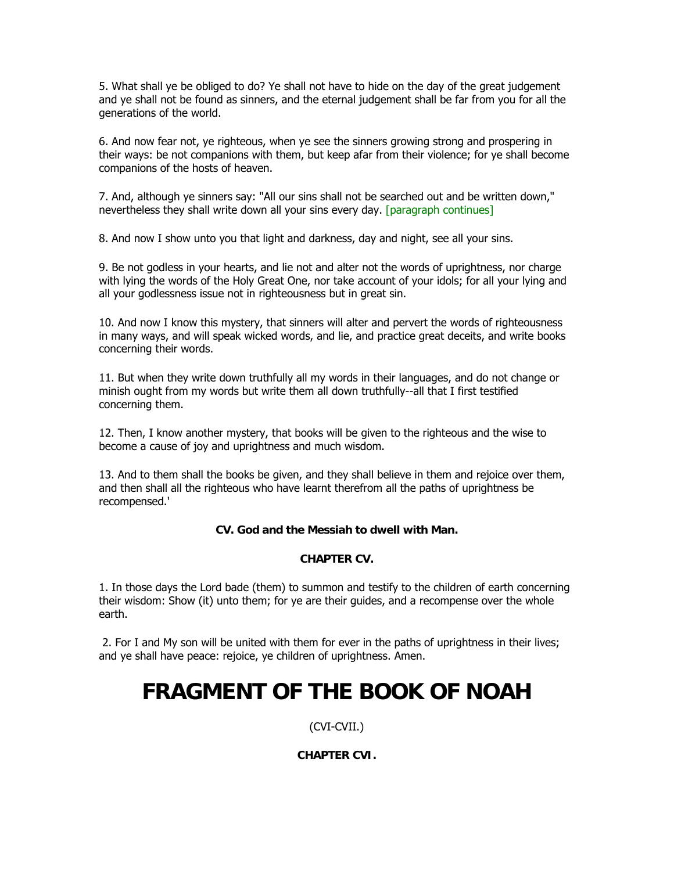5. What shall ye be obliged to do? Ye shall not have to hide on the day of the great judgement and ye shall not be found as sinners, and the eternal judgement shall be far from you for all the generations of the world.

6. And now fear not, ye righteous, when ye see the sinners growing strong and prospering in their ways: be not companions with them, but keep afar from their violence; for ye shall become companions of the hosts of heaven.

7. And, although ye sinners say: "All our sins shall not be searched out and be written down," nevertheless they shall write down all your sins every day. [paragraph continues]

8. And now I show unto you that light and darkness, day and night, see all your sins.

9. Be not godless in your hearts, and lie not and alter not the words of uprightness, nor charge with lying the words of the Holy Great One, nor take account of your idols; for all your lying and all your godlessness issue not in righteousness but in great sin.

10. And now I know this mystery, that sinners will alter and pervert the words of righteousness in many ways, and will speak wicked words, and lie, and practice great deceits, and write books concerning their words.

11. But when they write down truthfully all my words in their languages, and do not change or minish ought from my words but write them all down truthfully--all that I first testified concerning them.

12. Then, I know another mystery, that books will be given to the righteous and the wise to become a cause of joy and uprightness and much wisdom.

13. And to them shall the books be given, and they shall believe in them and rejoice over them, and then shall all the righteous who have learnt therefrom all the paths of uprightness be recompensed.'

## **CV. God and the Messiah to dwell with Man.**

#### **CHAPTER CV.**

1. In those days the Lord bade (them) to summon and testify to the children of earth concerning their wisdom: Show (it) unto them; for ye are their guides, and a recompense over the whole earth.

 2. For I and My son will be united with them for ever in the paths of uprightness in their lives; and ye shall have peace: rejoice, ye children of uprightness. Amen.

## **FRAGMENT OF THE BOOK OF NOAH**

(CVI-CVII.)

## **CHAPTER CVI.**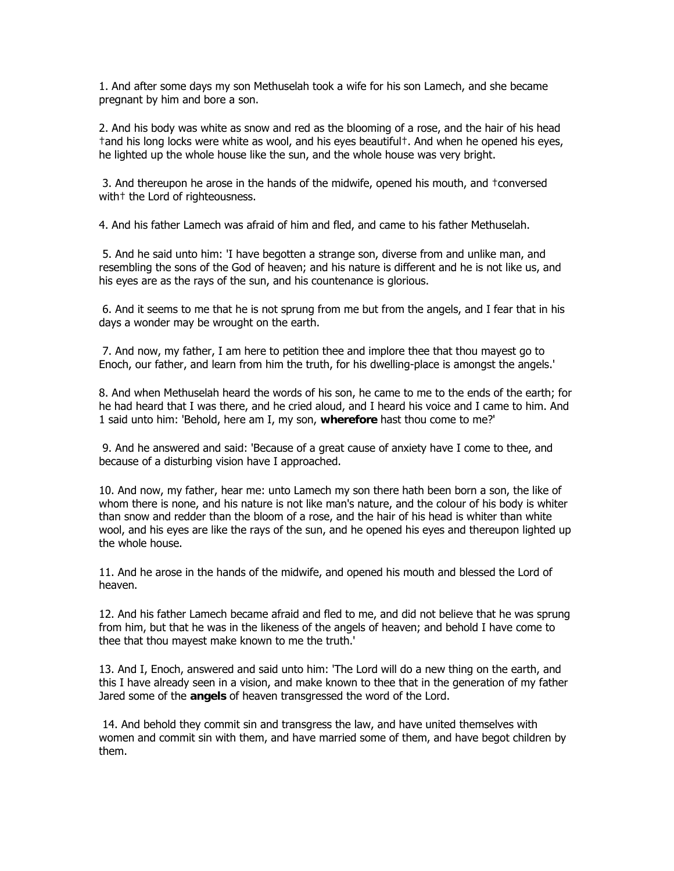1. And after some days my son Methuselah took a wife for his son Lamech, and she became pregnant by him and bore a son.

2. And his body was white as snow and red as the blooming of a rose, and the hair of his head †and his long locks were white as wool, and his eyes beautiful†. And when he opened his eyes, he lighted up the whole house like the sun, and the whole house was very bright.

 3. And thereupon he arose in the hands of the midwife, opened his mouth, and †conversed with<sup>+</sup> the Lord of righteousness.

4. And his father Lamech was afraid of him and fled, and came to his father Methuselah.

 5. And he said unto him: 'I have begotten a strange son, diverse from and unlike man, and resembling the sons of the God of heaven; and his nature is different and he is not like us, and his eyes are as the rays of the sun, and his countenance is glorious.

 6. And it seems to me that he is not sprung from me but from the angels, and I fear that in his days a wonder may be wrought on the earth.

 7. And now, my father, I am here to petition thee and implore thee that thou mayest go to Enoch, our father, and learn from him the truth, for his dwelling-place is amongst the angels.'

8. And when Methuselah heard the words of his son, he came to me to the ends of the earth; for he had heard that I was there, and he cried aloud, and I heard his voice and I came to him. And 1 said unto him: 'Behold, here am I, my son, **wherefore** hast thou come to me?'

 9. And he answered and said: 'Because of a great cause of anxiety have I come to thee, and because of a disturbing vision have I approached.

10. And now, my father, hear me: unto Lamech my son there hath been born a son, the like of whom there is none, and his nature is not like man's nature, and the colour of his body is whiter than snow and redder than the bloom of a rose, and the hair of his head is whiter than white wool, and his eyes are like the rays of the sun, and he opened his eyes and thereupon lighted up the whole house.

11. And he arose in the hands of the midwife, and opened his mouth and blessed the Lord of heaven.

12. And his father Lamech became afraid and fled to me, and did not believe that he was sprung from him, but that he was in the likeness of the angels of heaven; and behold I have come to thee that thou mayest make known to me the truth.'

13. And I, Enoch, answered and said unto him: 'The Lord will do a new thing on the earth, and this I have already seen in a vision, and make known to thee that in the generation of my father Jared some of the **angels** of heaven transgressed the word of the Lord.

 14. And behold they commit sin and transgress the law, and have united themselves with women and commit sin with them, and have married some of them, and have begot children by them.